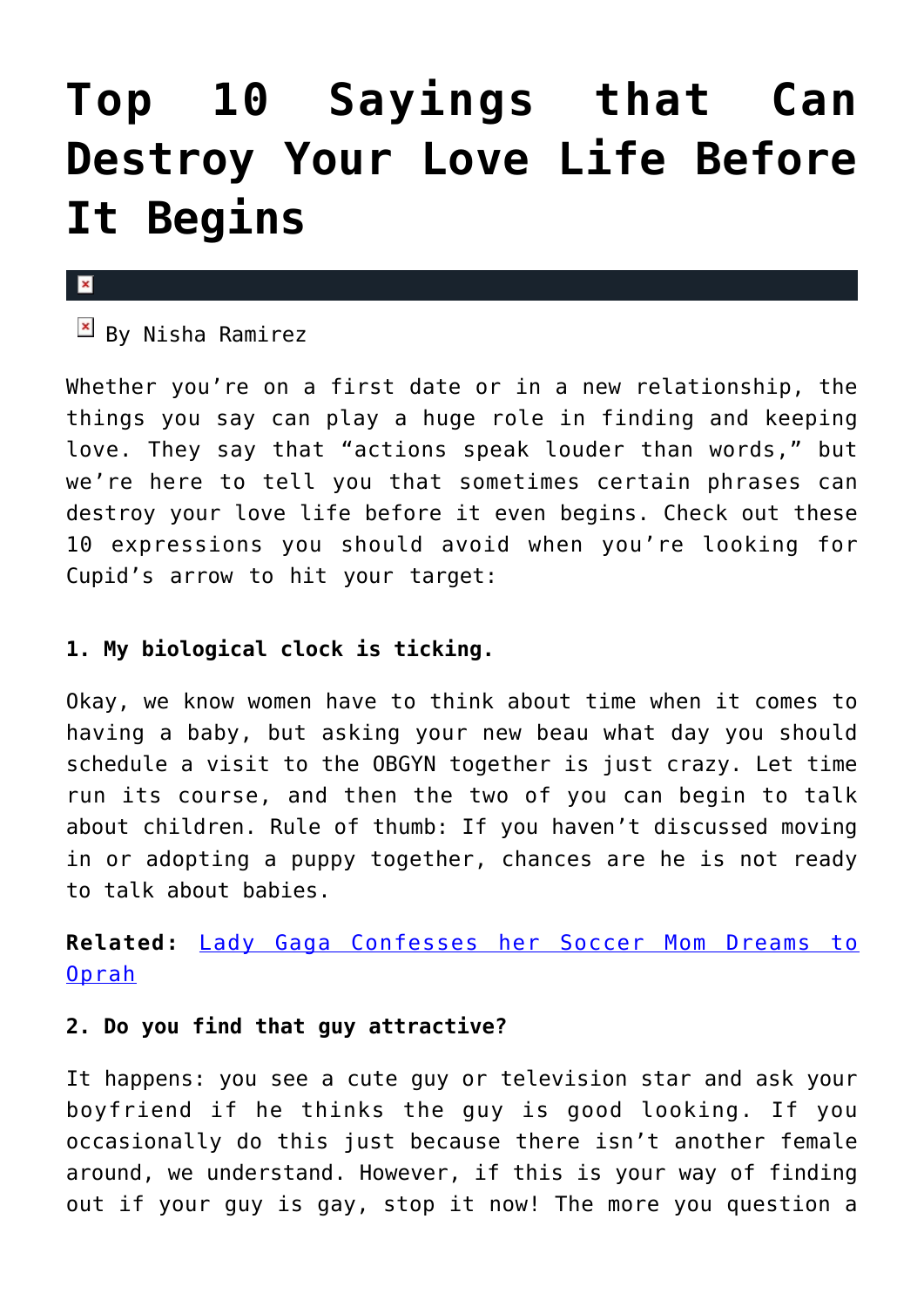# **[Top 10 Sayings that Can](https://cupidspulse.com/29444/top-10-sayings-destroy-love-life-before-begins/) [Destroy Your Love Life Before](https://cupidspulse.com/29444/top-10-sayings-destroy-love-life-before-begins/) [It Begins](https://cupidspulse.com/29444/top-10-sayings-destroy-love-life-before-begins/)**

### $\mathbf{x}$

 $\overline{B}$  By Nisha Ramirez

Whether you're on a first date or in a new relationship, the things you say can play a huge role in finding and keeping love. They say that "actions speak louder than words," but we're here to tell you that sometimes certain phrases can destroy your love life before it even begins. Check out these 10 expressions you should avoid when you're looking for Cupid's arrow to hit your target:

### **1. My biological clock is ticking.**

Okay, we know women have to think about time when it comes to having a baby, but asking your new beau what day you should schedule a visit to the OBGYN together is just crazy. Let time run its course, and then the two of you can begin to talk about children. Rule of thumb: If you haven't discussed moving in or adopting a puppy together, chances are he is not ready to talk about babies.

**Related:** [Lady Gaga Confesses her Soccer Mom Dreams to](http://cupidspulse.com/lady-gaga-confesses-soccer-mom-dreams-oprah/) [Oprah](http://cupidspulse.com/lady-gaga-confesses-soccer-mom-dreams-oprah/)

### **2. Do you find that guy attractive?**

It happens: you see a cute guy or television star and ask your boyfriend if he thinks the guy is good looking. If you occasionally do this just because there isn't another female around, we understand. However, if this is your way of finding out if your guy is gay, stop it now! The more you question a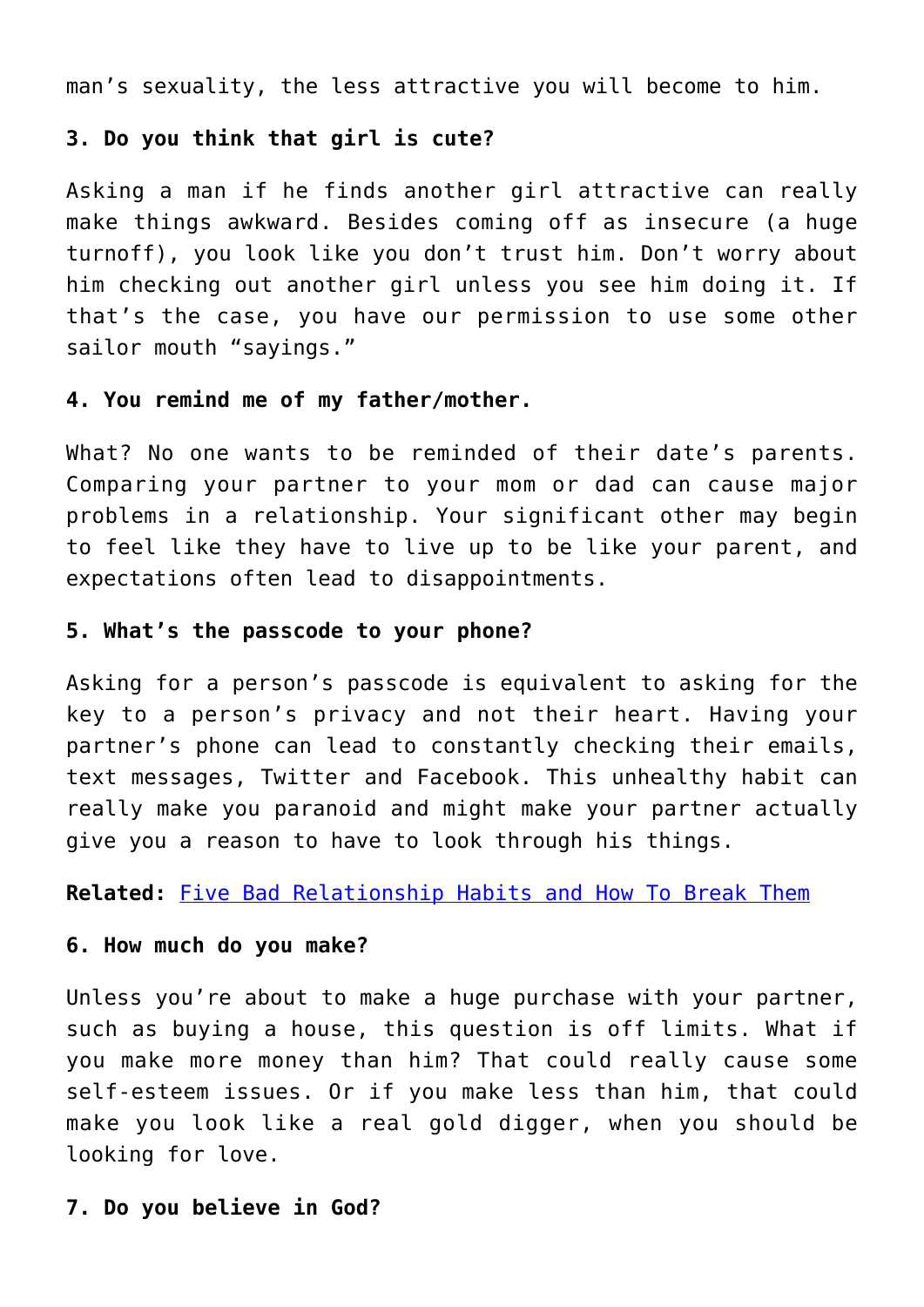man's sexuality, the less attractive you will become to him.

### **3. Do you think that girl is cute?**

Asking a man if he finds another girl attractive can really make things awkward. Besides coming off as insecure (a huge turnoff), you look like you don't trust him. Don't worry about him checking out another girl unless you see him doing it. If that's the case, you have our permission to use some other sailor mouth "sayings."

### **4. You remind me of my father/mother.**

What? No one wants to be reminded of their date's parents. Comparing your partner to your mom or dad can cause major problems in a relationship. Your significant other may begin to feel like they have to live up to be like your parent, and expectations often lead to disappointments.

### **5. What's the passcode to your phone?**

Asking for a person's passcode is equivalent to asking for the key to a person's privacy and not their heart. Having your partner's phone can lead to constantly checking their emails, text messages, Twitter and Facebook. This unhealthy habit can really make you paranoid and might make your partner actually give you a reason to have to look through his things.

**Related:** [Five Bad Relationship Habits and How To Break Them](http://cupidspulse.com/five-bad-relationship-habits-how-break-them-galtime/)

### **6. How much do you make?**

Unless you're about to make a huge purchase with your partner, such as buying a house, this question is off limits. What if you make more money than him? That could really cause some self-esteem issues. Or if you make less than him, that could make you look like a real gold digger, when you should be looking for love.

### **7. Do you believe in God?**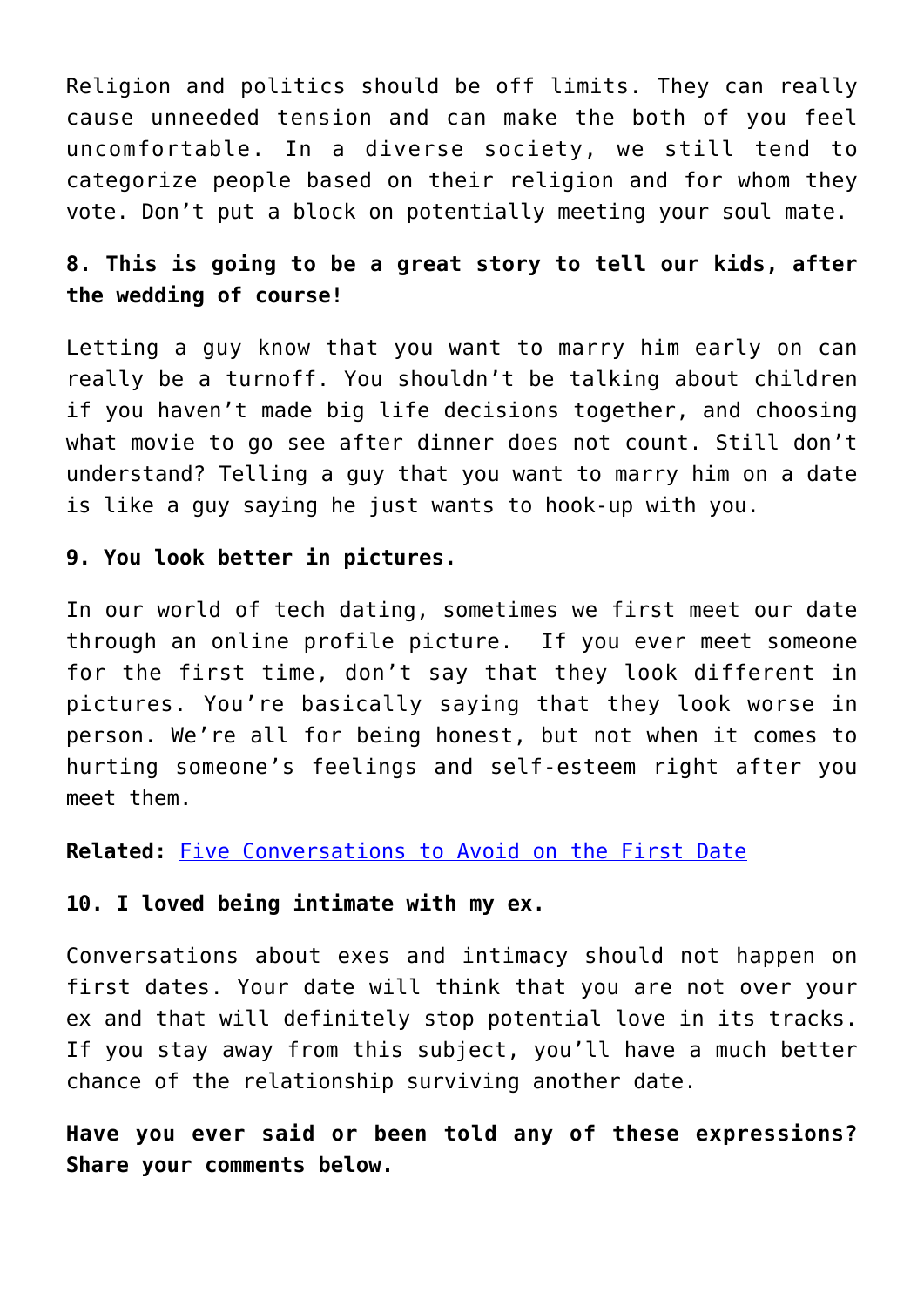Religion and politics should be off limits. They can really cause unneeded tension and can make the both of you feel uncomfortable. In a diverse society, we still tend to categorize people based on their religion and for whom they vote. Don't put a block on potentially meeting your soul mate.

### **8. This is going to be a great story to tell our kids, after the wedding of course!**

Letting a guy know that you want to marry him early on can really be a turnoff. You shouldn't be talking about children if you haven't made big life decisions together, and choosing what movie to go see after dinner does not count. Still don't understand? Telling a guy that you want to marry him on a date is like a guy saying he just wants to hook-up with you.

### **9. You look better in pictures.**

In our world of tech dating, sometimes we first meet our date through an online profile picture. If you ever meet someone for the first time, don't say that they look different in pictures. You're basically saying that they look worse in person. We're all for being honest, but not when it comes to hurting someone's feelings and self-esteem right after you meet them.

**Related:** [Five Conversations to Avoid on the First Date](http://cupidspulse.com/five-conversations-to-avoid-on-first-date/)

### **10. I loved being intimate with my ex.**

Conversations about exes and intimacy should not happen on first dates. Your date will think that you are not over your ex and that will definitely stop potential love in its tracks. If you stay away from this subject, you'll have a much better chance of the relationship surviving another date.

**Have you ever said or been told any of these expressions? Share your comments below.**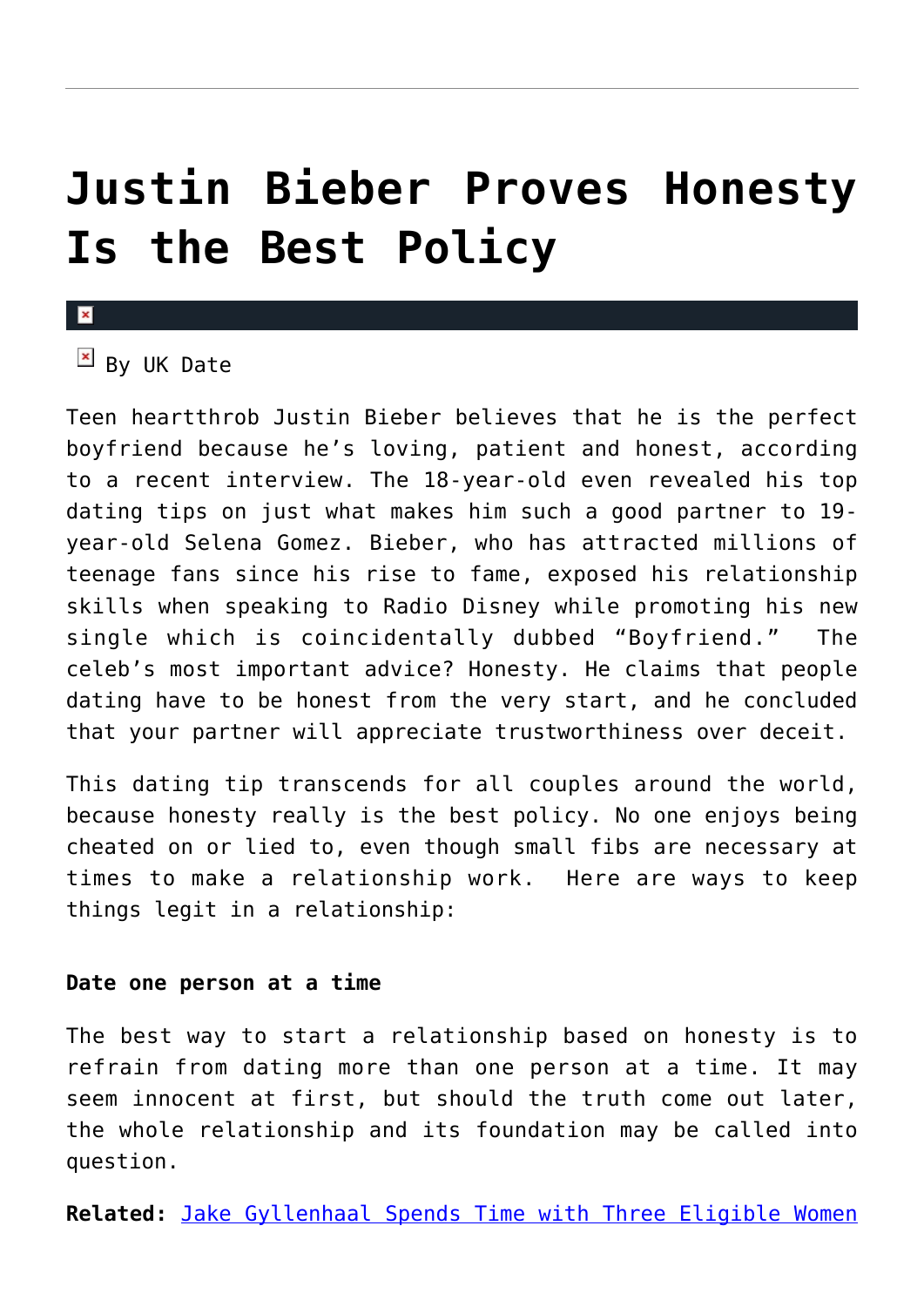## **[Justin Bieber Proves Honesty](https://cupidspulse.com/30307/justin-bieber-proves-honesty-best-policy/) [Is the Best Policy](https://cupidspulse.com/30307/justin-bieber-proves-honesty-best-policy/)**

### $\overline{\mathbf{x}}$

### $\overline{B}$  By UK Date

Teen heartthrob Justin Bieber believes that he is the perfect boyfriend because he's loving, patient and honest, according to a recent interview. The 18-year-old even revealed his top dating tips on just what makes him such a good partner to 19 year-old Selena Gomez. Bieber, who has attracted millions of teenage fans since his rise to fame, exposed his relationship skills when speaking to Radio Disney while promoting his new single which is coincidentally dubbed "Boyfriend." The celeb's most important advice? Honesty. He claims that people dating have to be honest from the very start, and he concluded that your partner will appreciate trustworthiness over deceit.

This dating tip transcends for all couples around the world, because honesty really is the best policy. No one enjoys being cheated on or lied to, even though small fibs are necessary at times to make a relationship work. Here are ways to keep things legit in a relationship:

### **Date one person at a time**

The best way to start a relationship based on honesty is to refrain from dating more than one person at a time. It may seem innocent at first, but should the truth come out later, the whole relationship and its foundation may be called into question.

**Related:** [Jake Gyllenhaal Spends Time with Three Eligible Women](http://cupidspulse.com/jake-gyllenhaal-dates-three-eligible-women-week-anna-kendrick-rashida-jones-busy-phillips/)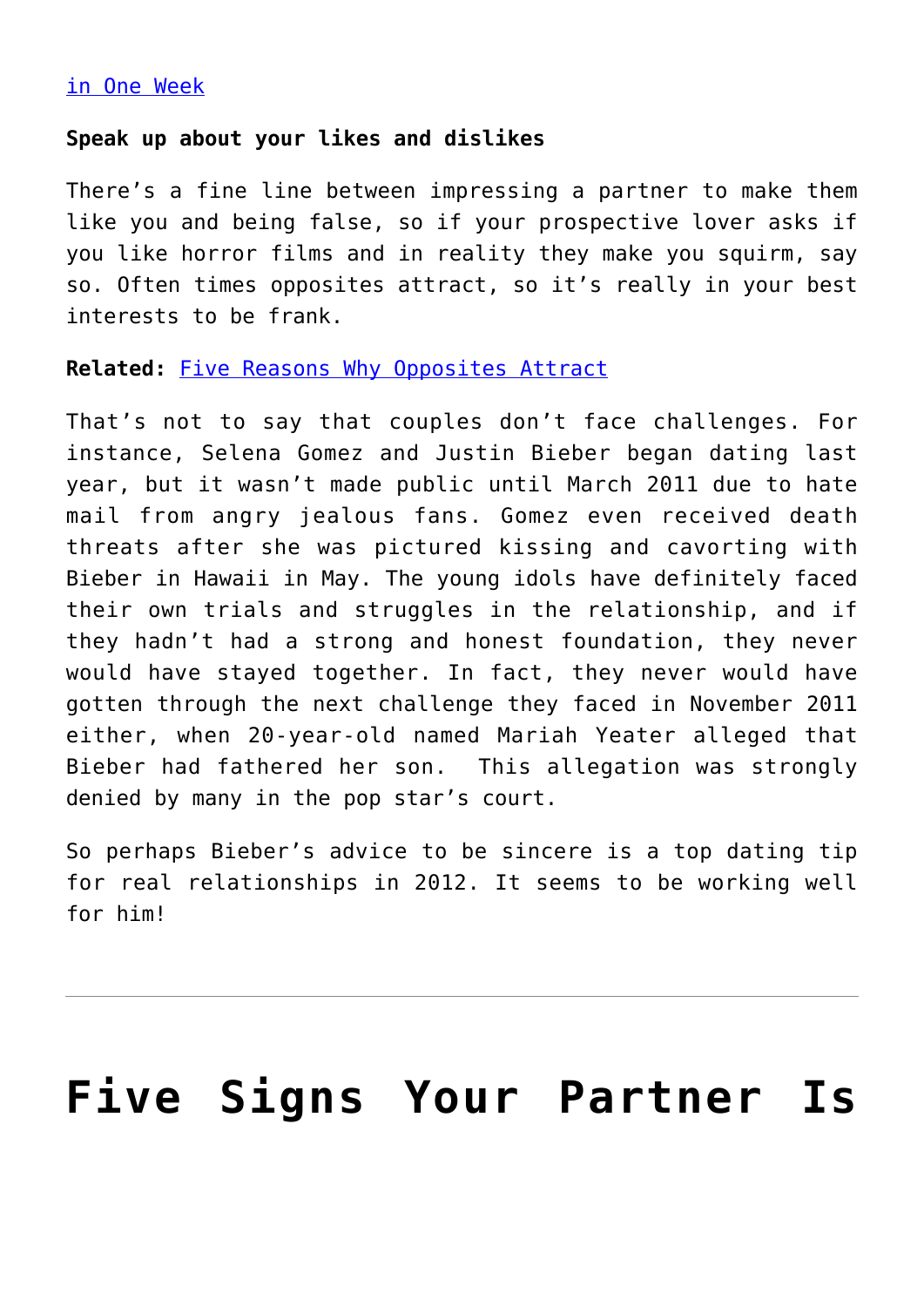### [in One Week](http://cupidspulse.com/jake-gyllenhaal-dates-three-eligible-women-week-anna-kendrick-rashida-jones-busy-phillips/)

### **Speak up about your likes and dislikes**

There's a fine line between impressing a partner to make them like you and being false, so if your prospective lover asks if you like horror films and in reality they make you squirm, say so. Often times opposites attract, so it's really in your best interests to be frank.

### **Related:** [Five Reasons Why Opposites Attract](http://cupidspulse.com/five-reasons-why-opposites-attract/)

That's not to say that couples don't face challenges. For instance, Selena Gomez and Justin Bieber began dating last year, but it wasn't made public until March 2011 due to hate mail from angry jealous fans. Gomez even received death threats after she was pictured kissing and cavorting with Bieber in Hawaii in May. The young idols have definitely faced their own trials and struggles in the relationship, and if they hadn't had a strong and honest foundation, they never would have stayed together. In fact, they never would have gotten through the next challenge they faced in November 2011 either, when 20-year-old named Mariah Yeater alleged that Bieber had fathered her son. This allegation was strongly denied by many in the pop star's court.

So perhaps Bieber's advice to be sincere is a top dating tip for real relationships in 2012. It seems to be working well for him!

## **[Five Signs Your Partner Is](https://cupidspulse.com/28502/five-signs-partner-using-you-money/)**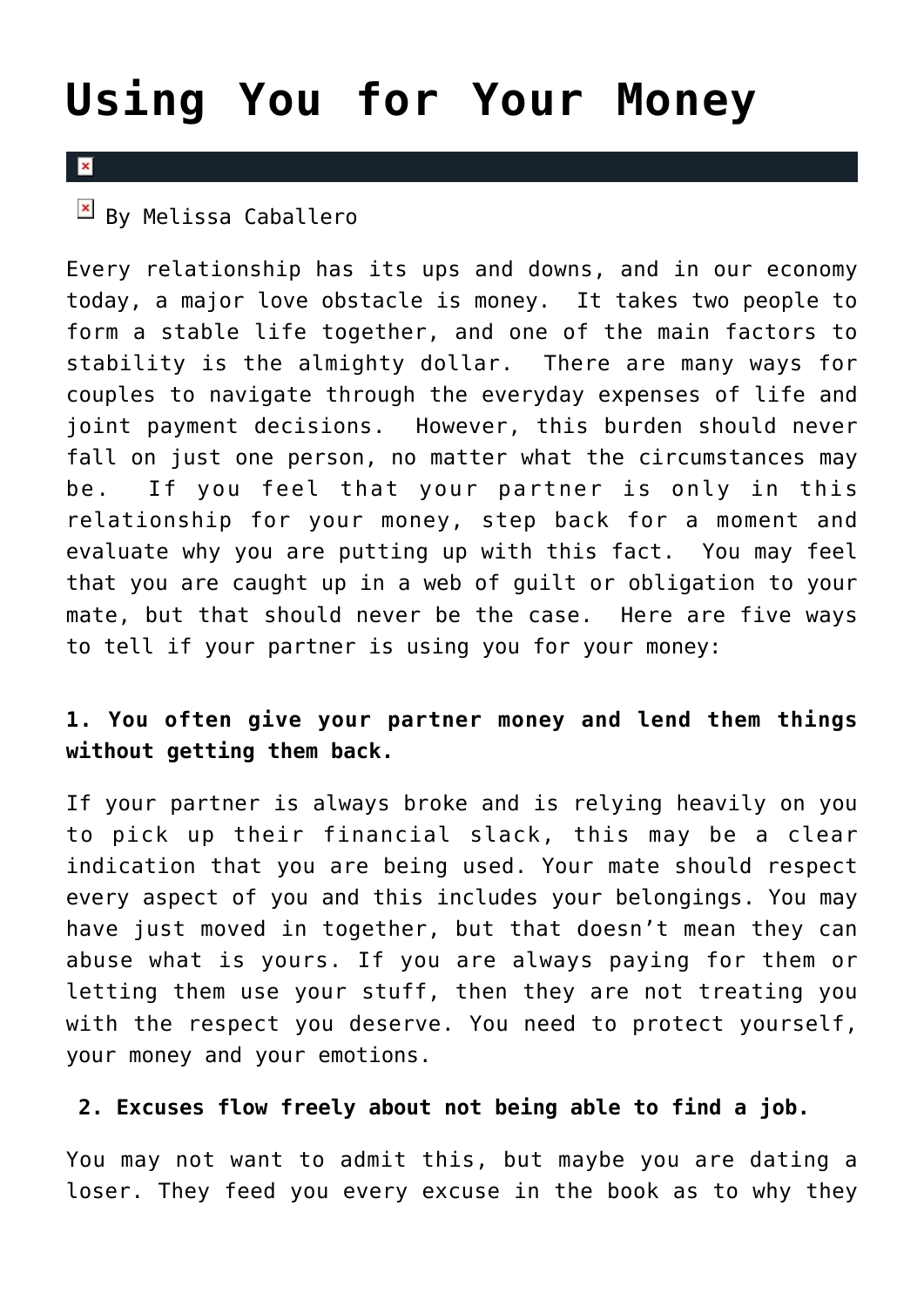## **[Using You for Your Money](https://cupidspulse.com/28502/five-signs-partner-using-you-money/)**

### $\overline{\mathbf{x}}$

 $\overline{\mathbb{F}}$  By Melissa Caballero

Every relationship has its ups and downs, and in our economy today, a major love obstacle is money. It takes two people to form a stable life together, and one of the main factors to stability is the almighty dollar. There are many ways for couples to navigate through the everyday expenses of life and joint payment decisions. However, this burden should never fall on just one person, no matter what the circumstances may be. If you feel that your partner is only in this relationship for your money, step back for a moment and evaluate why you are putting up with this fact. You may feel that you are caught up in a web of guilt or obligation to your mate, but that should never be the case. Here are five ways to tell if your partner is using you for your money:

### **1. You often give your partner money and lend them things without getting them back.**

If your partner is always broke and is relying heavily on you to pick up their financial slack, this may be a clear indication that you are being used. Your mate should respect every aspect of you and this includes your belongings. You may have just moved in together, but that doesn't mean they can abuse what is yours. If you are always paying for them or letting them use your stuff, then they are not treating you with the respect you deserve. You need to protect yourself, your money and your emotions.

### **2. Excuses flow freely about not being able to find a job.**

You may not want to admit this, but maybe you are dating a loser. They feed you every excuse in the book as to why they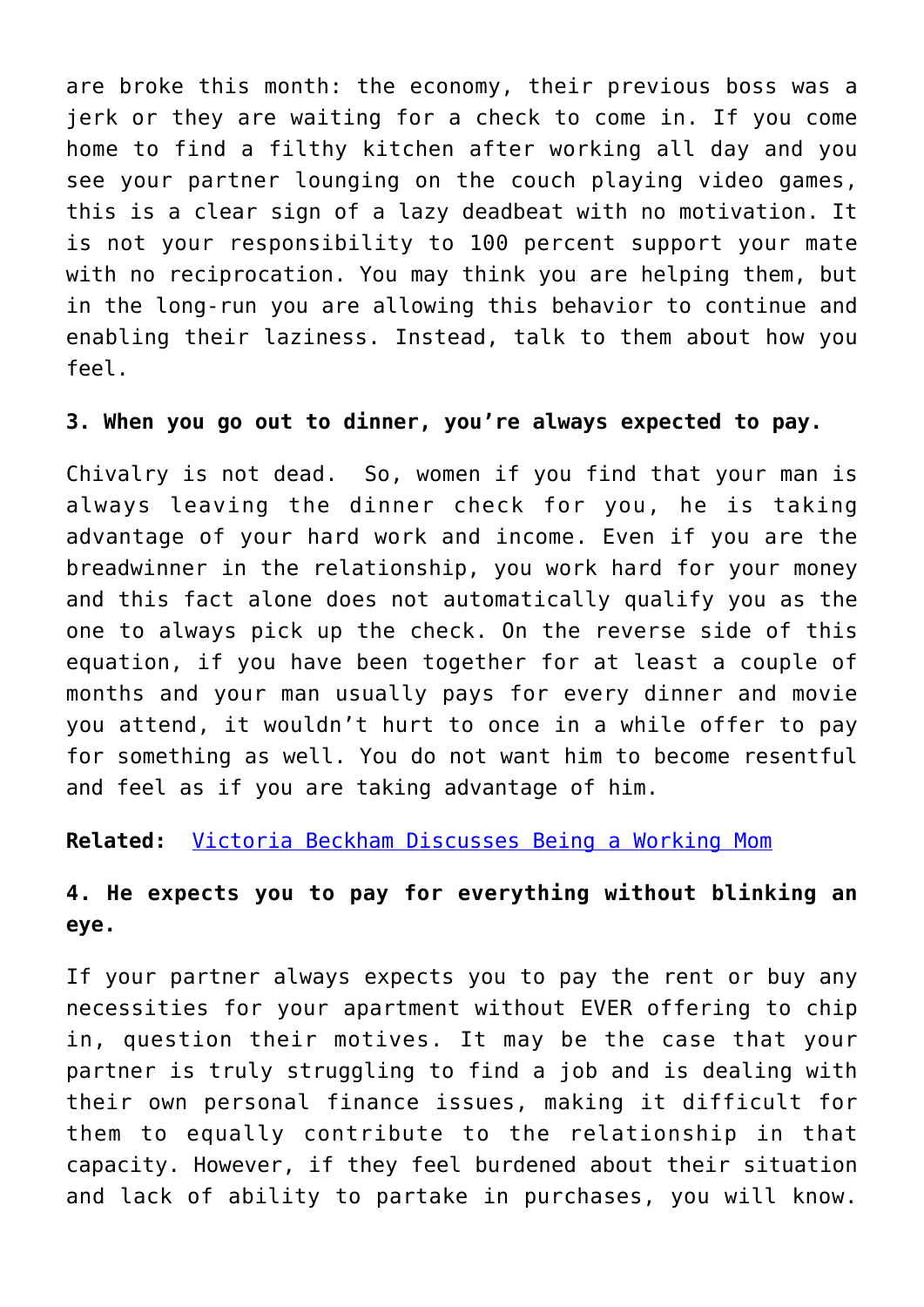are broke this month: the economy, their previous boss was a jerk or they are waiting for a check to come in. If you come home to find a filthy kitchen after working all day and you see your partner lounging on the couch playing video games, this is a clear sign of a lazy deadbeat with no motivation. It is not your responsibility to 100 percent support your mate with no reciprocation. You may think you are helping them, but in the long-run you are allowing this behavior to continue and enabling their laziness. Instead, talk to them about how you feel.

### **3. When you go out to dinner, you're always expected to pay.**

Chivalry is not dead. So, women if you find that your man is always leaving the dinner check for you, he is taking advantage of your hard work and income. Even if you are the breadwinner in the relationship, you work hard for your money and this fact alone does not automatically qualify you as the one to always pick up the check. On the reverse side of this equation, if you have been together for at least a couple of months and your man usually pays for every dinner and movie you attend, it wouldn't hurt to once in a while offer to pay for something as well. You do not want him to become resentful and feel as if you are taking advantage of him.

### **Related:** [Victoria Beckham Discusses Being a Working Mom](http://cupidspulse.com/fashion-icon-victoria-beckham-discusses-working-mom-fashion-week-nyc/)

### **4. He expects you to pay for everything without blinking an eye.**

If your partner always expects you to pay the rent or buy any necessities for your apartment without EVER offering to chip in, question their motives. It may be the case that your partner is truly struggling to find a job and is dealing with their own personal finance issues, making it difficult for them to equally contribute to the relationship in that capacity. However, if they feel burdened about their situation and lack of ability to partake in purchases, you will know.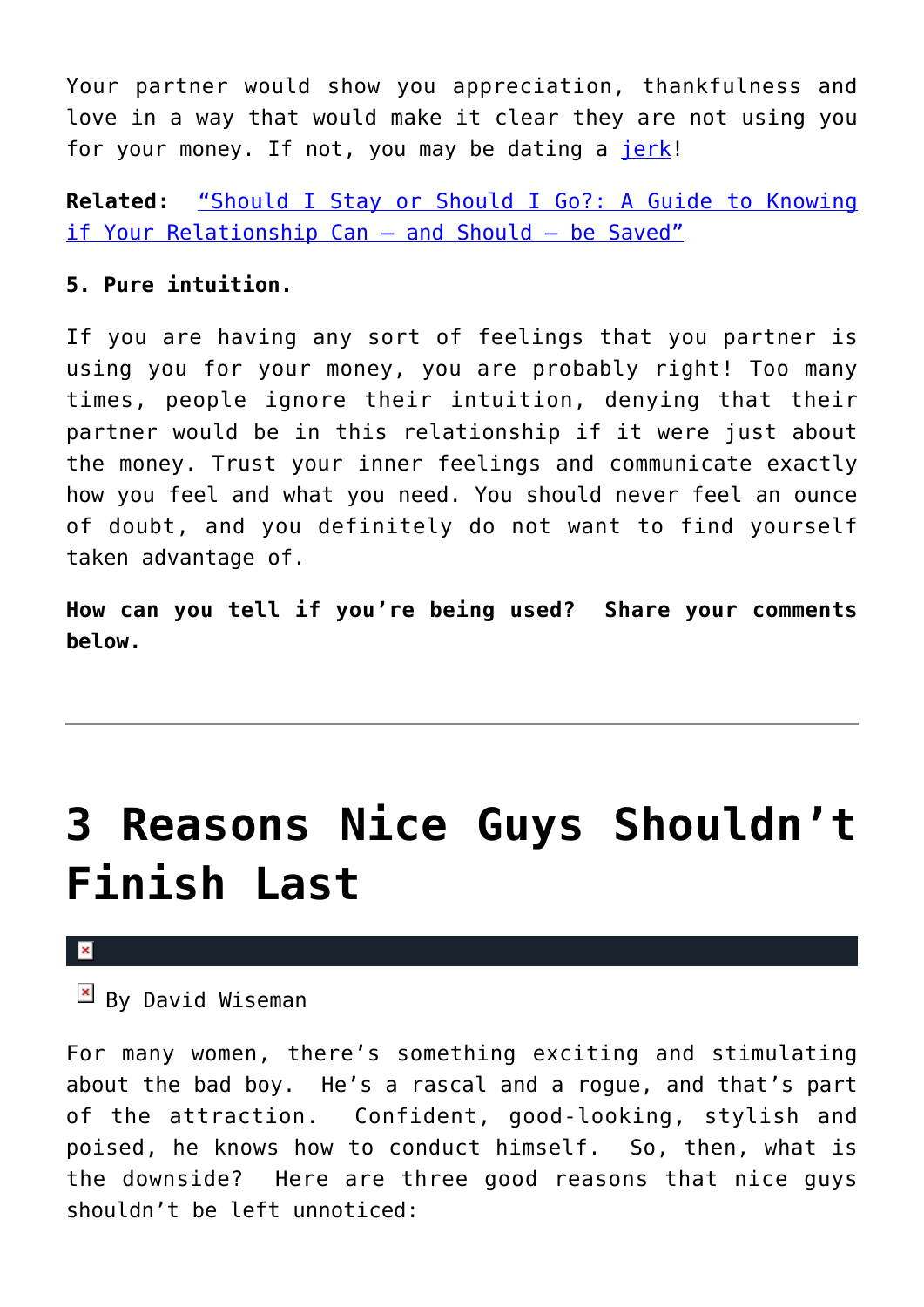Your partner would show you appreciation, thankfulness and love in a way that would make it clear they are not using you for your money. If not, you may be dating a [jerk!](http://cupidspulse.com/ten-signs-youre-dating-a-jerk-unhealthy-relationship/#more-25206)

**Related:** ["Should I Stay or Should I Go?: A Guide to Knowing](http://cupidspulse.com/book-author-interview-should-i-stay-or-should-i-go-a-guide-to-knowing-if-your-relationship-can-and-should-be-saved-lundy-bancroft-jac-patrissi/) [if Your Relationship Can — and Should — be Saved"](http://cupidspulse.com/book-author-interview-should-i-stay-or-should-i-go-a-guide-to-knowing-if-your-relationship-can-and-should-be-saved-lundy-bancroft-jac-patrissi/)

### **5. Pure intuition.**

If you are having any sort of feelings that you partner is using you for your money, you are probably right! Too many times, people ignore their intuition, denying that their partner would be in this relationship if it were just about the money. Trust your inner feelings and communicate exactly how you feel and what you need. You should never feel an ounce of doubt, and you definitely do not want to find yourself taken advantage of.

**How can you tell if you're being used? Share your comments below.**

# **[3 Reasons Nice Guys Shouldn't](https://cupidspulse.com/30242/three-reasons-nice-guys-shouldnt-finish-last-bad-boys/) [Finish Last](https://cupidspulse.com/30242/three-reasons-nice-guys-shouldnt-finish-last-bad-boys/)**

### $\mathbf{x}$

### $\mathbb{E}$  By David Wiseman

For many women, there's something exciting and stimulating about the bad boy. He's a rascal and a rogue, and that's part of the attraction. Confident, good-looking, stylish and poised, he knows how to conduct himself. So, then, what is the downside? Here are three good reasons that nice guys shouldn't be left unnoticed: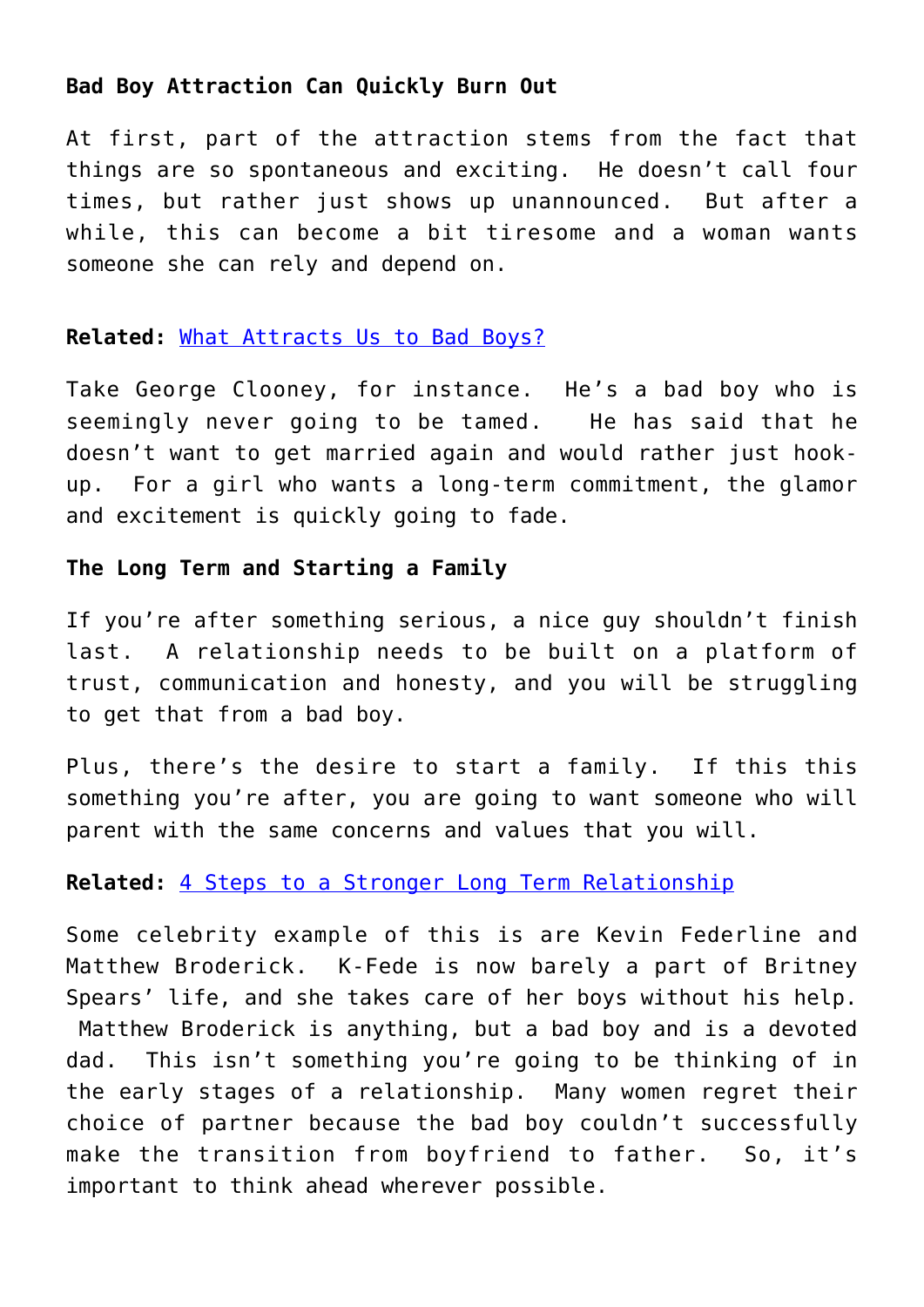### **Bad Boy Attraction Can Quickly Burn Out**

At first, part of the attraction stems from the fact that things are so spontaneous and exciting. He doesn't call four times, but rather just shows up unannounced. But after a while, this can become a bit tiresome and a woman wants someone she can rely and depend on.

### **Related:** [What Attracts Us to Bad Boys?](http://cupidspulse.com/what-attracts-us-to-bad-boys-chris-brown-brad-pitt/)

Take George Clooney, for instance. He's a bad boy who is seemingly never going to be tamed. He has said that he doesn't want to get married again and would rather just hookup. For a girl who wants a long-term commitment, the glamor and excitement is quickly going to fade.

### **The Long Term and Starting a Family**

If you're after something serious, a nice guy shouldn't finish last. A relationship needs to be built on a platform of trust, communication and honesty, and you will be struggling to get that from a bad boy.

Plus, there's the desire to start a family. If this this something you're after, you are going to want someone who will parent with the same concerns and values that you will.

### **Related:** [4 Steps to a Stronger Long Term Relationship](http://cupidspulse.com/4-steps-strong-long-term-relationship/)

Some celebrity example of this is are Kevin Federline and Matthew Broderick. K-Fede is now barely a part of Britney Spears' life, and she takes care of her boys without his help. Matthew Broderick is anything, but a bad boy and is a devoted dad. This isn't something you're going to be thinking of in the early stages of a relationship. Many women regret their choice of partner because the bad boy couldn't successfully make the transition from boyfriend to father. So, it's important to think ahead wherever possible.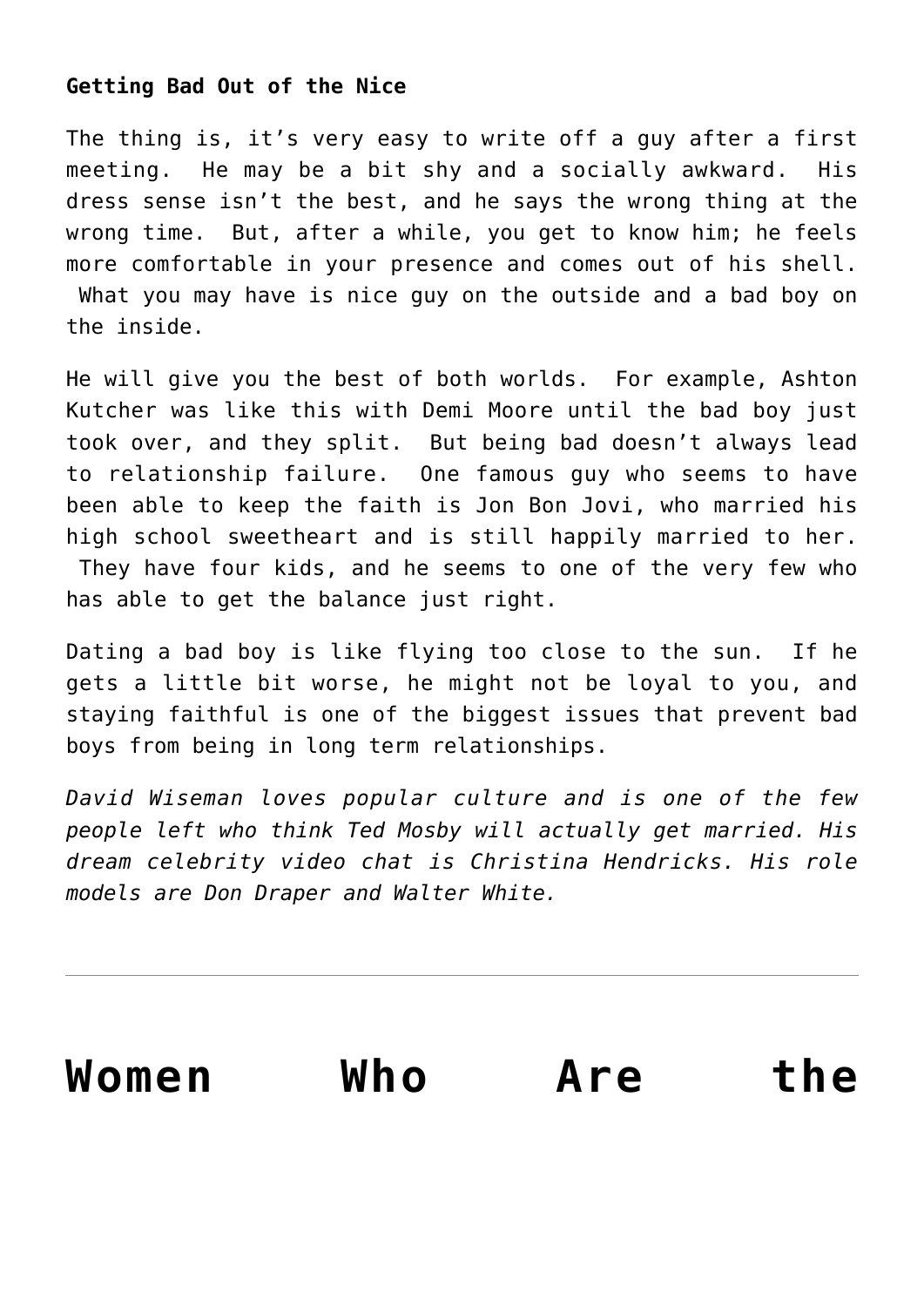### **Getting Bad Out of the Nice**

The thing is, it's very easy to write off a guy after a first meeting. He may be a bit shy and a socially awkward. His dress sense isn't the best, and he says the wrong thing at the wrong time. But, after a while, you get to know him; he feels more comfortable in your presence and comes out of his shell. What you may have is nice guy on the outside and a bad boy on the inside.

He will give you the best of both worlds. For example, Ashton Kutcher was like this with Demi Moore until the bad boy just took over, and they split. But being bad doesn't always lead to relationship failure. One famous guy who seems to have been able to keep the faith is Jon Bon Jovi, who married his high school sweetheart and is still happily married to her. They have four kids, and he seems to one of the very few who has able to get the balance just right.

Dating a bad boy is like flying too close to the sun. If he gets a little bit worse, he might not be loyal to you, and staying faithful is one of the biggest issues that prevent bad boys from being in long term relationships.

*David Wiseman loves popular culture and is one of the few people left who think Ted Mosby will actually get married. His dream celebrity video chat is Christina Hendricks. His role models are Don Draper and Walter White.* 

| Women | Who | Are | the |
|-------|-----|-----|-----|
|       |     |     |     |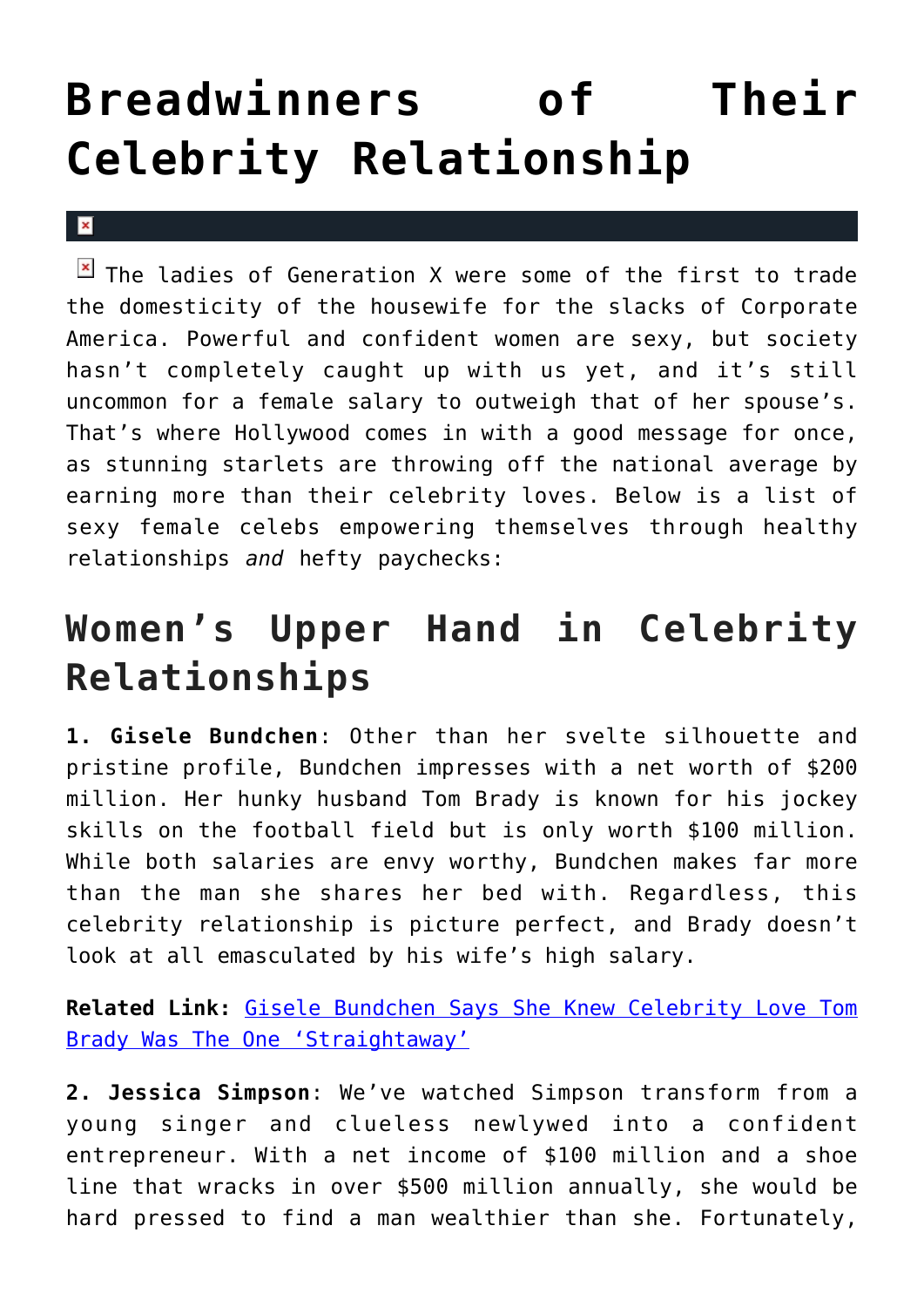# **[Breadwinners of Their](https://cupidspulse.com/28854/snooki-julia-roberts-angelina-jolie-gisele-jessica-simpson-female-breadwinenrs/) [Celebrity Relationship](https://cupidspulse.com/28854/snooki-julia-roberts-angelina-jolie-gisele-jessica-simpson-female-breadwinenrs/)**

 $\mathbf{x}$ 

 $\boxed{\times}$  The ladies of Generation X were some of the first to trade the domesticity of the housewife for the slacks of Corporate America. Powerful and confident women are sexy, but society hasn't completely caught up with us yet, and it's still uncommon for a female salary to outweigh that of her spouse's. That's where Hollywood comes in with a good message for once, as stunning starlets are throwing off the national average by earning more than their celebrity loves. Below is a list of sexy female celebs empowering themselves through healthy relationships *and* hefty paychecks:

## **Women's Upper Hand in Celebrity Relationships**

**1. Gisele Bundchen**: Other than her svelte silhouette and pristine profile, Bundchen impresses with a net worth of \$200 million. Her hunky husband Tom Brady is known for his jockey skills on the football field but is only worth \$100 million. While both salaries are envy worthy, Bundchen makes far more than the man she shares her bed with. Regardless, this celebrity relationship is picture perfect, and Brady doesn't look at all emasculated by his wife's high salary.

**Related Link:** [Gisele Bundchen Says She Knew Celebrity Love Tom](http://cupidspulse.com/86144/gisele-bundchen-says-she-knew-celebrity-love-tom-brady-was-the-one-straightaway/) [Brady Was The One 'Straightaway'](http://cupidspulse.com/86144/gisele-bundchen-says-she-knew-celebrity-love-tom-brady-was-the-one-straightaway/)

**2. Jessica Simpson**: We've watched Simpson transform from a young singer and clueless newlywed into a confident entrepreneur. With a net income of \$100 million and a shoe line that wracks in over \$500 million annually, she would be hard pressed to find a man wealthier than she. Fortunately,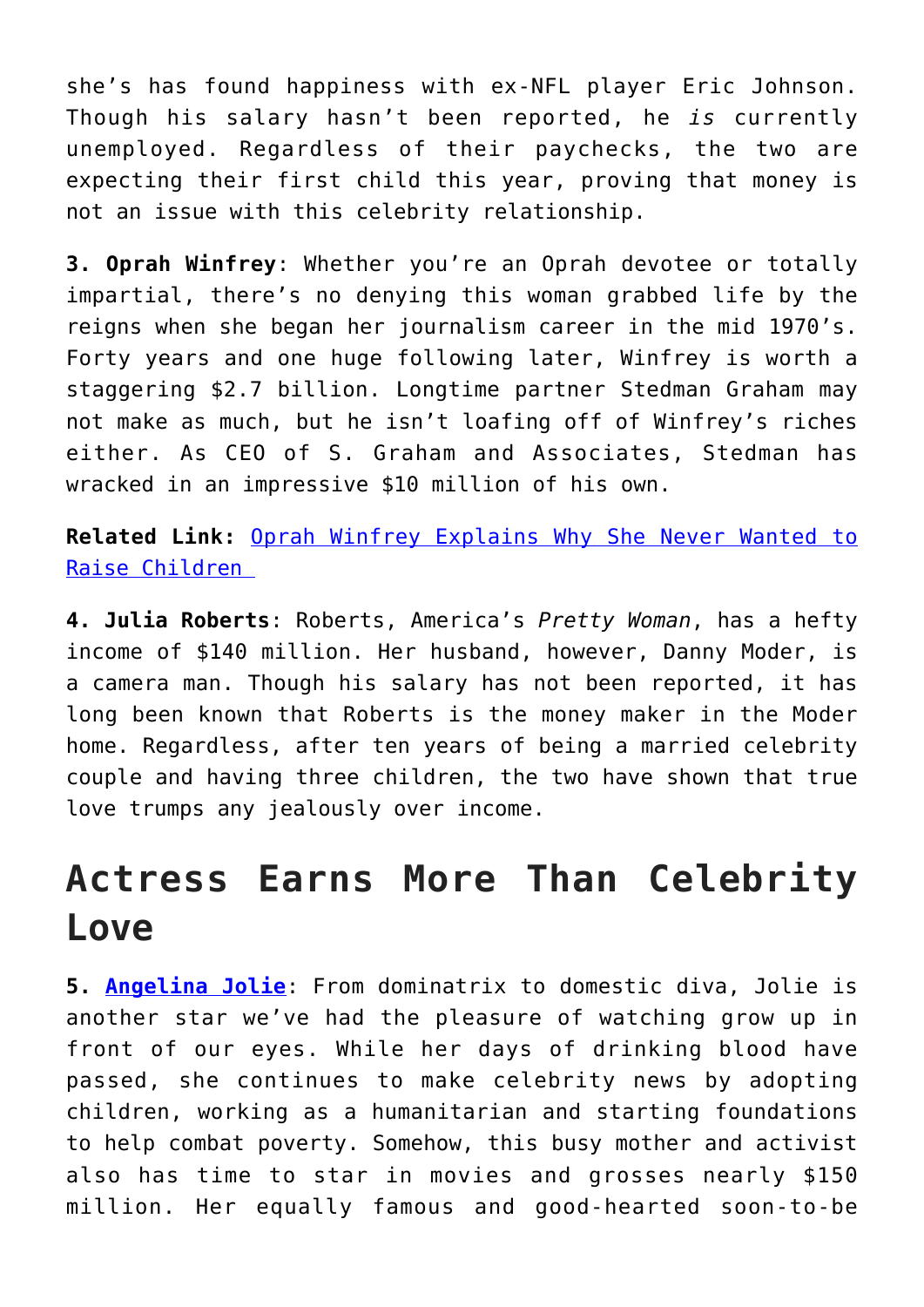she's has found happiness with ex-NFL player Eric Johnson. Though his salary hasn't been reported, he *is* currently unemployed. Regardless of their paychecks, the two are expecting their first child this year, proving that money is not an issue with this celebrity relationship.

**3. Oprah Winfrey**: Whether you're an Oprah devotee or totally impartial, there's no denying this woman grabbed life by the reigns when she began her journalism career in the mid 1970's. Forty years and one huge following later, Winfrey is worth a staggering \$2.7 billion. Longtime partner Stedman Graham may not make as much, but he isn't loafing off of Winfrey's riches either. As CEO of S. Graham and Associates, Stedman has wracked in an impressive \$10 million of his own.

**Related Link:** [Oprah Winfrey Explains Why She Never Wanted to](http://cupidspulse.com/65837/oprah-winfrey-explains-why-she-never-wanted-to-raise-children/) [Raise Children](http://cupidspulse.com/65837/oprah-winfrey-explains-why-she-never-wanted-to-raise-children/) 

**4. Julia Roberts**: Roberts, America's *Pretty Woman*, has a hefty income of \$140 million. Her husband, however, Danny Moder, is a camera man. Though his salary has not been reported, it has long been known that Roberts is the money maker in the Moder home. Regardless, after ten years of being a married celebrity couple and having three children, the two have shown that true love trumps any jealously over income.

### **Actress Earns More Than Celebrity Love**

**5. [Angelina Jolie](http://cupidspulse.com/86085/angelina-jolie/)**: From dominatrix to domestic diva, Jolie is another star we've had the pleasure of watching grow up in front of our eyes. While her days of drinking blood have passed, she continues to make celebrity news by adopting children, working as a humanitarian and starting foundations to help combat poverty. Somehow, this busy mother and activist also has time to star in movies and grosses nearly \$150 million. Her equally famous and good-hearted soon-to-be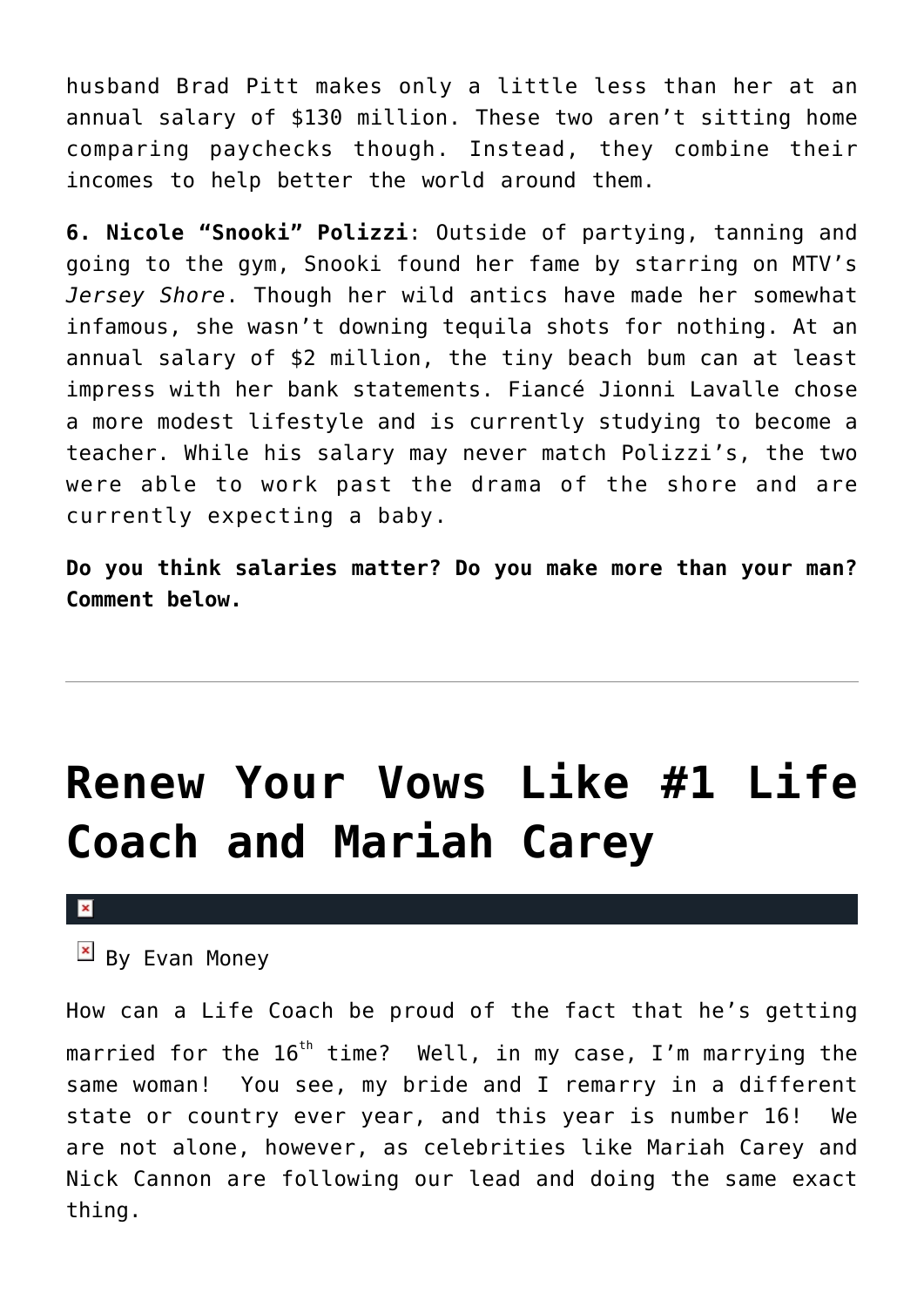husband Brad Pitt makes only a little less than her at an annual salary of \$130 million. These two aren't sitting home comparing paychecks though. Instead, they combine their incomes to help better the world around them.

**6. Nicole "Snooki" Polizzi**: Outside of partying, tanning and going to the gym, Snooki found her fame by starring on MTV's *Jersey Shore*. Though her wild antics have made her somewhat infamous, she wasn't downing tequila shots for nothing. At an annual salary of \$2 million, the tiny beach bum can at least impress with her bank statements. Fiancé Jionni Lavalle chose a more modest lifestyle and is currently studying to become a teacher. While his salary may never match Polizzi's, the two were able to work past the drama of the shore and are currently expecting a baby.

**Do you think salaries matter? Do you make more than your man? Comment below.**

## **[Renew Your Vows Like #1 Life](https://cupidspulse.com/29217/renew-vows-evan-money-mariah-carey-nick-cannon/) [Coach and Mariah Carey](https://cupidspulse.com/29217/renew-vows-evan-money-mariah-carey-nick-cannon/)**

### $\mathbf{x}$

 $\overline{B}$  By Evan Money

How can a Life Coach be proud of the fact that he's getting married for the  $16<sup>th</sup>$  time? Well, in my case, I'm marrying the same woman! You see, my bride and I remarry in a different state or country ever year, and this year is number 16! We are not alone, however, as celebrities like Mariah Carey and Nick Cannon are following our lead and doing the same exact thing.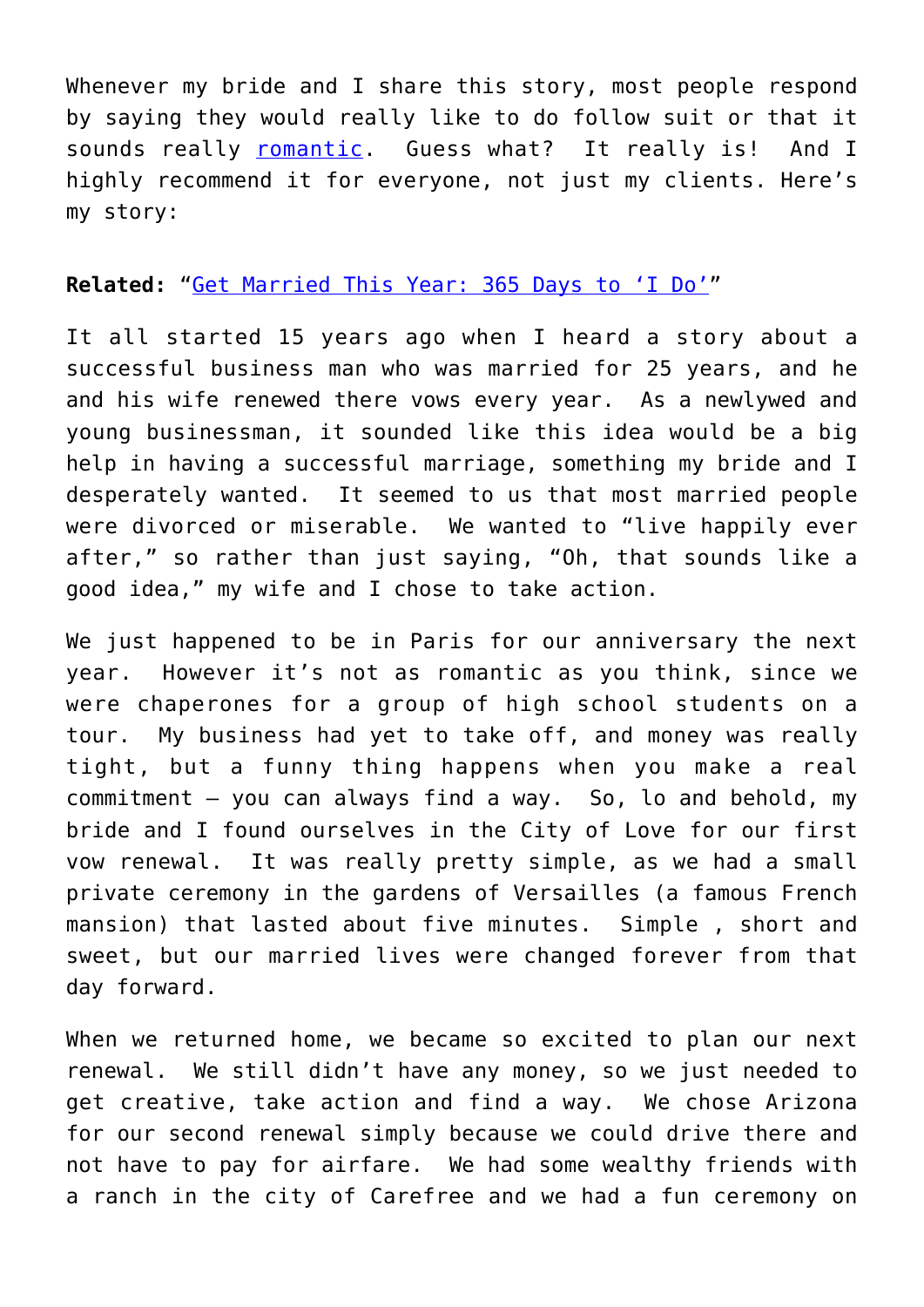Whenever my bride and I share this story, most people respond by saying they would really like to do follow suit or that it sounds really [romantic](http://cupidspulse.com/valentines-day-advice-romantic-home-dates-for-busy-parents/). Guess what? It really is! And I highly recommend it for everyone, not just my clients. Here's my story:

### **Related:** "[Get Married This Year: 365 Days to 'I Do'"](http://cupidspulse.com/get-married-this-year-365-days-to-i-do-12-month-plan-janet-blair-page/)

It all started 15 years ago when I heard a story about a successful business man who was married for 25 years, and he and his wife renewed there vows every year. As a newlywed and young businessman, it sounded like this idea would be a big help in having a successful marriage, something my bride and I desperately wanted. It seemed to us that most married people were divorced or miserable. We wanted to "live happily ever after," so rather than just saying, "Oh, that sounds like a good idea," my wife and I chose to take action.

We just happened to be in Paris for our anniversary the next year. However it's not as romantic as you think, since we were chaperones for a group of high school students on a tour. My business had yet to take off, and money was really tight, but a funny thing happens when you make a real commitment — you can always find a way. So, lo and behold, my bride and I found ourselves in the City of Love for our first vow renewal. It was really pretty simple, as we had a small private ceremony in the gardens of Versailles (a famous French mansion) that lasted about five minutes. Simple , short and sweet, but our married lives were changed forever from that day forward.

When we returned home, we became so excited to plan our next renewal. We still didn't have any money, so we just needed to get creative, take action and find a way. We chose Arizona for our second renewal simply because we could drive there and not have to pay for airfare. We had some wealthy friends with a ranch in the city of Carefree and we had a fun ceremony on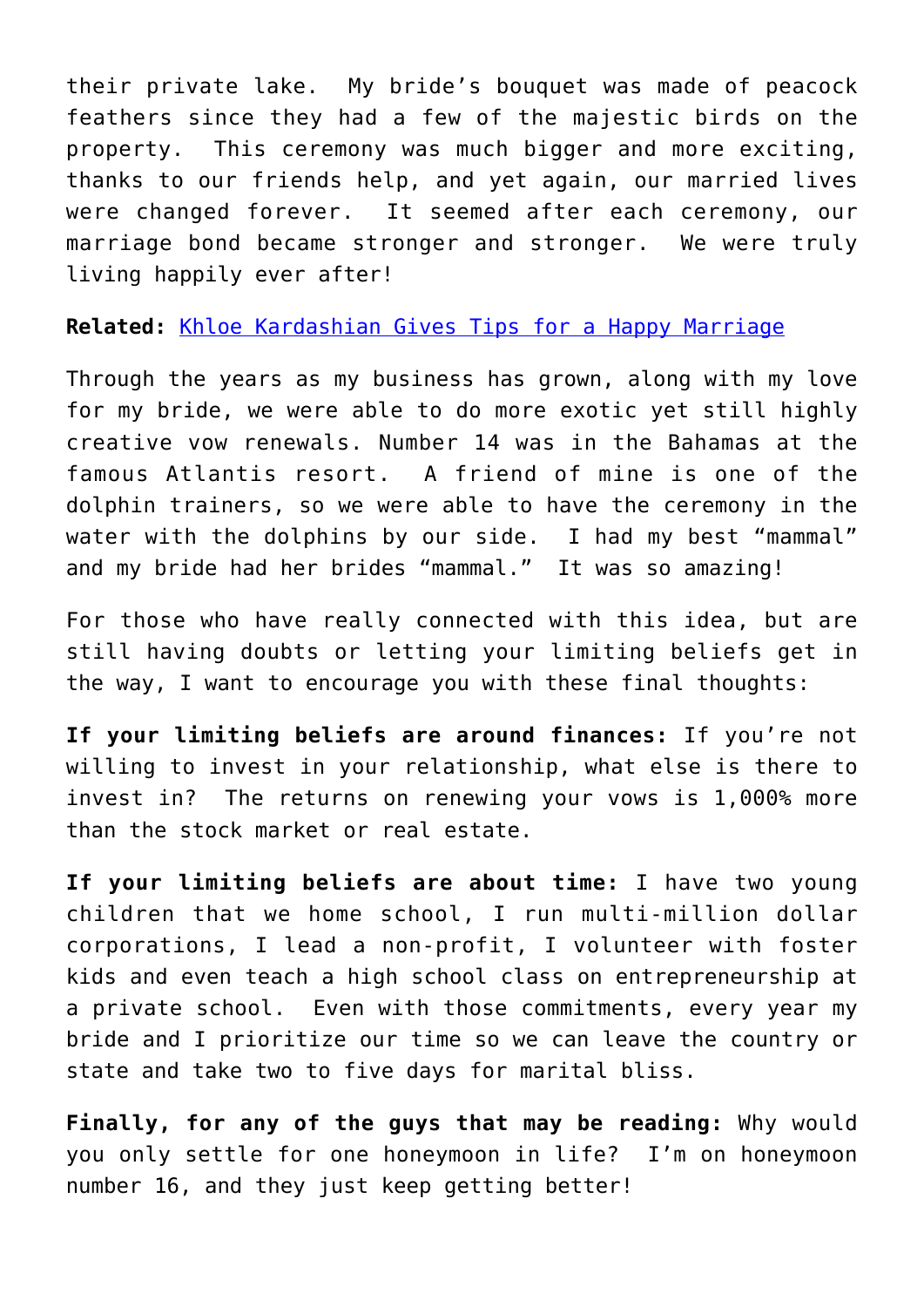their private lake. My bride's bouquet was made of peacock feathers since they had a few of the majestic birds on the property. This ceremony was much bigger and more exciting, thanks to our friends help, and yet again, our married lives were changed forever. It seemed after each ceremony, our marriage bond became stronger and stronger. We were truly living happily ever after!

**Related:** [Khloe Kardashian Gives Tips for a Happy Marriage](http://cupidspulse.com/khloe-kardashian-gives-tips-for-a-happy-marriage/)

Through the years as my business has grown, along with my love for my bride, we were able to do more exotic yet still highly creative vow renewals. Number 14 was in the Bahamas at the famous Atlantis resort. A friend of mine is one of the dolphin trainers, so we were able to have the ceremony in the water with the dolphins by our side. I had my best "mammal" and my bride had her brides "mammal." It was so amazing!

For those who have really connected with this idea, but are still having doubts or letting your limiting beliefs get in the way, I want to encourage you with these final thoughts:

**If your limiting beliefs are around finances:** If you're not willing to invest in your relationship, what else is there to invest in? The returns on renewing your vows is 1,000% more than the stock market or real estate.

**If your limiting beliefs are about time:** I have two young children that we home school, I run multi-million dollar corporations, I lead a non-profit, I volunteer with foster kids and even teach a high school class on entrepreneurship at a private school. Even with those commitments, every year my bride and I prioritize our time so we can leave the country or state and take two to five days for marital bliss.

**Finally, for any of the guys that may be reading:** Why would you only settle for one honeymoon in life? I'm on honeymoon number 16, and they just keep getting better!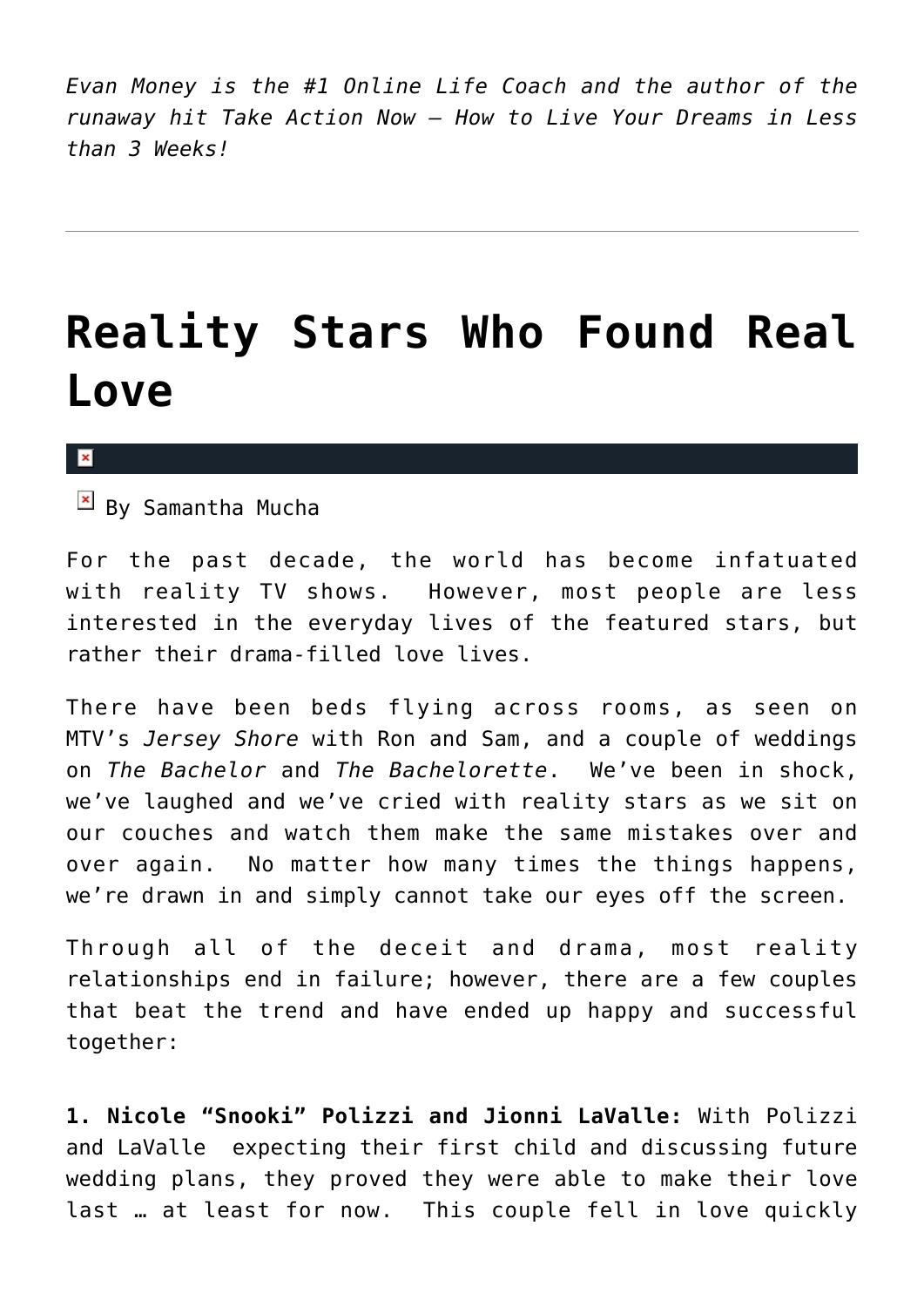*Evan Money is the #1 Online Life Coach and the author of the runaway hit Take Action Now — How to Live Your Dreams in Less than 3 Weeks!*

## **[Reality Stars Who Found Real](https://cupidspulse.com/28619/reality-star-couples-real-love/) [Love](https://cupidspulse.com/28619/reality-star-couples-real-love/)**

#### ×

 $\overline{B}$  By Samantha Mucha

For the past decade, the world has become infatuated with reality TV shows. However, most people are less interested in the everyday lives of the featured stars, but rather their drama-filled love lives.

There have been beds flying across rooms, as seen on MTV's *Jersey Shore* with Ron and Sam, and a couple of weddings on *The Bachelor* and *The Bachelorette*. We've been in shock, we've laughed and we've cried with reality stars as we sit on our couches and watch them make the same mistakes over and over again. No matter how many times the things happens, we're drawn in and simply cannot take our eyes off the screen.

Through all of the deceit and drama, most reality relationships end in failure; however, there are a few couples that beat the trend and have ended up happy and successful together:

**1. Nicole "Snooki" Polizzi and Jionni LaValle:** With Polizzi and LaValle expecting their first child and discussing future wedding plans, they proved they were able to make their love last … at least for now. This couple fell in love quickly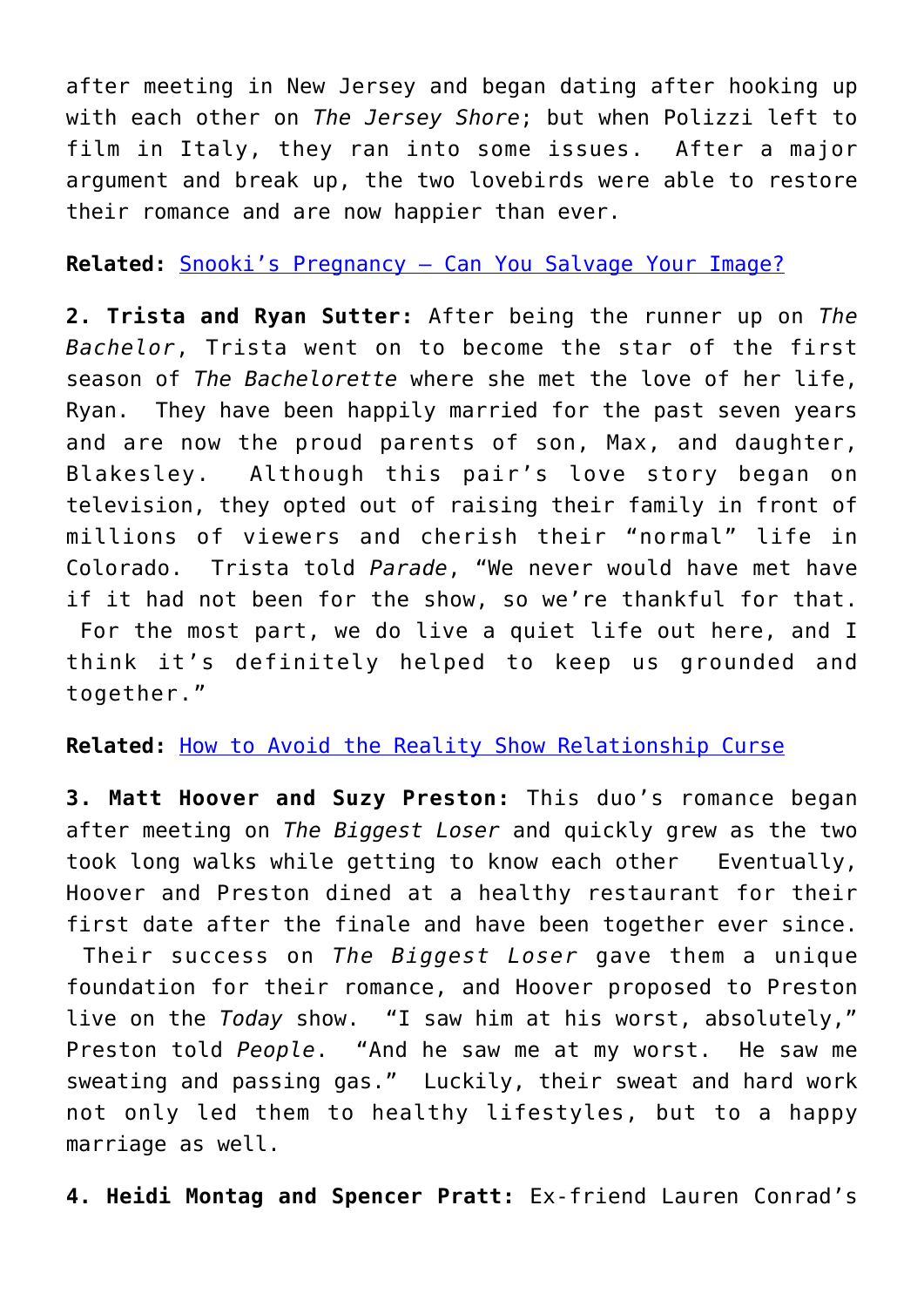after meeting in New Jersey and began dating after hooking up with each other on *The Jersey Shore*; but when Polizzi left to film in Italy, they ran into some issues. After a major argument and break up, the two lovebirds were able to restore their romance and are now happier than ever.

### **Related:** [Snooki's Pregnancy – Can You Salvage Your Image?](http://cupidspulse.com/snooki-pregnancy-salvage-image-career/)

**2. Trista and Ryan Sutter:** After being the runner up on *The Bachelor*, Trista went on to become the star of the first season of *The Bachelorette* where she met the love of her life, Ryan. They have been happily married for the past seven years and are now the proud parents of son, Max, and daughter, Blakesley. Although this pair's love story began on television, they opted out of raising their family in front of millions of viewers and cherish their "normal" life in Colorado. Trista told *Parade*, "We never would have met have if it had not been for the show, so we're thankful for that. For the most part, we do live a quiet life out here, and I think it's definitely helped to keep us grounded and together."

### **Related:** [How to Avoid the Reality Show Relationship Curse](http://cupidspulse.com/kim-kardashian-kris-humphries-how-to-avoid-reality-show-relationship-curse-jessica-simpson-hulk-hogan-carmen-electra-kate-gosselin/)

**3. Matt Hoover and Suzy Preston:** This duo's romance began after meeting on *The Biggest Loser* and quickly grew as the two took long walks while getting to know each other Eventually, Hoover and Preston dined at a healthy restaurant for their first date after the finale and have been together ever since. Their success on *The Biggest Loser* gave them a unique foundation for their romance, and Hoover proposed to Preston live on the *Today* show. "I saw him at his worst, absolutely," Preston told *People*. "And he saw me at my worst. He saw me sweating and passing gas." Luckily, their sweat and hard work not only led them to healthy lifestyles, but to a happy marriage as well.

**4. Heidi Montag and Spencer Pratt:** Ex-friend Lauren Conrad's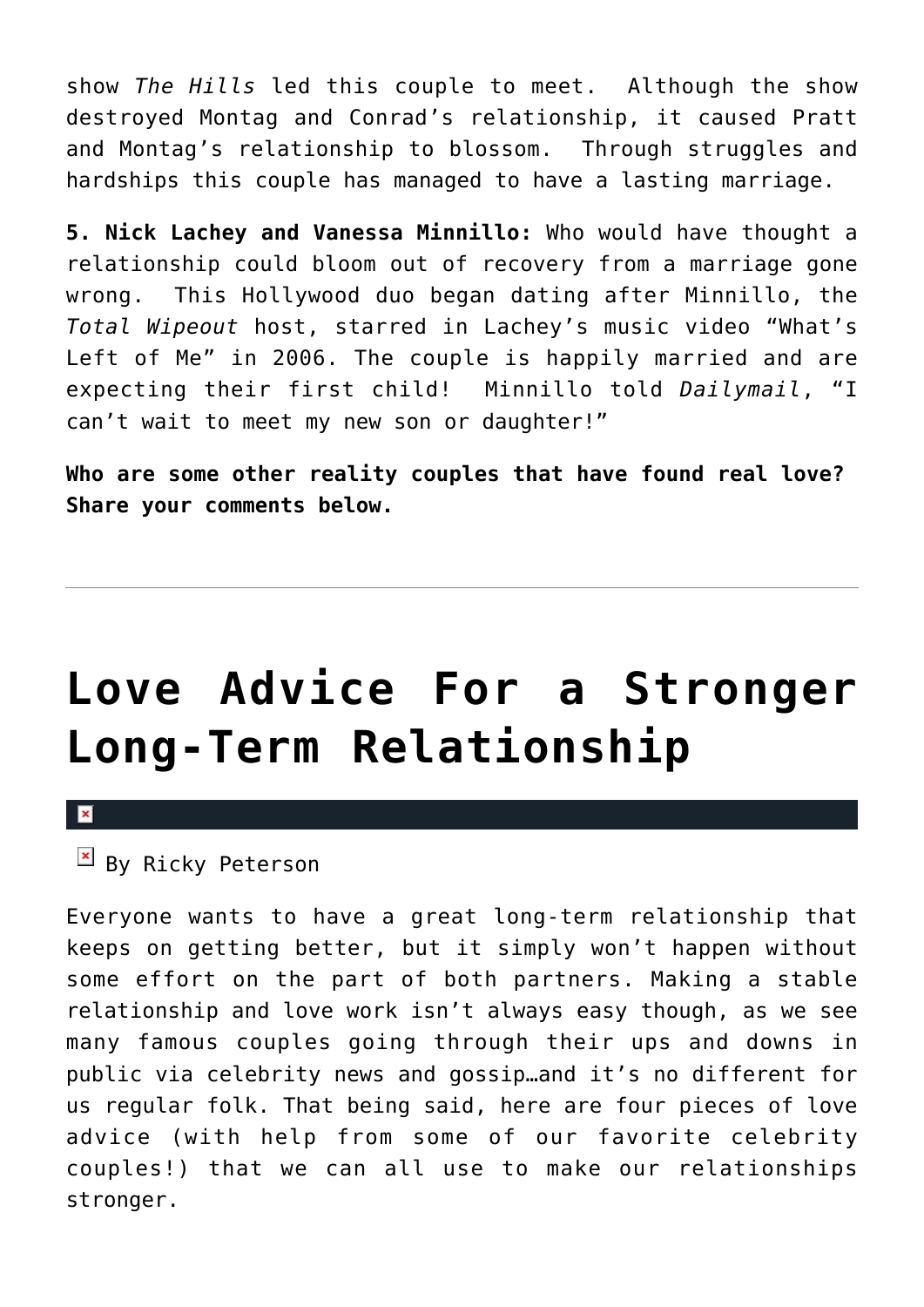show *The Hills* led this couple to meet. Although the show destroyed Montag and Conrad's relationship, it caused Pratt and Montag's relationship to blossom. Through struggles and hardships this couple has managed to have a lasting marriage.

**5. Nick Lachey and Vanessa Minnillo:** Who would have thought a relationship could bloom out of recovery from a marriage gone wrong. This Hollywood duo began dating after Minnillo, the *Total Wipeout* host, starred in Lachey's music video "What's Left of Me" in 2006. The couple is happily married and are expecting their first child! Minnillo told *Dailymail*, "I can't wait to meet my new son or daughter!"

**Who are some other reality couples that have found real love? Share your comments below.**

# **[Love Advice For a Stronger](https://cupidspulse.com/29912/4-steps-strong-long-term-relationship/) [Long-Term Relationship](https://cupidspulse.com/29912/4-steps-strong-long-term-relationship/)**

 $\mathbf{x}$ 

### $\overline{B}$  By Ricky Peterson

Everyone wants to have a great long-term relationship that keeps on getting better, but it simply won't happen without some effort on the part of both partners. Making a stable relationship and love work isn't always easy though, as we see many famous couples going through their ups and downs in public via celebrity news and gossip…and it's no different for us regular folk. That being said, here are four pieces of love advice (with help from some of our favorite celebrity couples!) that we can all use to make our relationships stronger.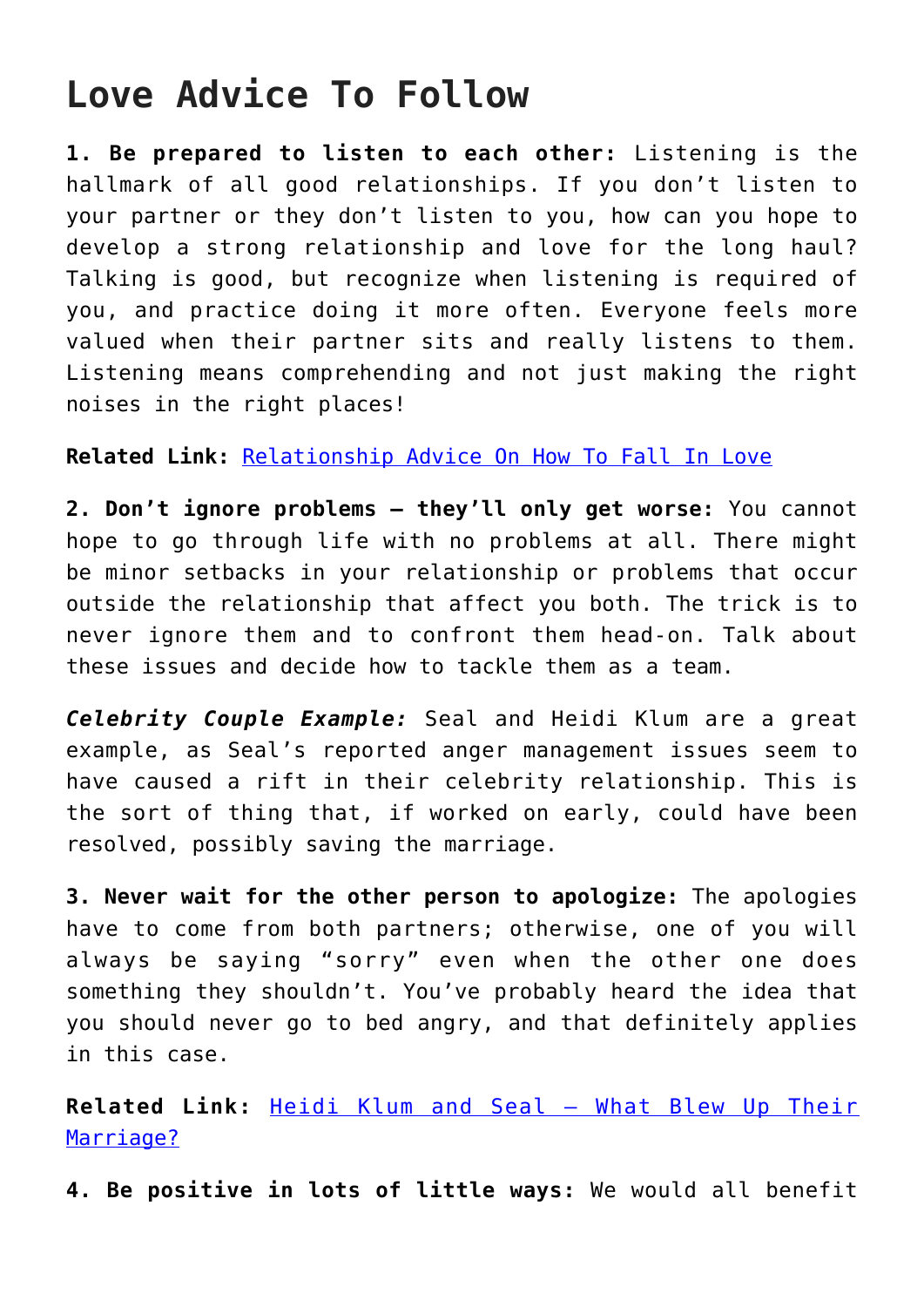### **Love Advice To Follow**

**1. Be prepared to listen to each other:** Listening is the hallmark of all good relationships. If you don't listen to your partner or they don't listen to you, how can you hope to develop a strong relationship and love for the long haul? Talking is good, but recognize when listening is required of you, and practice doing it more often. Everyone feels more valued when their partner sits and really listens to them. Listening means comprehending and not just making the right noises in the right places!

**Related Link:** [Relationship Advice On How To Fall In Love](http://cupidspulse.com/101388/relationship-advice-fall-in-love/)

**2. Don't ignore problems — they'll only get worse:** You cannot hope to go through life with no problems at all. There might be minor setbacks in your relationship or problems that occur outside the relationship that affect you both. The trick is to never ignore them and to confront them head-on. Talk about these issues and decide how to tackle them as a team.

*Celebrity Couple Example:* Seal and Heidi Klum are a great example, as Seal's reported anger management issues seem to have caused a rift in their celebrity relationship. This is the sort of thing that, if worked on early, could have been resolved, possibly saving the marriage.

**3. Never wait for the other person to apologize:** The apologies have to come from both partners; otherwise, one of you will always be saying "sorry" even when the other one does something they shouldn't. You've probably heard the idea that you should never go to bed angry, and that definitely applies in this case.

**Related Link:** [Heidi Klum and Seal — What Blew Up Their](http://cupidspulse.com/project-runway-heidi-klum-seal-what-went-wrong-caused-separation-split-divorce/) [Marriage?](http://cupidspulse.com/project-runway-heidi-klum-seal-what-went-wrong-caused-separation-split-divorce/)

**4. Be positive in lots of little ways:** We would all benefit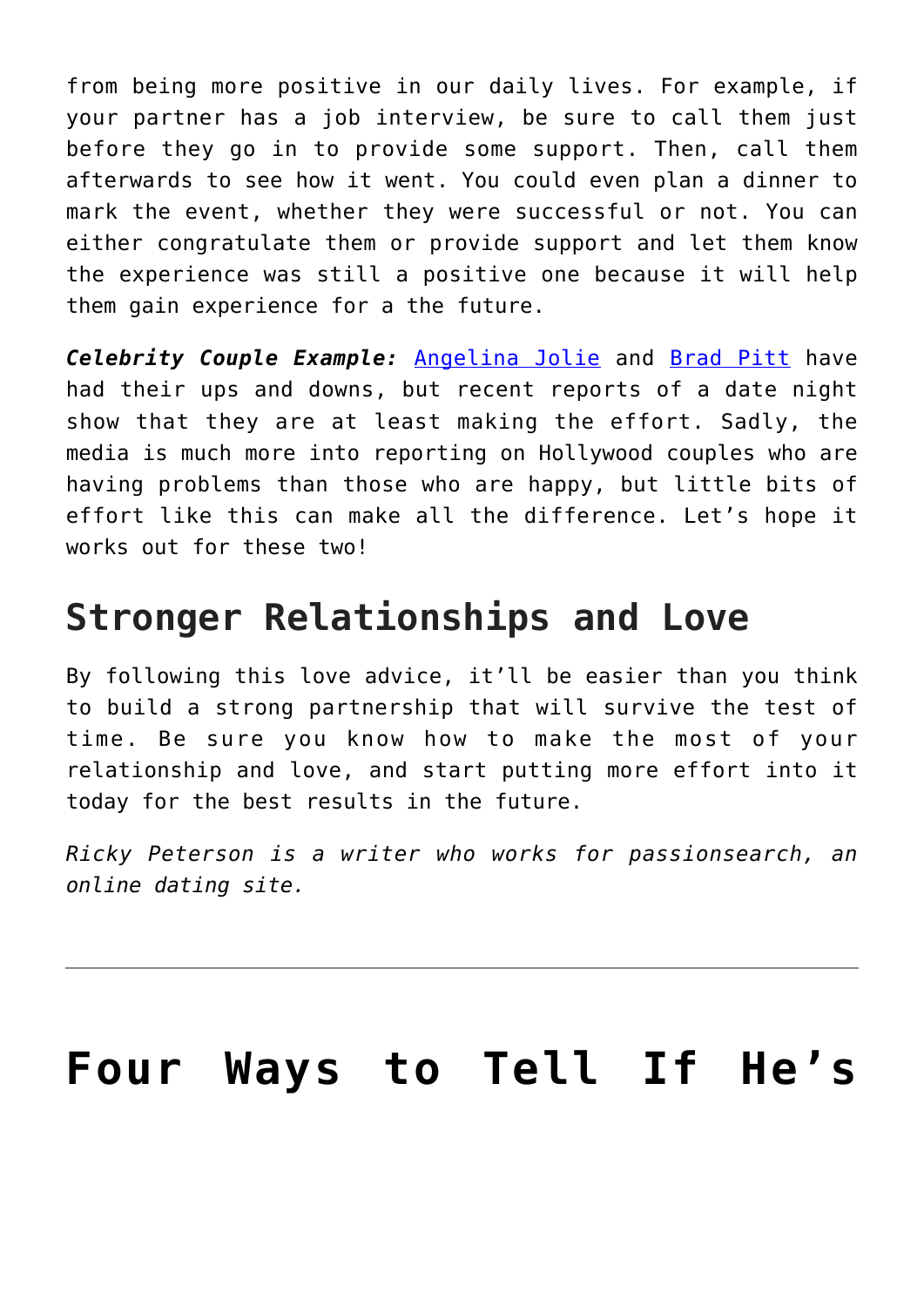from being more positive in our daily lives. For example, if your partner has a job interview, be sure to call them just before they go in to provide some support. Then, call them afterwards to see how it went. You could even plan a dinner to mark the event, whether they were successful or not. You can either congratulate them or provide support and let them know the experience was still a positive one because it will help them gain experience for a the future.

*Celebrity Couple Example:* [Angelina Jolie](http://cupidspulse.com/86085/angelina-jolie/%20) and [Brad Pitt](http://cupidspulse.com/88145/brad-pitt/) have had their ups and downs, but recent reports of a date night show that they are at least making the effort. Sadly, the media is much more into reporting on Hollywood couples who are having problems than those who are happy, but little bits of effort like this can make all the difference. Let's hope it works out for these two!

### **Stronger Relationships and Love**

By following this love advice, it'll be easier than you think to build a strong partnership that will survive the test of time. Be sure you know how to make the most of your relationship and love, and start putting more effort into it today for the best results in the future.

*Ricky Peterson is a writer who works for passionsearch, an online dating site.* 

## **[Four Ways to Tell If He's](https://cupidspulse.com/29714/four-ways-tell-hes-the-one/)**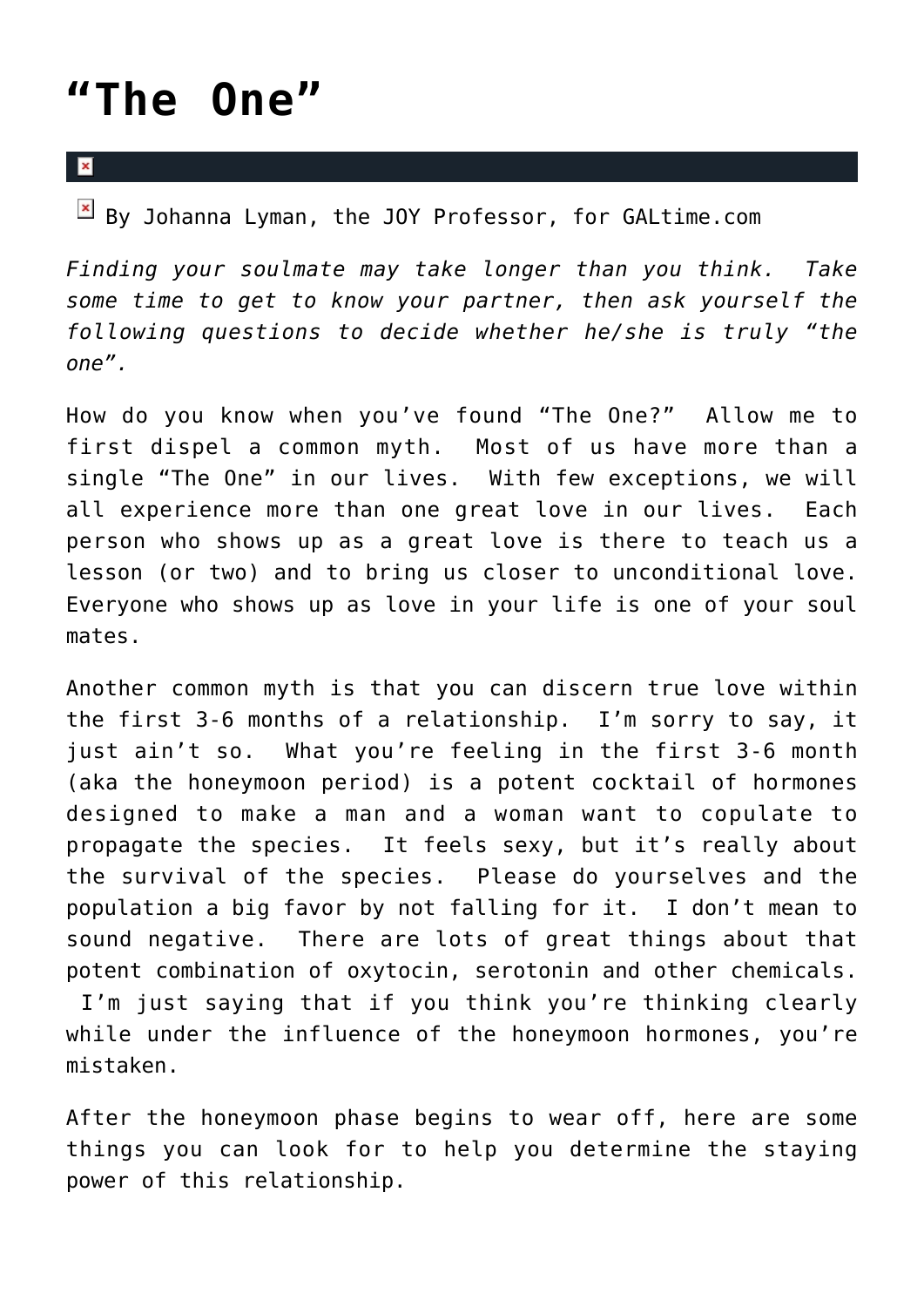## **["The One"](https://cupidspulse.com/29714/four-ways-tell-hes-the-one/)**

### $\mathbf{x}$

 $\boxed{\times}$  By Johanna Lyman, the JOY Professor, for GALtime.com

*Finding your soulmate may take longer than you think. Take some time to get to know your partner, then ask yourself the following questions to decide whether he/she is truly "the one".*

How do you know when you've found "The One?" Allow me to first dispel a common myth. Most of us have more than a single "The One" in our lives. With few exceptions, we will all experience more than one great love in our lives. Each person who shows up as a great love is there to teach us a lesson (or two) and to bring us closer to unconditional love. Everyone who shows up as love in your life is one of your soul mates.

Another common myth is that you can discern true love within the first 3-6 months of a relationship. I'm sorry to say, it just ain't so. What you're feeling in the first 3-6 month (aka the honeymoon period) is a potent cocktail of hormones designed to make a man and a woman want to copulate to propagate the species. It feels sexy, but it's really about the survival of the species. Please do yourselves and the population a big favor by not falling for it. I don't mean to sound negative. There are lots of great things about that potent combination of oxytocin, serotonin and other chemicals. I'm just saying that if you think you're thinking clearly while under the influence of the honeymoon hormones, you're mistaken.

After the honeymoon phase begins to wear off, here are some things you can look for to help you determine the staying power of this relationship.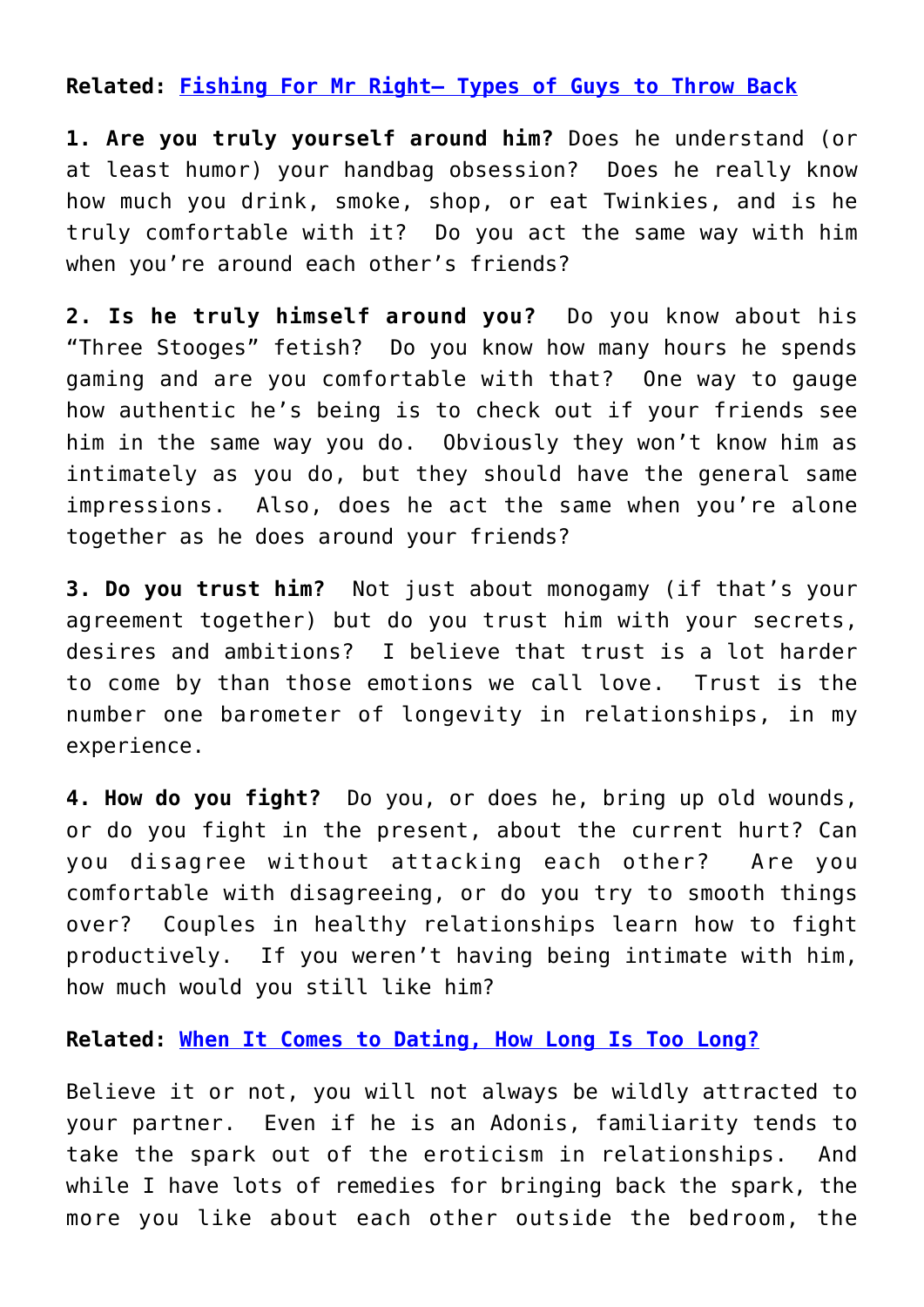**Related: [Fishing For Mr Right– Types of Guys to Throw Back](http://galtime.com)**

**1. Are you truly yourself around him?** Does he understand (or at least humor) your handbag obsession? Does he really know how much you drink, smoke, shop, or eat Twinkies, and is he truly comfortable with it? Do you act the same way with him when you're around each other's friends?

**2. Is he truly himself around you?** Do you know about his "Three Stooges" fetish? Do you know how many hours he spends gaming and are you comfortable with that? One way to gauge how authentic he's being is to check out if your friends see him in the same way you do. Obviously they won't know him as intimately as you do, but they should have the general same impressions. Also, does he act the same when you're alone together as he does around your friends?

**3. Do you trust him?** Not just about monogamy (if that's your agreement together) but do you trust him with your secrets, desires and ambitions? I believe that trust is a lot harder to come by than those emotions we call love. Trust is the number one barometer of longevity in relationships, in my experience.

**4. How do you fight?** Do you, or does he, bring up old wounds, or do you fight in the present, about the current hurt? Can you disagree without attacking each other? Are you comfortable with disagreeing, or do you try to smooth things over? Couples in healthy relationships learn how to fight productively. If you weren't having being intimate with him, how much would you still like him?

**Related: [When It Comes to Dating, How Long Is Too Long?](http://galtime.com)**

Believe it or not, you will not always be wildly attracted to your partner. Even if he is an Adonis, familiarity tends to take the spark out of the eroticism in relationships. And while I have lots of remedies for bringing back the spark, the more you like about each other outside the bedroom, the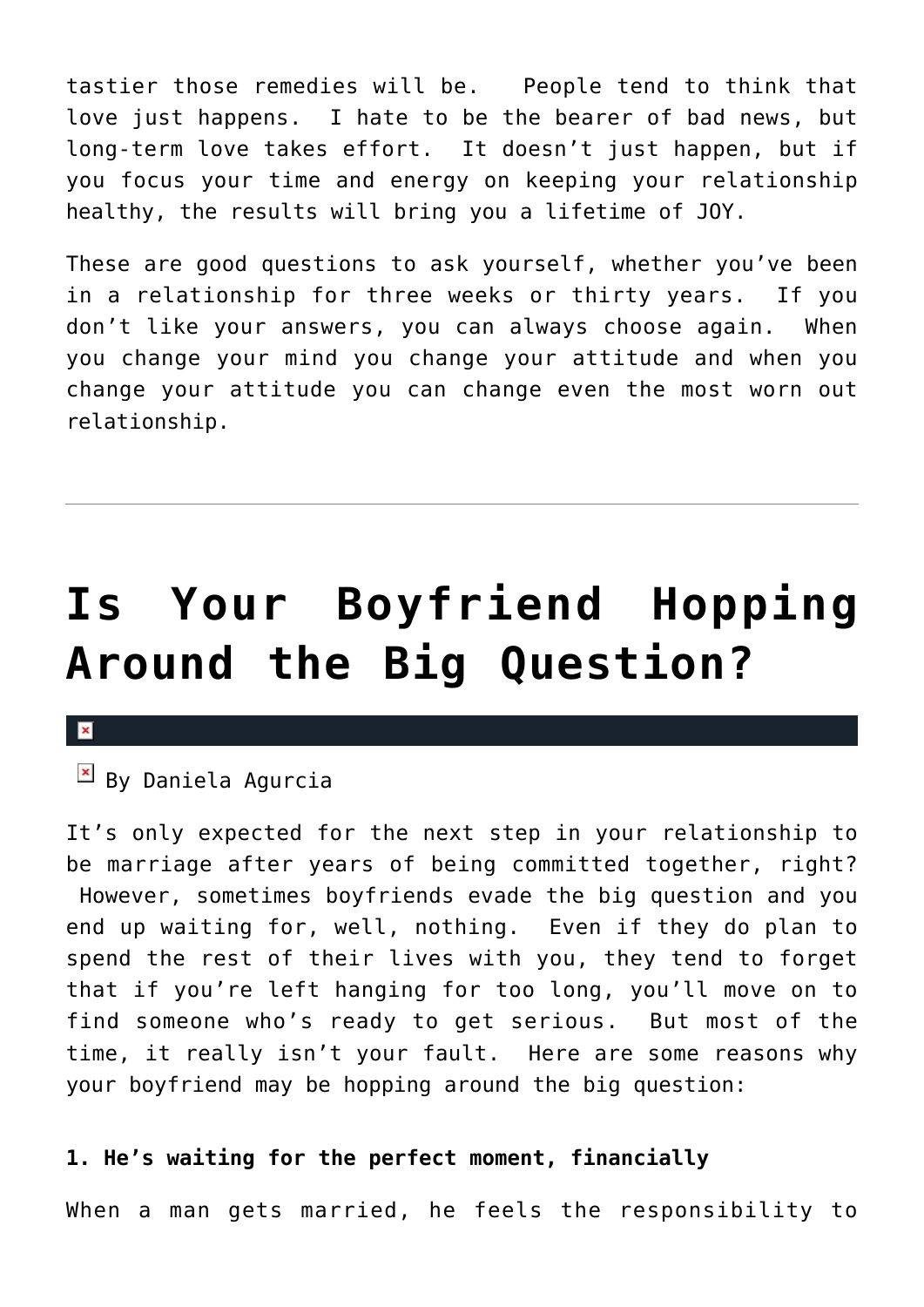tastier those remedies will be. People tend to think that love just happens. I hate to be the bearer of bad news, but long-term love takes effort. It doesn't just happen, but if you focus your time and energy on keeping your relationship healthy, the results will bring you a lifetime of JOY.

These are good questions to ask yourself, whether you've been in a relationship for three weeks or thirty years. If you don't like your answers, you can always choose again. When you change your mind you change your attitude and when you change your attitude you can change even the most worn out relationship.

## **[Is Your Boyfriend Hopping](https://cupidspulse.com/28889/boyfriend-avoiding-big-question-marriage/) [Around the Big Question?](https://cupidspulse.com/28889/boyfriend-avoiding-big-question-marriage/)**

### $\pmb{\times}$

### $\boxed{\times}$  By Daniela Agurcia

It's only expected for the next step in your relationship to be marriage after years of being committed together, right? However, sometimes boyfriends evade the big question and you end up waiting for, well, nothing. Even if they do plan to spend the rest of their lives with you, they tend to forget that if you're left hanging for too long, you'll move on to find someone who's ready to get serious. But most of the time, it really isn't your fault. Here are some reasons why your boyfriend may be hopping around the big question:

### **1. He's waiting for the perfect moment, financially**

When a man gets married, he feels the responsibility to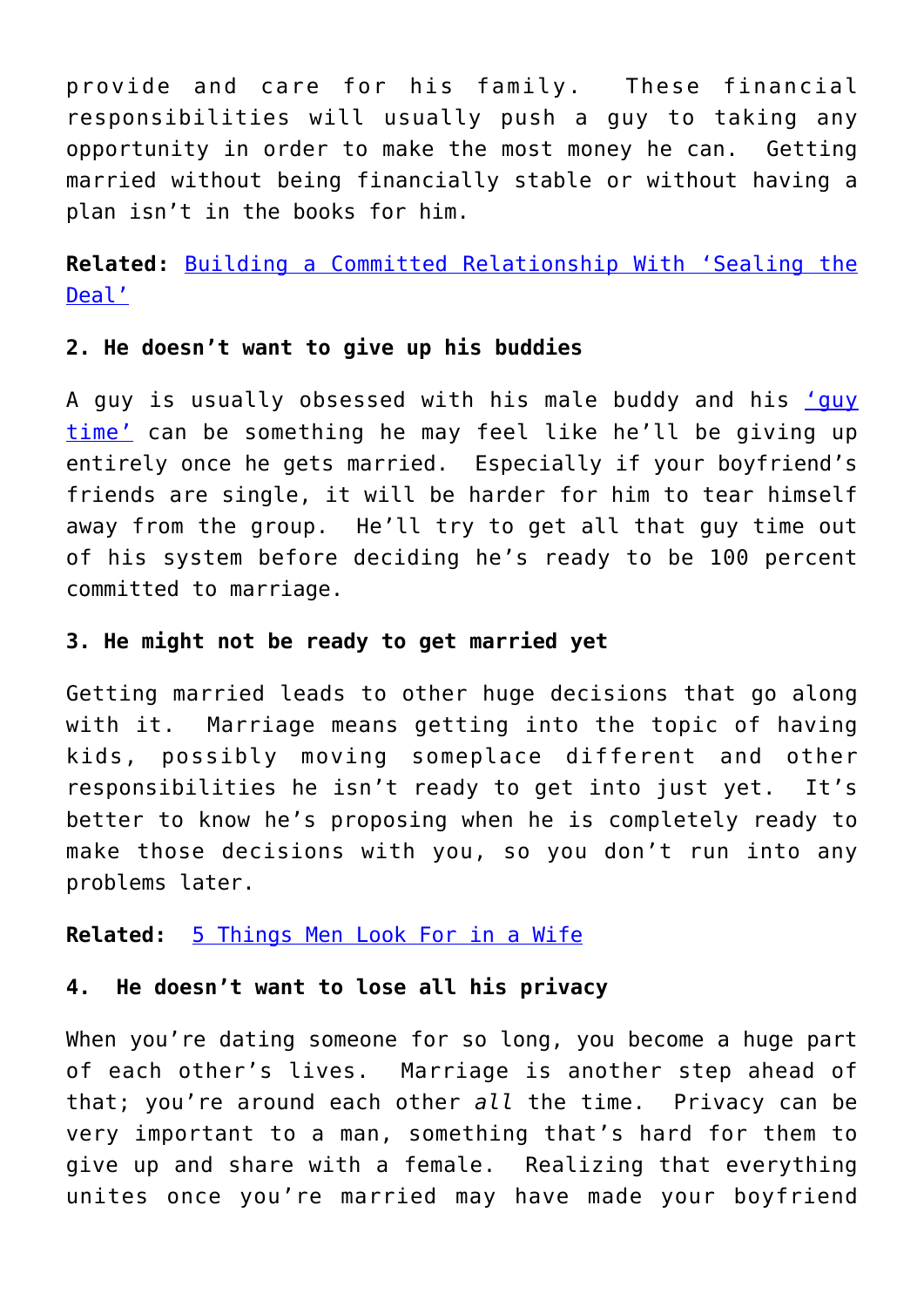provide and care for his family. These financial responsibilities will usually push a guy to taking any opportunity in order to make the most money he can. Getting married without being financially stable or without having a plan isn't in the books for him.

**Related:** [Building a Committed Relationship With 'Sealing the](http://cupidspulse.com/diana-kirschner-phd-successful-committed-relationship-sealing-the-deal/) [Deal'](http://cupidspulse.com/diana-kirschner-phd-successful-committed-relationship-sealing-the-deal/)

### **2. He doesn't want to give up his buddies**

A guy is usually obsessed with his male buddy and his ['guy](http://cupidspulse.com/weekend-date-idea-give-your-boyfriend-a-guys-night-out/) [time'](http://cupidspulse.com/weekend-date-idea-give-your-boyfriend-a-guys-night-out/) can be something he may feel like he'll be giving up entirely once he gets married. Especially if your boyfriend's friends are single, it will be harder for him to tear himself away from the group. He'll try to get all that guy time out of his system before deciding he's ready to be 100 percent committed to marriage.

### **3. He might not be ready to get married yet**

Getting married leads to other huge decisions that go along with it. Marriage means getting into the topic of having kids, possibly moving someplace different and other responsibilities he isn't ready to get into just yet. It's better to know he's proposing when he is completely ready to make those decisions with you, so you don't run into any problems later.

### **Related:** [5 Things Men Look For in a Wife](http://cupidspulse.com/five-qualities-men-look-for-wife-spouse-partner/)

### **4. He doesn't want to lose all his privacy**

When you're dating someone for so long, you become a huge part of each other's lives. Marriage is another step ahead of that; you're around each other *all* the time. Privacy can be very important to a man, something that's hard for them to give up and share with a female. Realizing that everything unites once you're married may have made your boyfriend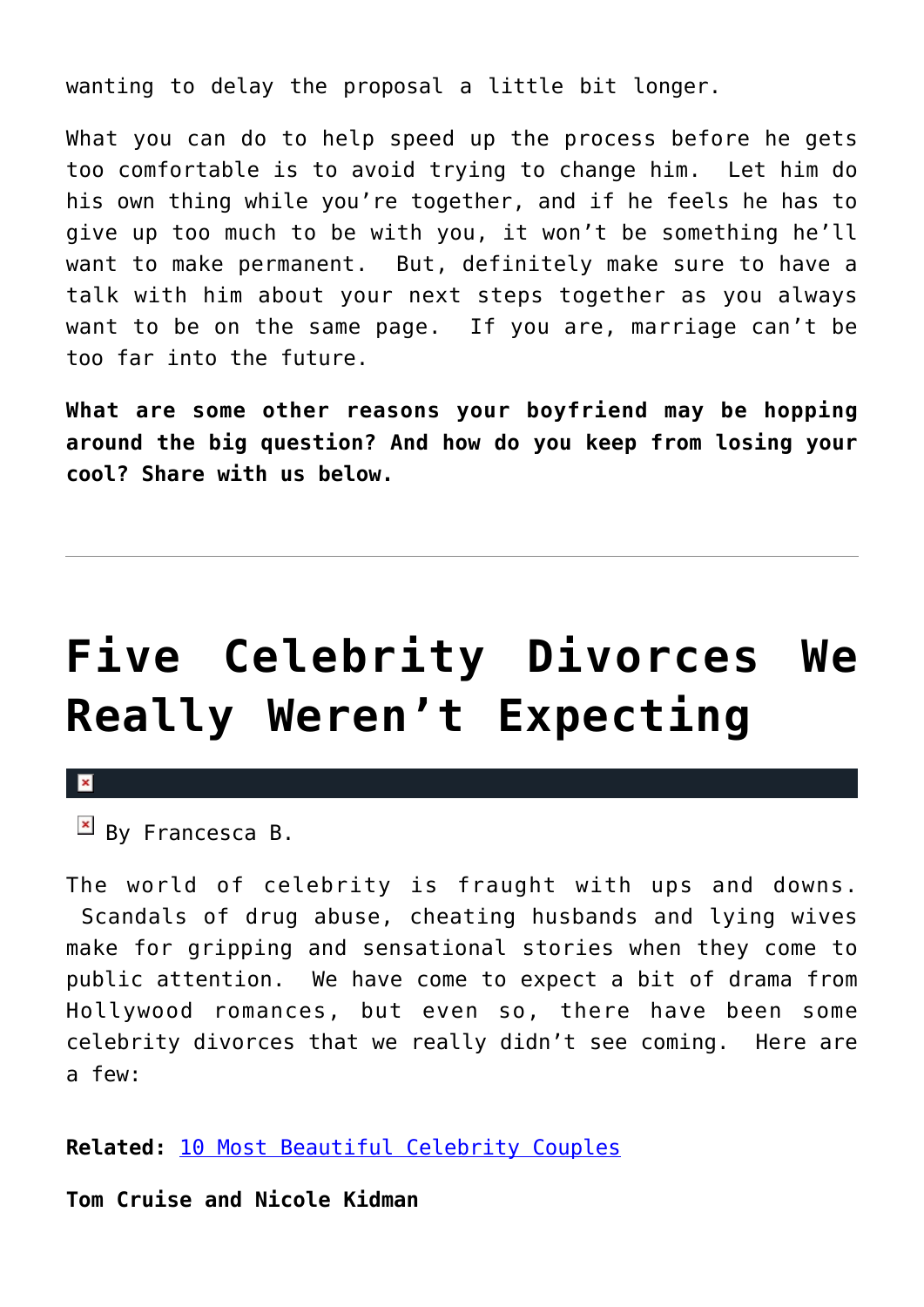wanting to delay the proposal a little bit longer.

What you can do to help speed up the process before he gets too comfortable is to avoid trying to change him. Let him do his own thing while you're together, and if he feels he has to give up too much to be with you, it won't be something he'll want to make permanent. But, definitely make sure to have a talk with him about your next steps together as you always want to be on the same page. If you are, marriage can't be too far into the future.

**What are some other reasons your boyfriend may be hopping around the big question? And how do you keep from losing your cool? Share with us below.**

# **[Five Celebrity Divorces We](https://cupidspulse.com/29789/five-celebrity-divorces-not-expecting/) [Really Weren't Expecting](https://cupidspulse.com/29789/five-celebrity-divorces-not-expecting/)**



 $\mathbb{E}$  By Francesca B.

The world of celebrity is fraught with ups and downs. Scandals of drug abuse, cheating husbands and lying wives make for gripping and sensational stories when they come to public attention. We have come to expect a bit of drama from Hollywood romances, but even so, there have been some celebrity divorces that we really didn't see coming. Here are a few:

**Related:** [10 Most Beautiful Celebrity Couples](http://cupidspulse.com/ten-most-beautiful-celebrity-couples/)

**Tom Cruise and Nicole Kidman**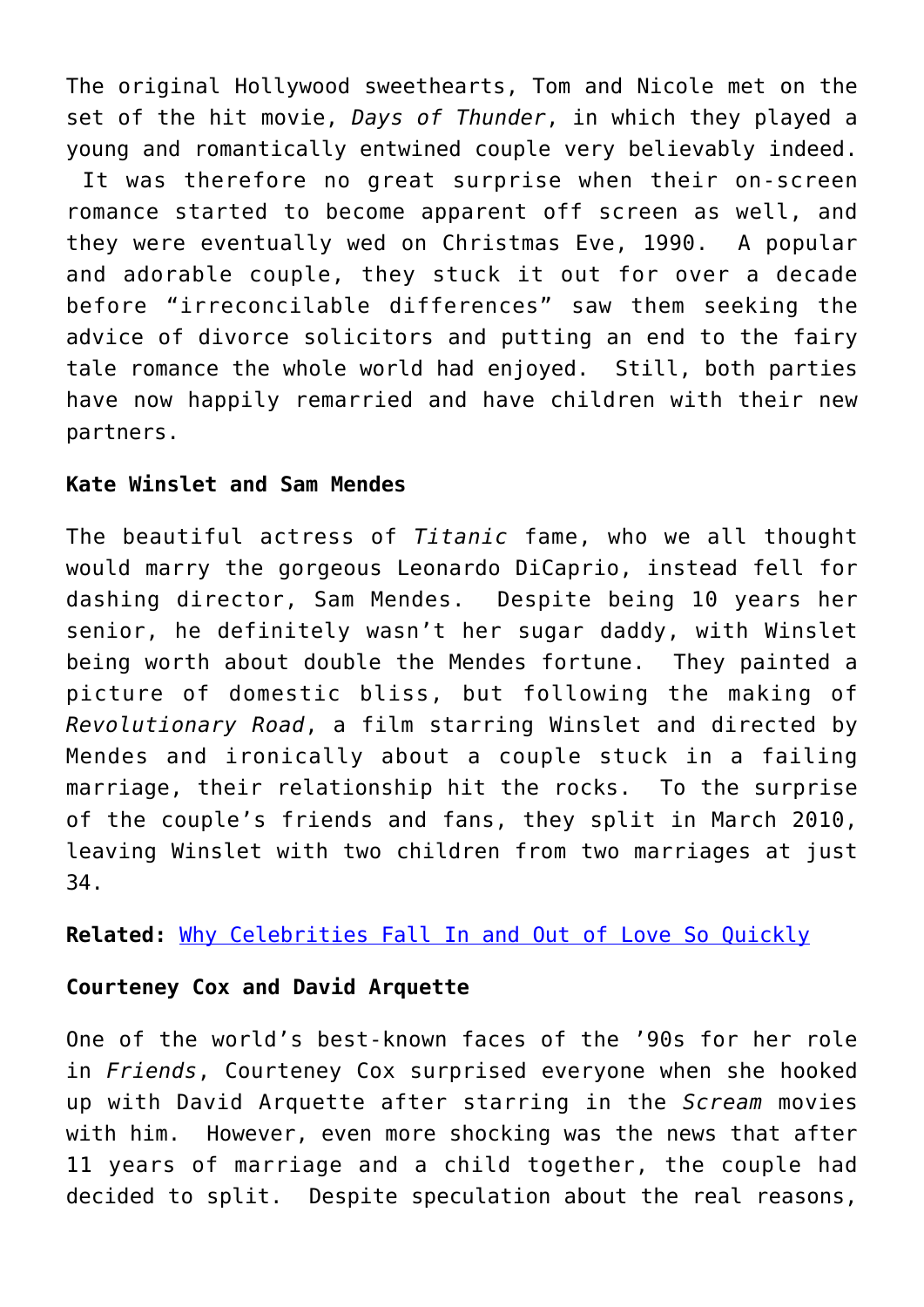The original Hollywood sweethearts, Tom and Nicole met on the set of the hit movie, *Days of Thunder*, in which they played a young and romantically entwined couple very believably indeed.

 It was therefore no great surprise when their on-screen romance started to become apparent off screen as well, and they were eventually wed on Christmas Eve, 1990. A popular and adorable couple, they stuck it out for over a decade before "irreconcilable differences" saw them seeking the advice of divorce solicitors and putting an end to the fairy tale romance the whole world had enjoyed. Still, both parties have now happily remarried and have children with their new partners.

### **Kate Winslet and Sam Mendes**

The beautiful actress of *Titanic* fame, who we all thought would marry the gorgeous Leonardo DiCaprio, instead fell for dashing director, Sam Mendes. Despite being 10 years her senior, he definitely wasn't her sugar daddy, with Winslet being worth about double the Mendes fortune. They painted a picture of domestic bliss, but following the making of *Revolutionary Road*, a film starring Winslet and directed by Mendes and ironically about a couple stuck in a failing marriage, their relationship hit the rocks. To the surprise of the couple's friends and fans, they split in March 2010, leaving Winslet with two children from two marriages at just 34.

**Related:** [Why Celebrities Fall In and Out of Love So Quickly](http://cupidspulse.com/why-celebrities-fall-in-out-love-quickly-whirlwind-romance-heartbreak-divorce/)

### **Courteney Cox and David Arquette**

One of the world's best-known faces of the '90s for her role in *Friends*, Courteney Cox surprised everyone when she hooked up with David Arquette after starring in the *Scream* movies with him. However, even more shocking was the news that after 11 years of marriage and a child together, the couple had decided to split. Despite speculation about the real reasons,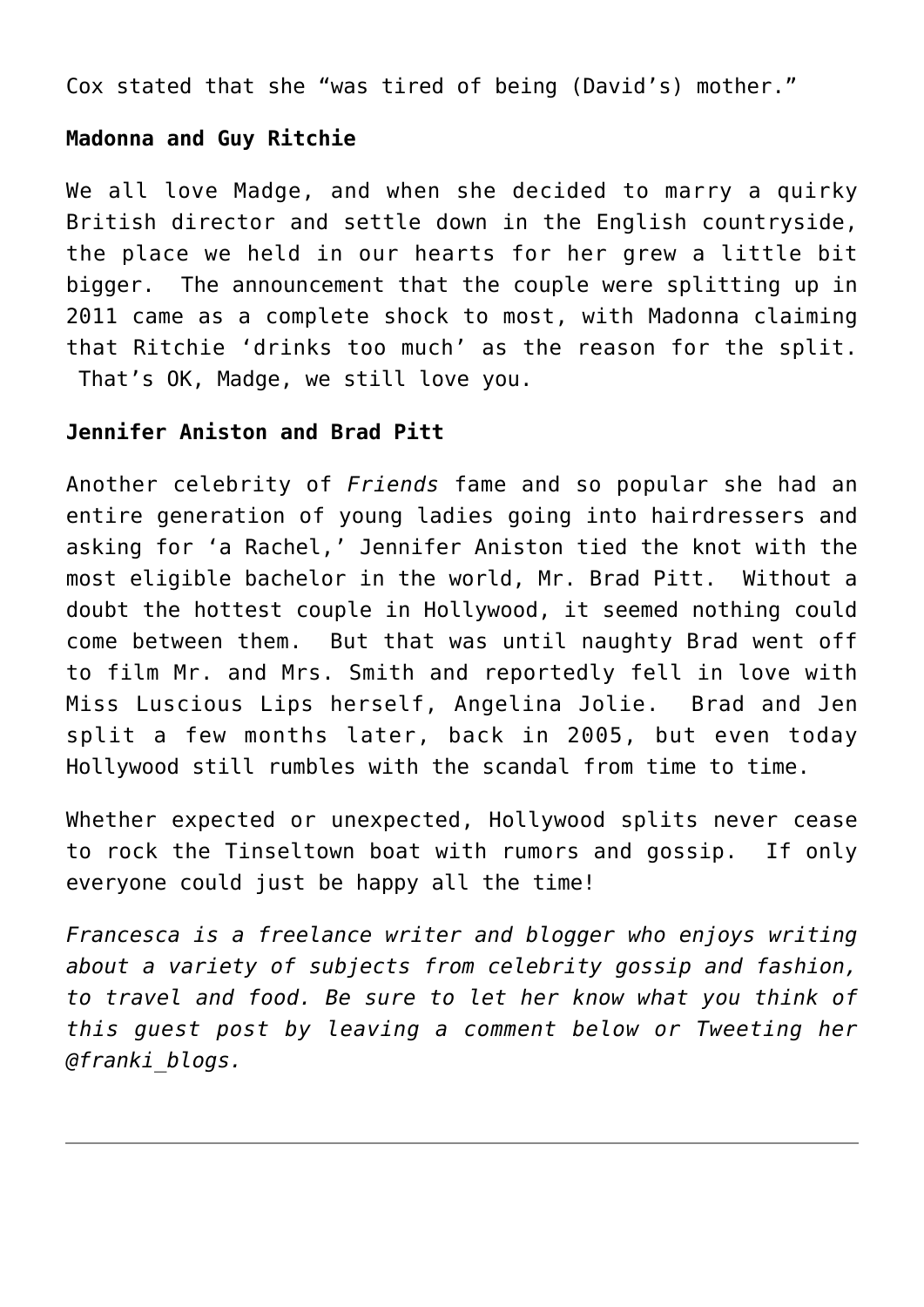Cox stated that she "was tired of being (David's) mother."

### **Madonna and Guy Ritchie**

We all love Madge, and when she decided to marry a quirky British director and settle down in the English countryside, the place we held in our hearts for her grew a little bit bigger. The announcement that the couple were splitting up in 2011 came as a complete shock to most, with Madonna claiming that Ritchie 'drinks too much' as the reason for the split. That's OK, Madge, we still love you.

### **Jennifer Aniston and Brad Pitt**

Another celebrity of *Friends* fame and so popular she had an entire generation of young ladies going into hairdressers and asking for 'a Rachel,' Jennifer Aniston tied the knot with the most eligible bachelor in the world, Mr. Brad Pitt. Without a doubt the hottest couple in Hollywood, it seemed nothing could come between them. But that was until naughty Brad went off to film Mr. and Mrs. Smith and reportedly fell in love with Miss Luscious Lips herself, Angelina Jolie. Brad and Jen split a few months later, back in 2005, but even today Hollywood still rumbles with the scandal from time to time.

Whether expected or unexpected, Hollywood splits never cease to rock the Tinseltown boat with rumors and gossip. If only everyone could just be happy all the time!

*Francesca is a freelance writer and blogger who enjoys writing about a variety of subjects from celebrity gossip and fashion, to travel and food. Be sure to let her know what you think of this guest post by leaving a comment below or Tweeting her @franki\_blogs.*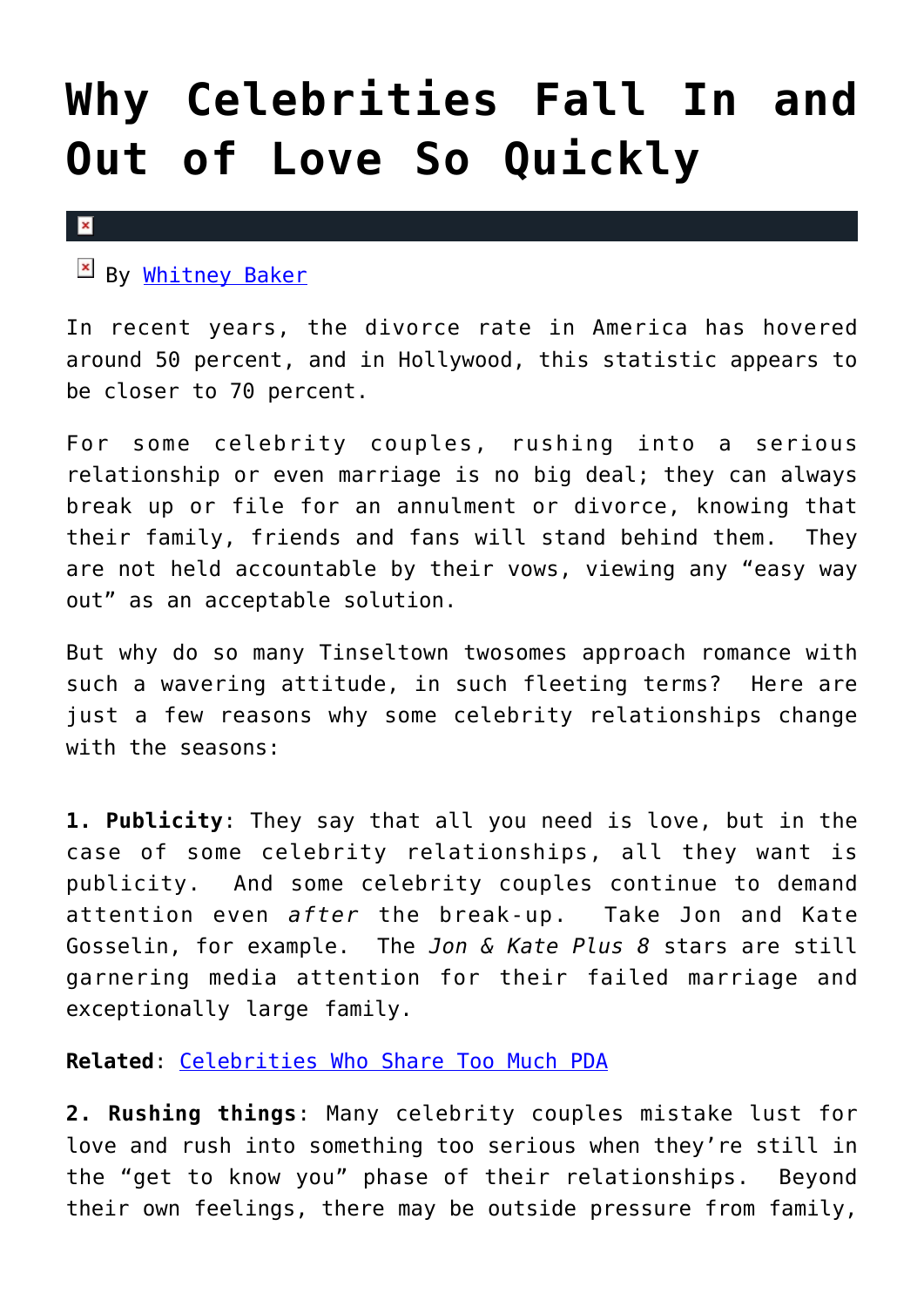## **[Why Celebrities Fall In and](https://cupidspulse.com/28195/why-celebrities-fall-in-out-love-quickly-whirlwind-romance-heartbreak-divorce/) [Out of Love So Quickly](https://cupidspulse.com/28195/why-celebrities-fall-in-out-love-quickly-whirlwind-romance-heartbreak-divorce/)**

#### $\pmb{\times}$

By [Whitney Baker](http://cupidspulse.com/?s=Whitney+Baker)

In recent years, the divorce rate in America has hovered around 50 percent, and in Hollywood, this statistic appears to be closer to 70 percent.

For some celebrity couples, rushing into a serious relationship or even marriage is no big deal; they can always break up or file for an annulment or divorce, knowing that their family, friends and fans will stand behind them. They are not held accountable by their vows, viewing any "easy way out" as an acceptable solution.

But why do so many Tinseltown twosomes approach romance with such a wavering attitude, in such fleeting terms? Here are just a few reasons why some celebrity relationships change with the seasons:

**1. Publicity**: They say that all you need is love, but in the case of some celebrity relationships, all they want is publicity. And some celebrity couples continue to demand attention even *after* the break-up. Take Jon and Kate Gosselin, for example. The *Jon & Kate Plus 8* stars are still garnering media attention for their failed marriage and exceptionally large family.

**Related**: [Celebrities Who Share Too Much PDA](http://cupidspulse.com/celebrities-who-share-too-much-pda-public-affection-kissing/)

**2. Rushing things**: Many celebrity couples mistake lust for love and rush into something too serious when they're still in the "get to know you" phase of their relationships. Beyond their own feelings, there may be outside pressure from family,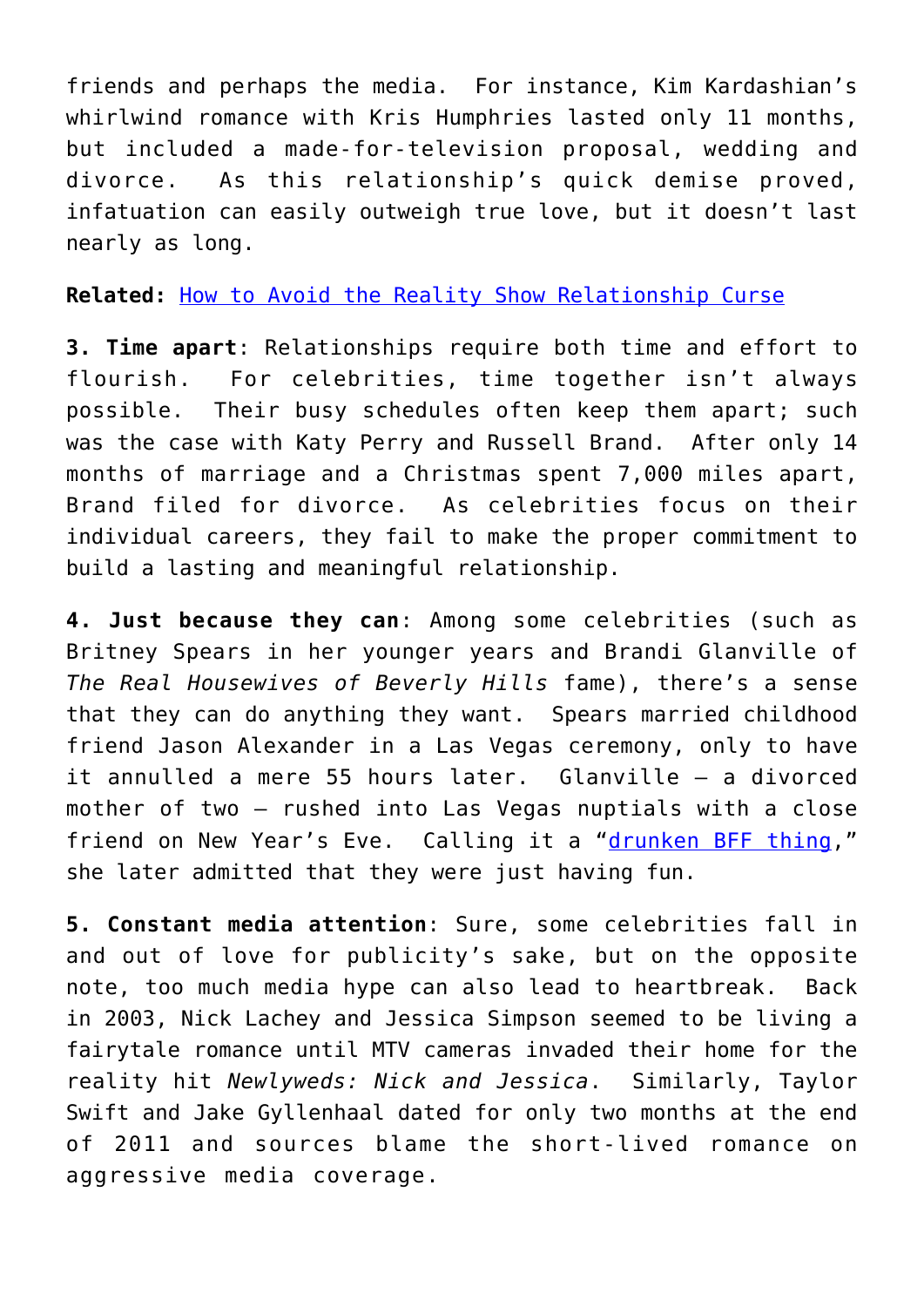friends and perhaps the media. For instance, Kim Kardashian's whirlwind romance with Kris Humphries lasted only 11 months, but included a made-for-television proposal, wedding and divorce. As this relationship's quick demise proved, infatuation can easily outweigh true love, but it doesn't last nearly as long.

**Related:** [How to Avoid the Reality Show Relationship Curse](http://cupidspulse.com/kim-kardashian-kris-humphries-how-to-avoid-reality-show-relationship-curse-jessica-simpson-hulk-hogan-carmen-electra-kate-gosselin/)

**3. Time apart**: Relationships require both time and effort to flourish. For celebrities, time together isn't always possible. Their busy schedules often keep them apart; such was the case with Katy Perry and Russell Brand. After only 14 months of marriage and a Christmas spent 7,000 miles apart, Brand filed for divorce. As celebrities focus on their individual careers, they fail to make the proper commitment to build a lasting and meaningful relationship.

**4. Just because they can**: Among some celebrities (such as Britney Spears in her younger years and Brandi Glanville of *The Real Housewives of Beverly Hills* fame), there's a sense that they can do anything they want. Spears married childhood friend Jason Alexander in a Las Vegas ceremony, only to have it annulled a mere 55 hours later. Glanville — a divorced mother of two — rushed into Las Vegas nuptials with a close friend on New Year's Eve. Calling it a "[drunken BFF thing](http://www.huffingtonpost.com/2012/01/03/brandi-glanville-married-_n_1179897.html)," she later admitted that they were just having fun.

**5. Constant media attention**: Sure, some celebrities fall in and out of love for publicity's sake, but on the opposite note, too much media hype can also lead to heartbreak. Back in 2003, Nick Lachey and Jessica Simpson seemed to be living a fairytale romance until MTV cameras invaded their home for the reality hit *Newlyweds: Nick and Jessica*. Similarly, Taylor Swift and Jake Gyllenhaal dated for only two months at the end of 2011 and sources blame the short-lived romance on aggressive media coverage.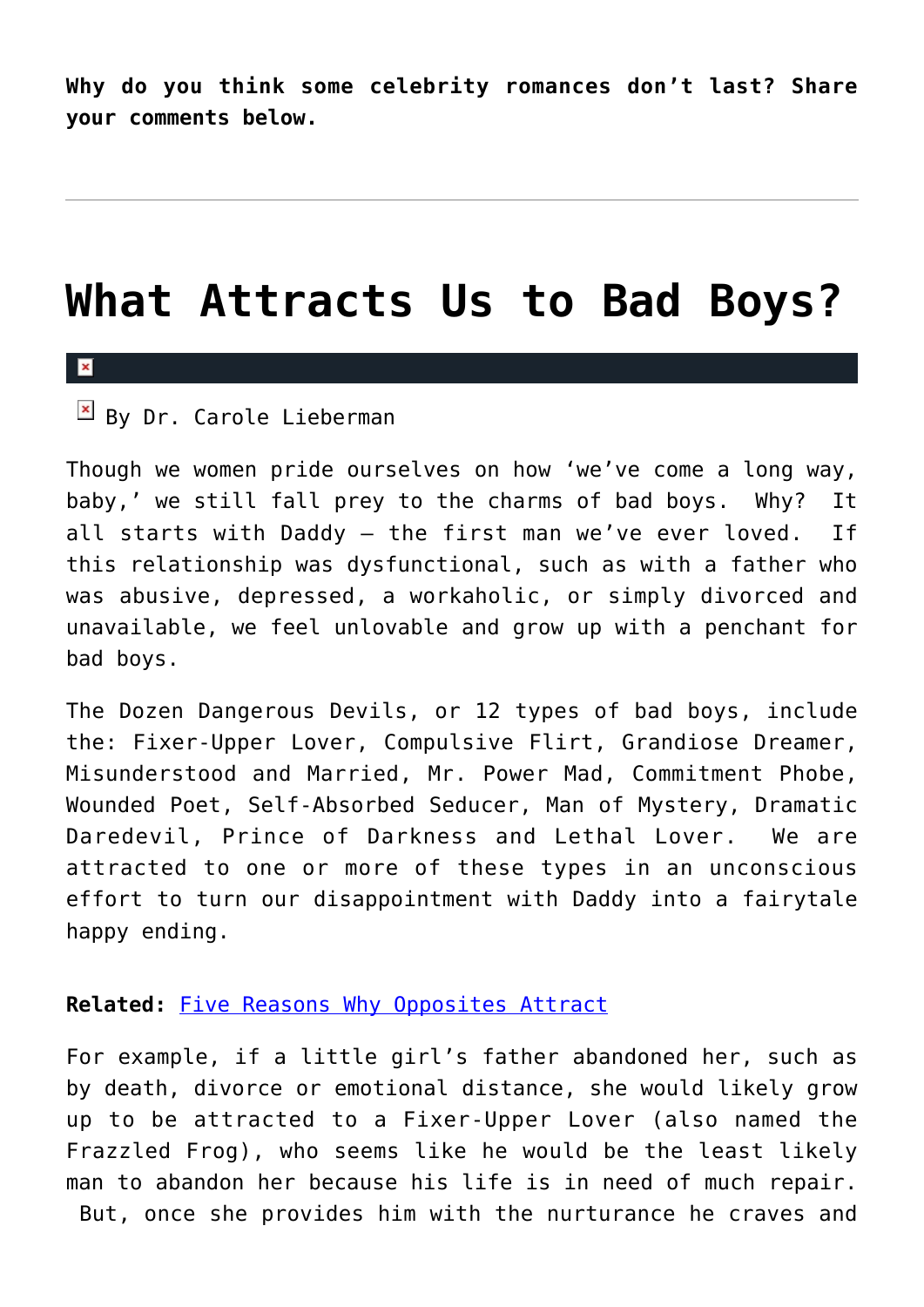**Why do you think some celebrity romances don't last? Share your comments below.**

## **[What Attracts Us to Bad Boys?](https://cupidspulse.com/29606/what-attracts-us-to-bad-boys-chris-brown-brad-pitt/)**

### $\mathbf{x}$

 $\mathbb{E}$  By Dr. Carole Lieberman

Though we women pride ourselves on how 'we've come a long way, baby,' we still fall prey to the charms of bad boys. Why? It all starts with Daddy — the first man we've ever loved. If this relationship was dysfunctional, such as with a father who was abusive, depressed, a workaholic, or simply divorced and unavailable, we feel unlovable and grow up with a penchant for bad boys.

The Dozen Dangerous Devils, or 12 types of bad boys, include the: Fixer-Upper Lover, Compulsive Flirt, Grandiose Dreamer, Misunderstood and Married, Mr. Power Mad, Commitment Phobe, Wounded Poet, Self-Absorbed Seducer, Man of Mystery, Dramatic Daredevil, Prince of Darkness and Lethal Lover. We are attracted to one or more of these types in an unconscious effort to turn our disappointment with Daddy into a fairytale happy ending.

### **Related:** [Five Reasons Why Opposites Attract](http://cupidspulse.com/five-reasons-why-opposites-attract/)

For example, if a little girl's father abandoned her, such as by death, divorce or emotional distance, she would likely grow up to be attracted to a Fixer-Upper Lover (also named the Frazzled Frog), who seems like he would be the least likely man to abandon her because his life is in need of much repair. But, once she provides him with the nurturance he craves and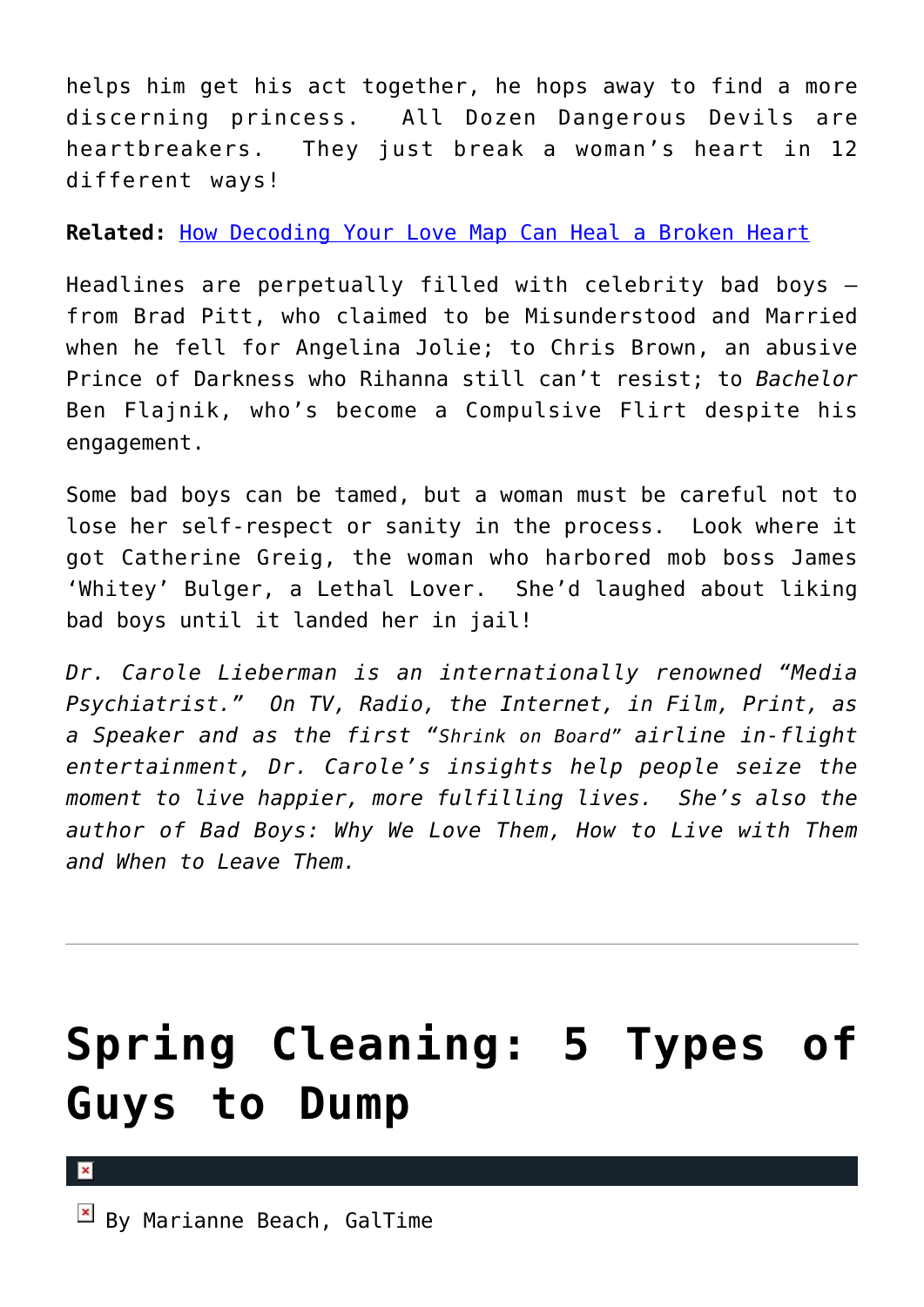helps him get his act together, he hops away to find a more discerning princess. All Dozen Dangerous Devils are heartbreakers. They just break a woman's heart in 12 different ways!

**Related:** [How Decoding Your Love Map Can Heal a Broken Heart](http://cupidspulse.com/decoding-love-map-heal-broken-heart-rachel-sussman/)

Headlines are perpetually filled with celebrity bad boys from Brad Pitt, who claimed to be Misunderstood and Married when he fell for Angelina Jolie; to Chris Brown, an abusive Prince of Darkness who Rihanna still can't resist; to *Bachelor* Ben Flajnik, who's become a Compulsive Flirt despite his engagement.

Some bad boys can be tamed, but a woman must be careful not to lose her self-respect or sanity in the process. Look where it got Catherine Greig, the woman who harbored mob boss James 'Whitey' Bulger, a Lethal Lover. She'd laughed about liking bad boys until it landed her in jail!

*Dr. Carole Lieberman is an internationally renowned "Media Psychiatrist." On TV, Radio, the Internet, in Film, Print, as a Speaker and as the first "Shrink on Board" airline in-flight entertainment, Dr. Carole's insights help people seize the moment to live happier, more fulfilling lives. She's also the author of Bad Boys: Why We Love Them, How to Live with Them and When to Leave Them.* 

# **[Spring Cleaning: 5 Types of](https://cupidspulse.com/29288/spring-cleaning-five-types-guys-dump-breakup-galtime/) [Guys to Dump](https://cupidspulse.com/29288/spring-cleaning-five-types-guys-dump-breakup-galtime/)**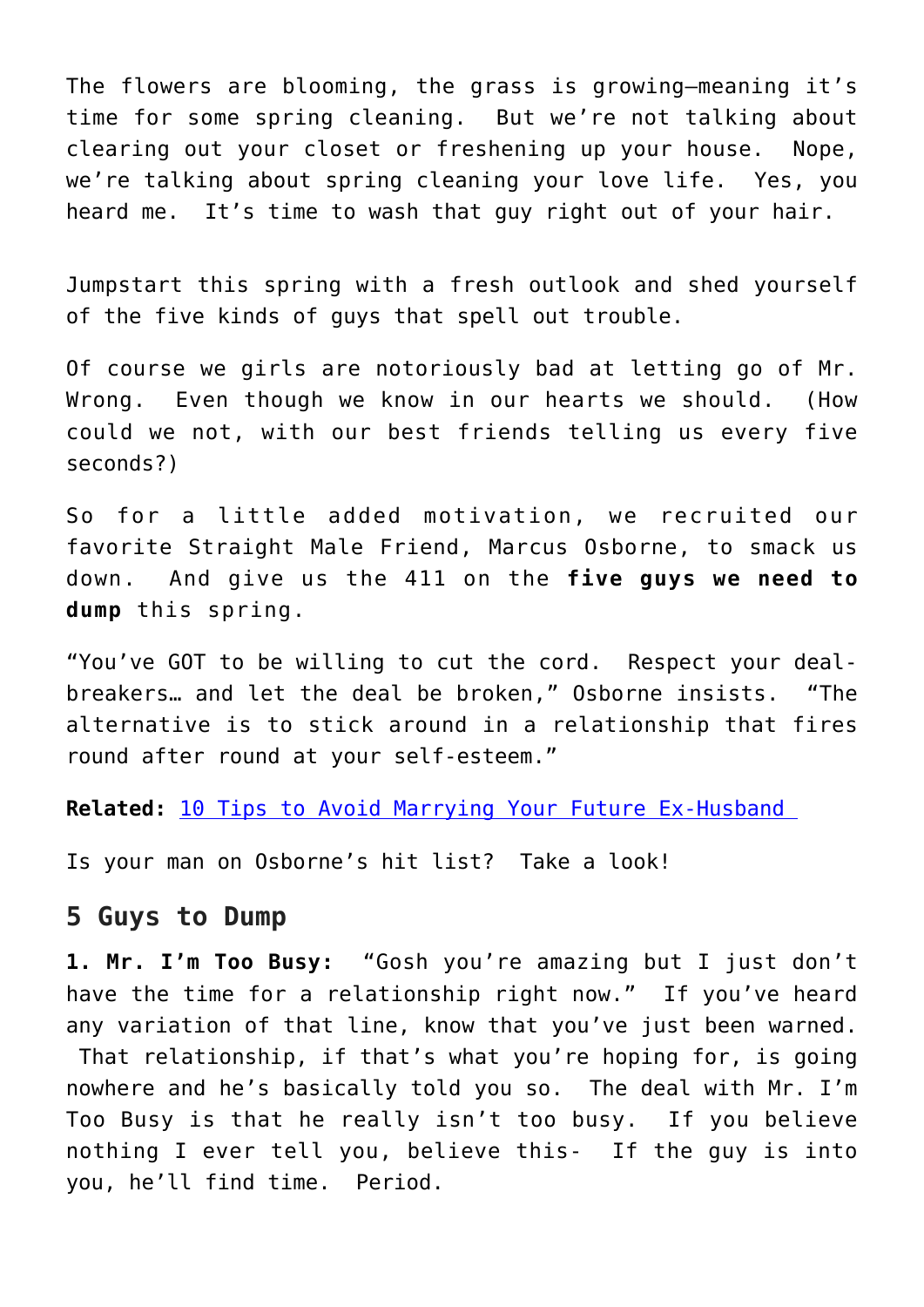The flowers are blooming, the grass is growing–meaning it's time for some spring cleaning. But we're not talking about clearing out your closet or freshening up your house. Nope, we're talking about spring cleaning your love life. Yes, you heard me. It's time to wash that guy right out of your hair.

Jumpstart this spring with a fresh outlook and shed yourself of the five kinds of guys that spell out trouble.

Of course we girls are notoriously bad at letting go of Mr. Wrong. Even though we know in our hearts we should. (How could we not, with our best friends telling us every five seconds?)

So for a little added motivation, we recruited our favorite Straight Male Friend, Marcus Osborne, to smack us down. And give us the 411 on the **five guys we need to dump** this spring.

"You've GOT to be willing to cut the cord. Respect your dealbreakers… and let the deal be broken," Osborne insists. "The alternative is to stick around in a relationship that fires round after round at your self-esteem."

**Related:** [10 Tips to Avoid Marrying Your Future Ex-Husband](http://galtime.com) 

Is your man on Osborne's hit list? Take a look!

### **5 Guys to Dump**

**1. Mr. I'm Too Busy:** "Gosh you're amazing but I just don't have the time for a relationship right now." If you've heard any variation of that line, know that you've just been warned.

 That relationship, if that's what you're hoping for, is going nowhere and he's basically told you so. The deal with Mr. I'm Too Busy is that he really isn't too busy. If you believe nothing I ever tell you, believe this- If the guy is into you, he'll find time. Period.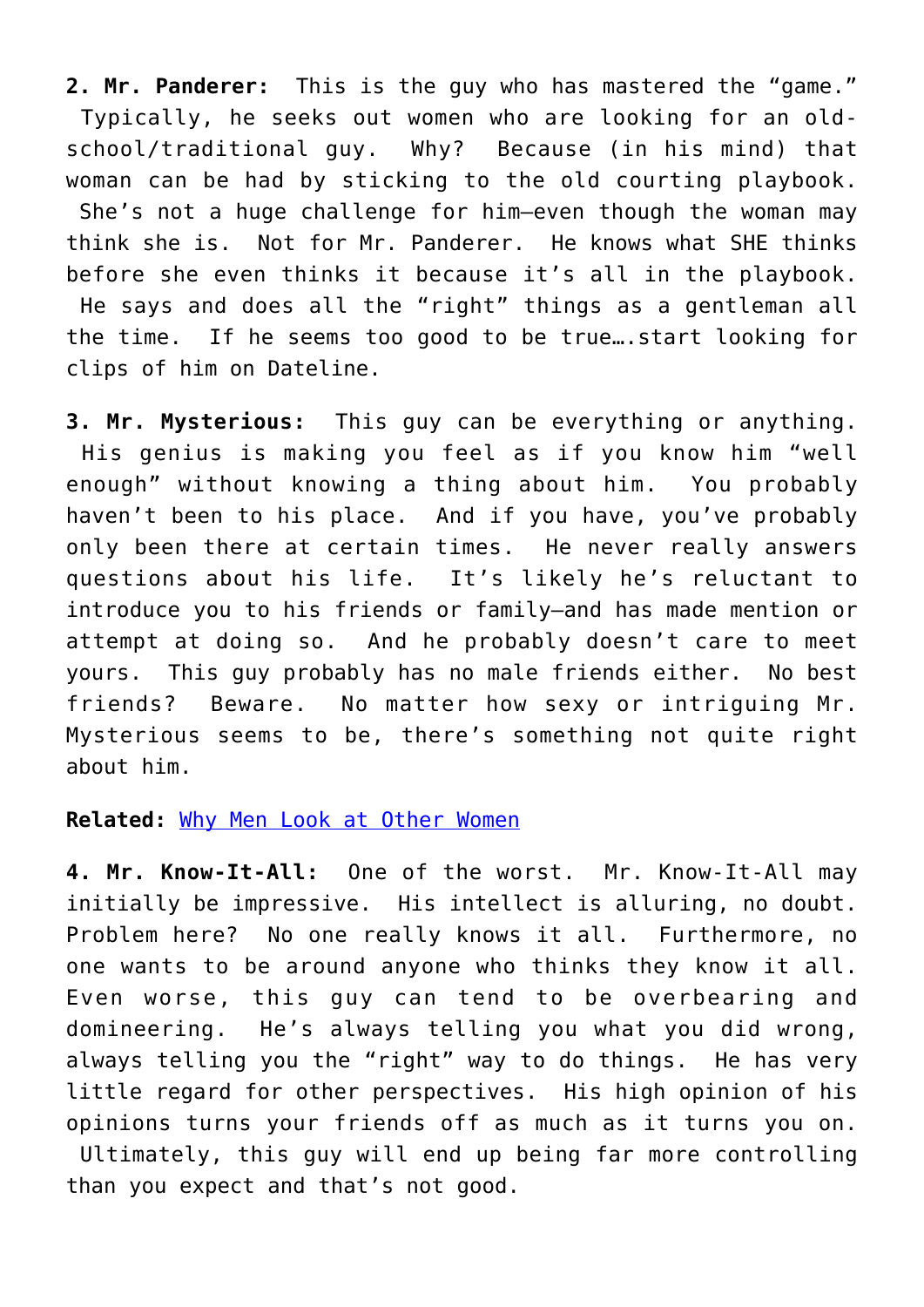**2. Mr. Panderer:** This is the guy who has mastered the "game." Typically, he seeks out women who are looking for an oldschool/traditional guy. Why? Because (in his mind) that woman can be had by sticking to the old courting playbook. She's not a huge challenge for him–even though the woman may think she is. Not for Mr. Panderer. He knows what SHE thinks before she even thinks it because it's all in the playbook. He says and does all the "right" things as a gentleman all the time. If he seems too good to be true….start looking for clips of him on Dateline.

**3. Mr. Mysterious:** This guy can be everything or anything. His genius is making you feel as if you know him "well enough" without knowing a thing about him. You probably haven't been to his place. And if you have, you've probably only been there at certain times. He never really answers questions about his life. It's likely he's reluctant to introduce you to his friends or family–and has made mention or attempt at doing so. And he probably doesn't care to meet yours. This guy probably has no male friends either. No best friends? Beware. No matter how sexy or intriguing Mr. Mysterious seems to be, there's something not quite right about him.

### **Related:** [Why Men Look at Other Women](http://galtime.com)

**4. Mr. Know-It-All:** One of the worst. Mr. Know-It-All may initially be impressive. His intellect is alluring, no doubt. Problem here? No one really knows it all. Furthermore, no one wants to be around anyone who thinks they know it all. Even worse, this guy can tend to be overbearing and domineering. He's always telling you what you did wrong, always telling you the "right" way to do things. He has very little regard for other perspectives. His high opinion of his opinions turns your friends off as much as it turns you on. Ultimately, this guy will end up being far more controlling than you expect and that's not good.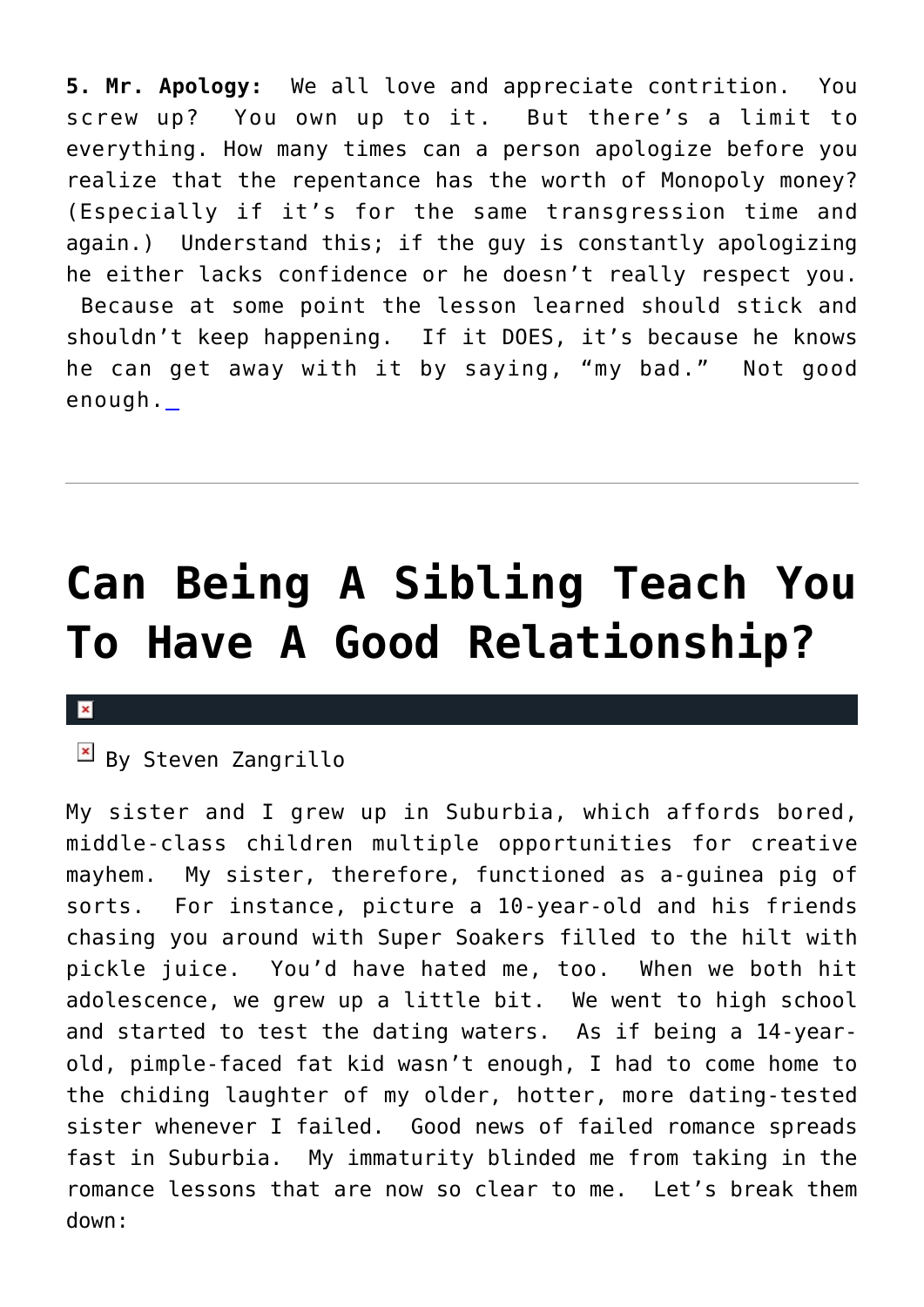**5. Mr. Apology:** We all love and appreciate contrition. You screw up? You own up to it. But there's a limit to everything. How many times can a person apologize before you realize that the repentance has the worth of Monopoly money? (Especially if it's for the same transgression time and again.) Understand this; if the guy is constantly apologizing he either lacks confidence or he doesn't really respect you. Because at some point the lesson learned should stick and shouldn't keep happening. If it DOES, it's because he knows he can get away with it by saying, "my bad." Not good enough.

## **[Can Being A Sibling Teach You](https://cupidspulse.com/28902/sibling-teach-good-relationship-romance-lessons/) [To Have A Good Relationship?](https://cupidspulse.com/28902/sibling-teach-good-relationship-romance-lessons/)**

### $\mathbf{x}$

### $\overline{B}$  By Steven Zangrillo

My sister and I grew up in Suburbia, which affords bored, middle-class children multiple opportunities for creative mayhem. My sister, therefore, functioned as a-guinea pig of sorts. For instance, picture a 10-year-old and his friends chasing you around with Super Soakers filled to the hilt with pickle juice. You'd have hated me, too. When we both hit adolescence, we grew up a little bit. We went to high school and started to test the dating waters. As if being a 14-yearold, pimple-faced fat kid wasn't enough, I had to come home to the chiding laughter of my older, hotter, more dating-tested sister whenever I failed. Good news of failed romance spreads fast in Suburbia. My immaturity blinded me from taking in the romance lessons that are now so clear to me. Let's break them down: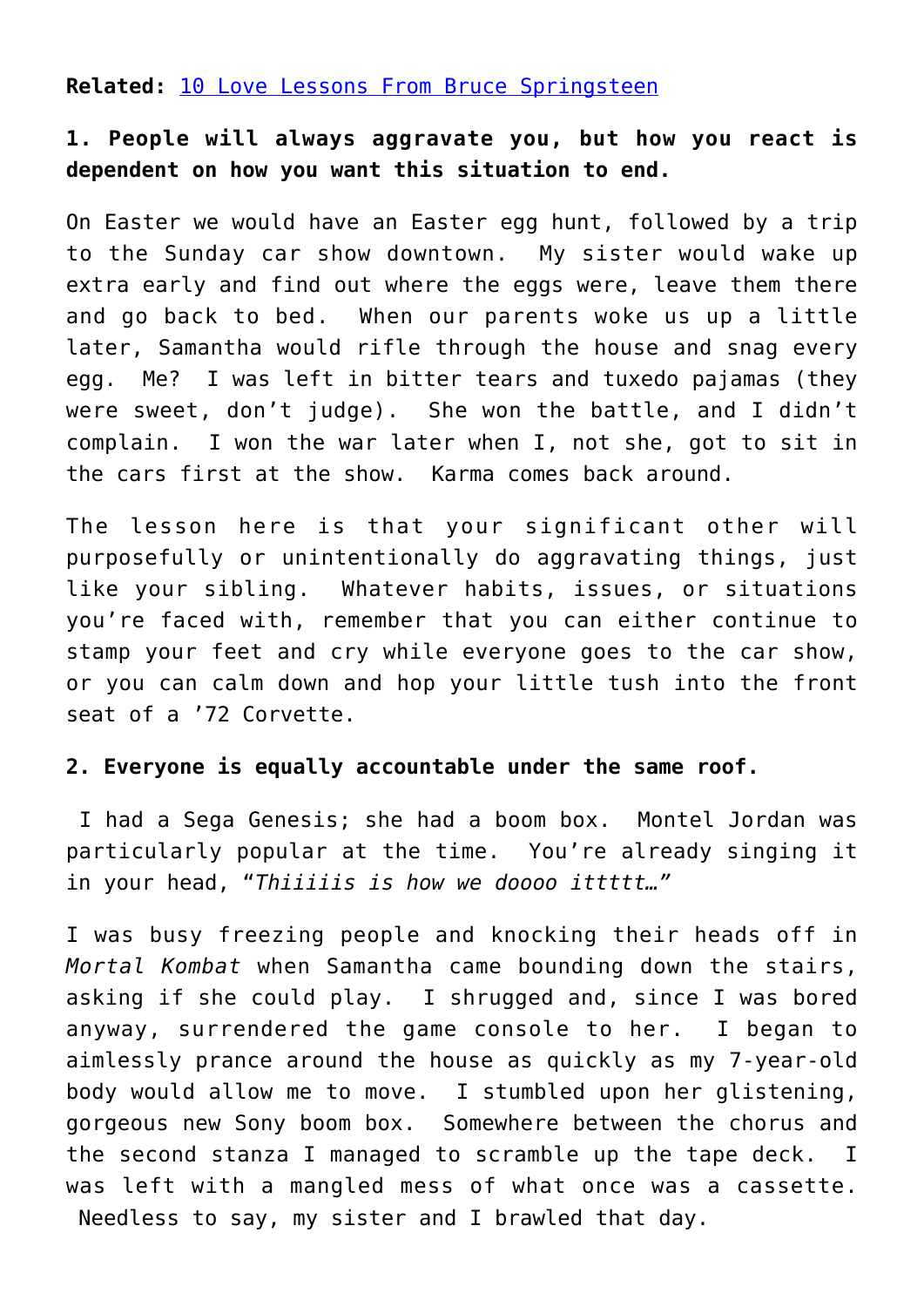**Related:** [10 Love Lessons From Bruce Springsteen](http://cupidspulse.com/10-love-lessons-bruce-springsteen-singer-songs-lessons/)

### **1. People will always aggravate you, but how you react is dependent on how you want this situation to end.**

On Easter we would have an Easter egg hunt, followed by a trip to the Sunday car show downtown. My sister would wake up extra early and find out where the eggs were, leave them there and go back to bed. When our parents woke us up a little later, Samantha would rifle through the house and snag every egg. Me? I was left in bitter tears and tuxedo pajamas (they were sweet, don't judge). She won the battle, and I didn't complain. I won the war later when I, not she, got to sit in the cars first at the show. Karma comes back around.

The lesson here is that your significant other will purposefully or unintentionally do aggravating things, just like your sibling. Whatever habits, issues, or situations you're faced with, remember that you can either continue to stamp your feet and cry while everyone goes to the car show, or you can calm down and hop your little tush into the front seat of a '72 Corvette.

### **2. Everyone is equally accountable under the same roof.**

I had a Sega Genesis; she had a boom box. Montel Jordan was particularly popular at the time. You're already singing it in your head, "*Thiiiiis is how we doooo ittttt…"*

I was busy freezing people and knocking their heads off in *Mortal Kombat* when Samantha came bounding down the stairs, asking if she could play. I shrugged and, since I was bored anyway, surrendered the game console to her. I began to aimlessly prance around the house as quickly as my 7-year-old body would allow me to move. I stumbled upon her glistening, gorgeous new Sony boom box. Somewhere between the chorus and the second stanza I managed to scramble up the tape deck. I was left with a mangled mess of what once was a cassette. Needless to say, my sister and I brawled that day.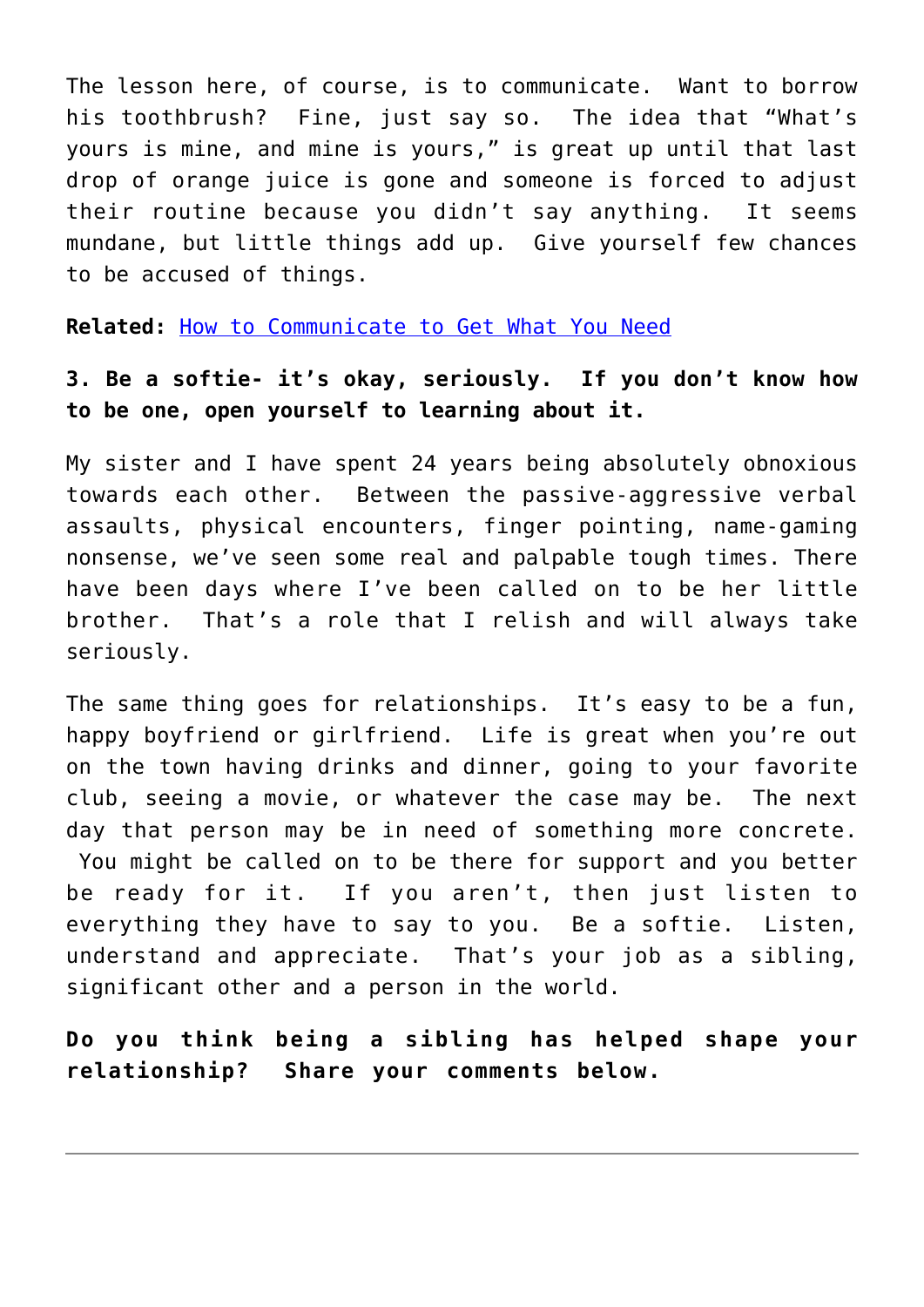The lesson here, of course, is to communicate. Want to borrow his toothbrush? Fine, just say so. The idea that "What's yours is mine, and mine is yours," is great up until that last drop of orange juice is gone and someone is forced to adjust their routine because you didn't say anything. It seems mundane, but little things add up. Give yourself few chances to be accused of things.

**Related:** [How to Communicate to Get What You Need](http://cupidspulse.com/how-to-communicate-get-need-galtime-communication-boundaries/)

### **3. Be a softie- it's okay, seriously. If you don't know how to be one, open yourself to learning about it.**

My sister and I have spent 24 years being absolutely obnoxious towards each other. Between the passive-aggressive verbal assaults, physical encounters, finger pointing, name-gaming nonsense, we've seen some real and palpable tough times. There have been days where I've been called on to be her little brother. That's a role that I relish and will always take seriously.

The same thing goes for relationships. It's easy to be a fun, happy boyfriend or girlfriend. Life is great when you're out on the town having drinks and dinner, going to your favorite club, seeing a movie, or whatever the case may be. The next day that person may be in need of something more concrete. You might be called on to be there for support and you better be ready for it. If you aren't, then just listen to everything they have to say to you. Be a softie. Listen, understand and appreciate. That's your job as a sibling, significant other and a person in the world.

**Do you think being a sibling has helped shape your relationship? Share your comments below.**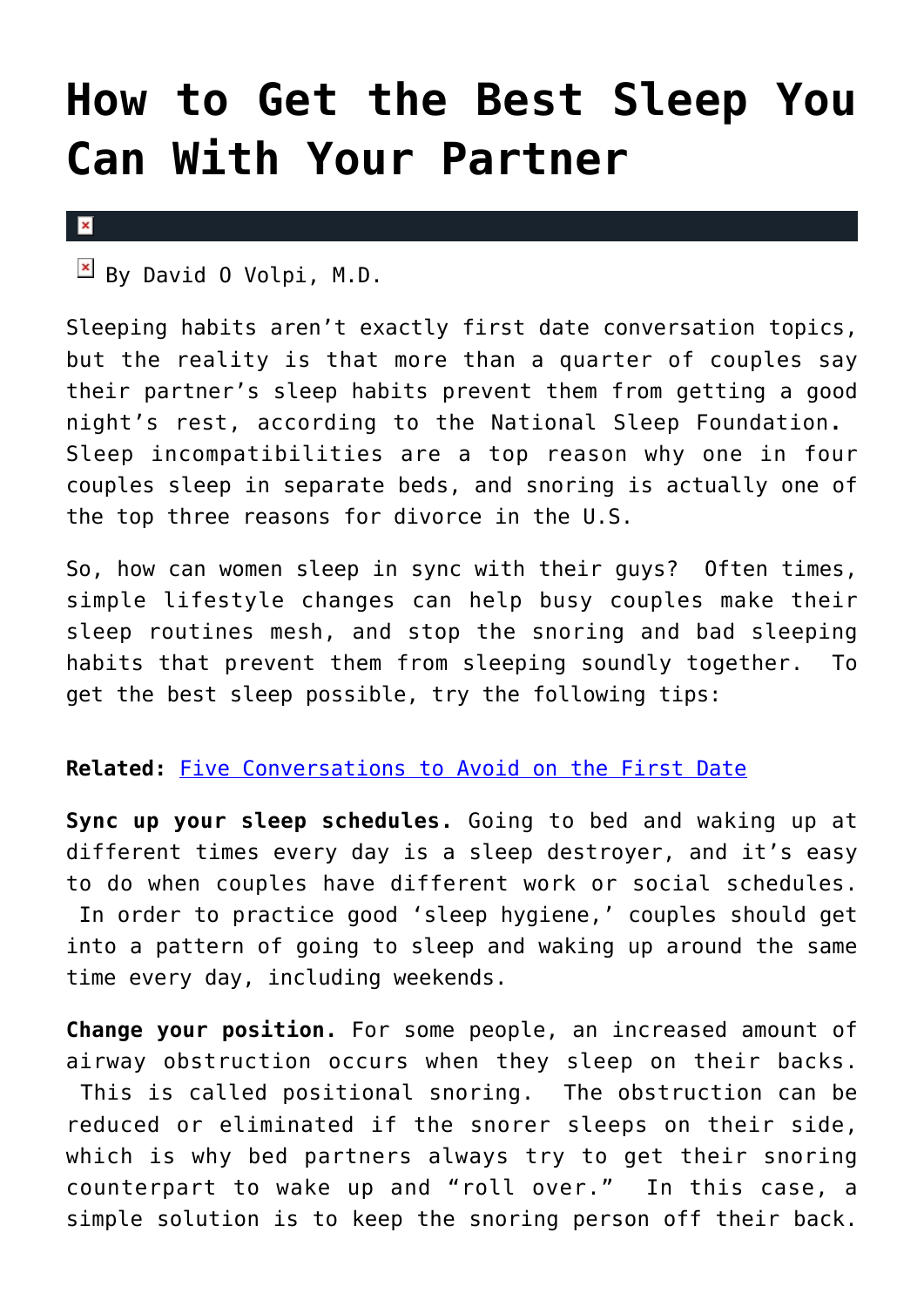## **[How to Get the Best Sleep You](https://cupidspulse.com/29321/how-to-get-best-sleep-with-partner/) [Can With Your Partner](https://cupidspulse.com/29321/how-to-get-best-sleep-with-partner/)**

#### $\pmb{\times}$

 $\mathbb{E}$  By David O Volpi, M.D.

Sleeping habits aren't exactly first date conversation topics, but the reality is that more than a quarter of couples say their partner's sleep habits prevent them from getting a good night's rest, according to the National Sleep Foundation**.** Sleep incompatibilities are a top reason why one in four couples sleep in separate beds, and snoring is actually one of the top three reasons for divorce in the U.S.

So, how can women sleep in sync with their guys? Often times, simple lifestyle changes can help busy couples make their sleep routines mesh, and stop the snoring and bad sleeping habits that prevent them from sleeping soundly together. To get the best sleep possible, try the following tips:

### **Related:** [Five Conversations to Avoid on the First Date](http://cupidspulse.com/25728/five-conversations-to-avoid-on-first-date/)

**Sync up your sleep schedules.** Going to bed and waking up at different times every day is a sleep destroyer, and it's easy to do when couples have different work or social schedules. In order to practice good 'sleep hygiene,' couples should get into a pattern of going to sleep and waking up around the same time every day, including weekends.

**Change your position.** For some people, an increased amount of airway obstruction occurs when they sleep on their backs. This is called positional snoring. The obstruction can be reduced or eliminated if the snorer sleeps on their side, which is why bed partners always try to get their snoring counterpart to wake up and "roll over." In this case, a simple solution is to keep the snoring person off their back.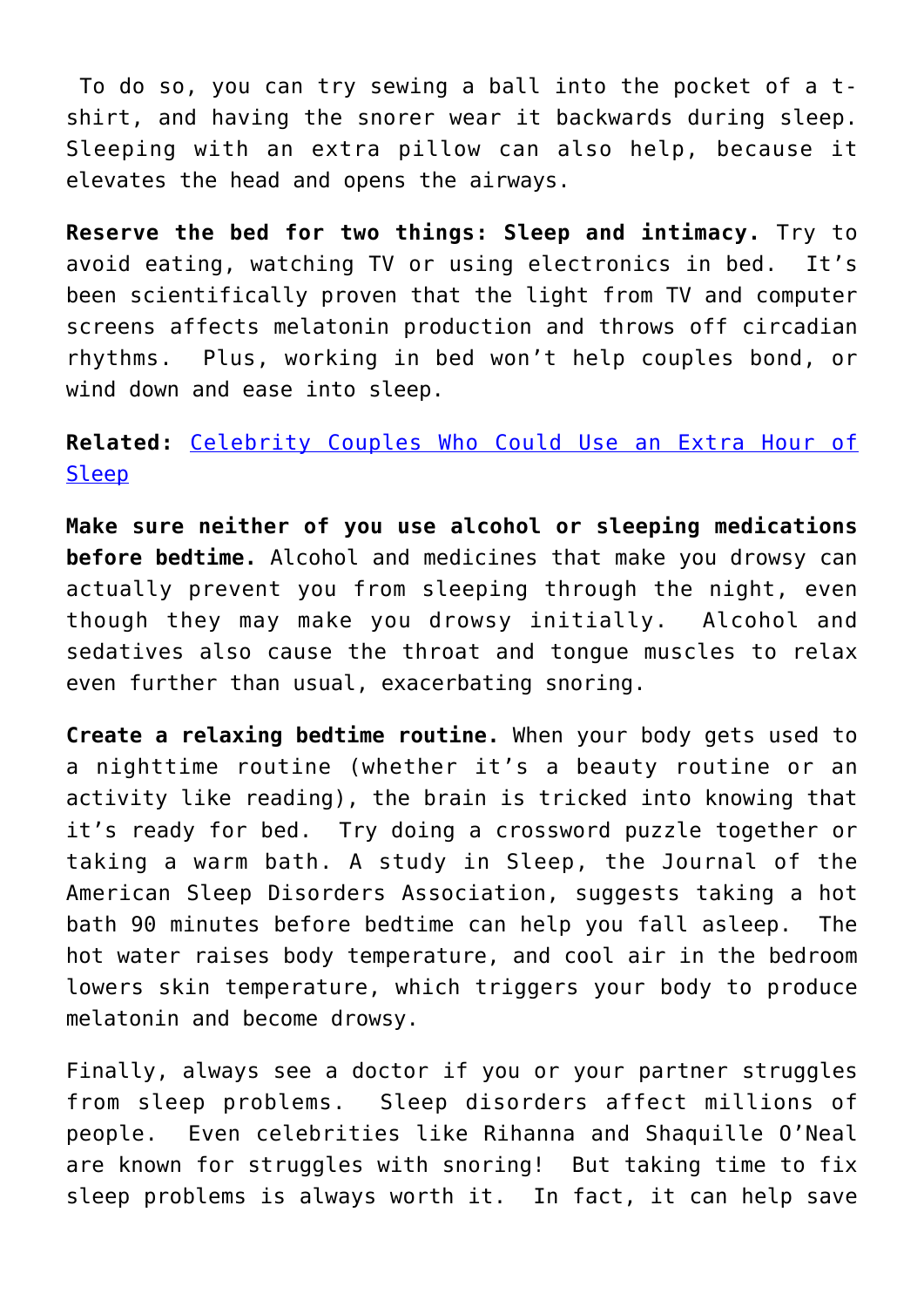To do so, you can try sewing a ball into the pocket of a tshirt, and having the snorer wear it backwards during sleep. Sleeping with an extra pillow can also help, because it elevates the head and opens the airways.

**Reserve the bed for two things: Sleep and intimacy.** Try to avoid eating, watching TV or using electronics in bed. It's been scientifically proven that the light from TV and computer screens affects melatonin production and throws off circadian rhythms. Plus, working in bed won't help couples bond, or wind down and ease into sleep.

### **Related:** [Celebrity Couples Who Could Use an Extra Hour of](http://cupidspulse.com/celebrity-couples-extra-hour-sleep-daylight-savings/) [Sleep](http://cupidspulse.com/celebrity-couples-extra-hour-sleep-daylight-savings/)

**Make sure neither of you use alcohol or sleeping medications before bedtime.** Alcohol and medicines that make you drowsy can actually prevent you from sleeping through the night, even though they may make you drowsy initially. Alcohol and sedatives also cause the throat and tongue muscles to relax even further than usual, exacerbating snoring.

**Create a relaxing bedtime routine.** When your body gets used to a nighttime routine (whether it's a beauty routine or an activity like reading), the brain is tricked into knowing that it's ready for bed. Try doing a crossword puzzle together or taking a warm bath. A study in Sleep, the Journal of the American Sleep Disorders Association, suggests taking a hot bath 90 minutes before bedtime can help you fall asleep. The hot water raises body temperature, and cool air in the bedroom lowers skin temperature, which triggers your body to produce melatonin and become drowsy.

Finally, always see a doctor if you or your partner struggles from sleep problems. Sleep disorders affect millions of people. Even celebrities like Rihanna and Shaquille O'Neal are known for struggles with snoring! But taking time to fix sleep problems is always worth it. In fact, it can help save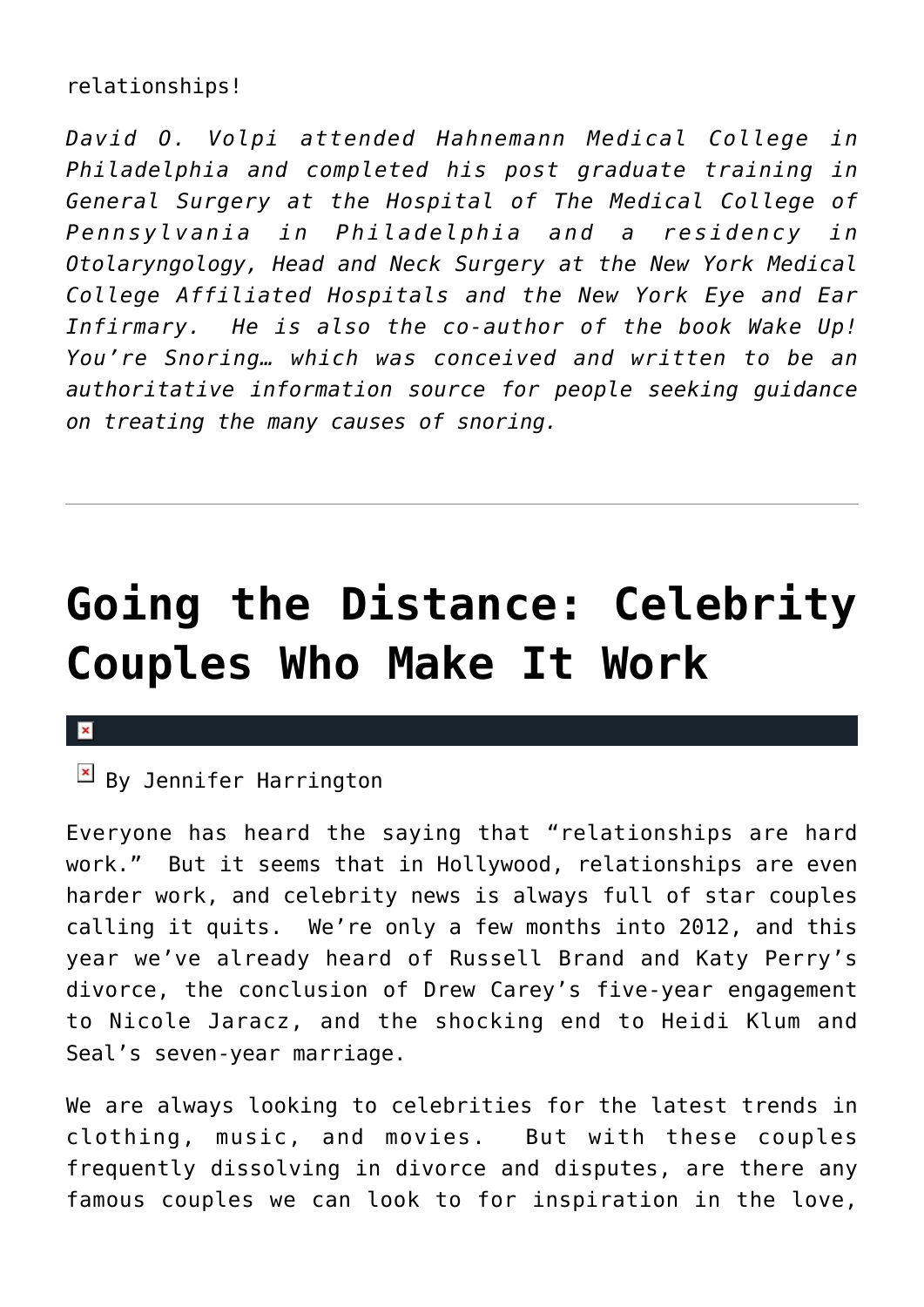### relationships!

*David O. Volpi attended Hahnemann Medical College in Philadelphia and completed his post graduate training in General Surgery at the Hospital of The Medical College of Pennsylvania in Philadelphia and a residency in Otolaryngology, Head and Neck Surgery at the New York Medical College Affiliated Hospitals and the New York Eye and Ear Infirmary. He is also the co-author of the book Wake Up! You're Snoring… which was conceived and written to be an authoritative information source for people seeking guidance on treating the many causes of snoring.* 

# **[Going the Distance: Celebrity](https://cupidspulse.com/29187/going-the-distance-celebrity-couples-who-make-it-work/) [Couples Who Make It Work](https://cupidspulse.com/29187/going-the-distance-celebrity-couples-who-make-it-work/)**

### $\pmb{\times}$

### $\boxed{\times}$  By Jennifer Harrington

Everyone has heard the saying that "relationships are hard work." But it seems that in Hollywood, relationships are even harder work, and celebrity news is always full of star couples calling it quits. We're only a few months into 2012, and this year we've already heard of Russell Brand and Katy Perry's divorce, the conclusion of Drew Carey's five-year engagement to Nicole Jaracz, and the shocking end to Heidi Klum and Seal's seven-year marriage.

We are always looking to celebrities for the latest trends in clothing, music, and movies. But with these couples frequently dissolving in divorce and disputes, are there any famous couples we can look to for inspiration in the love,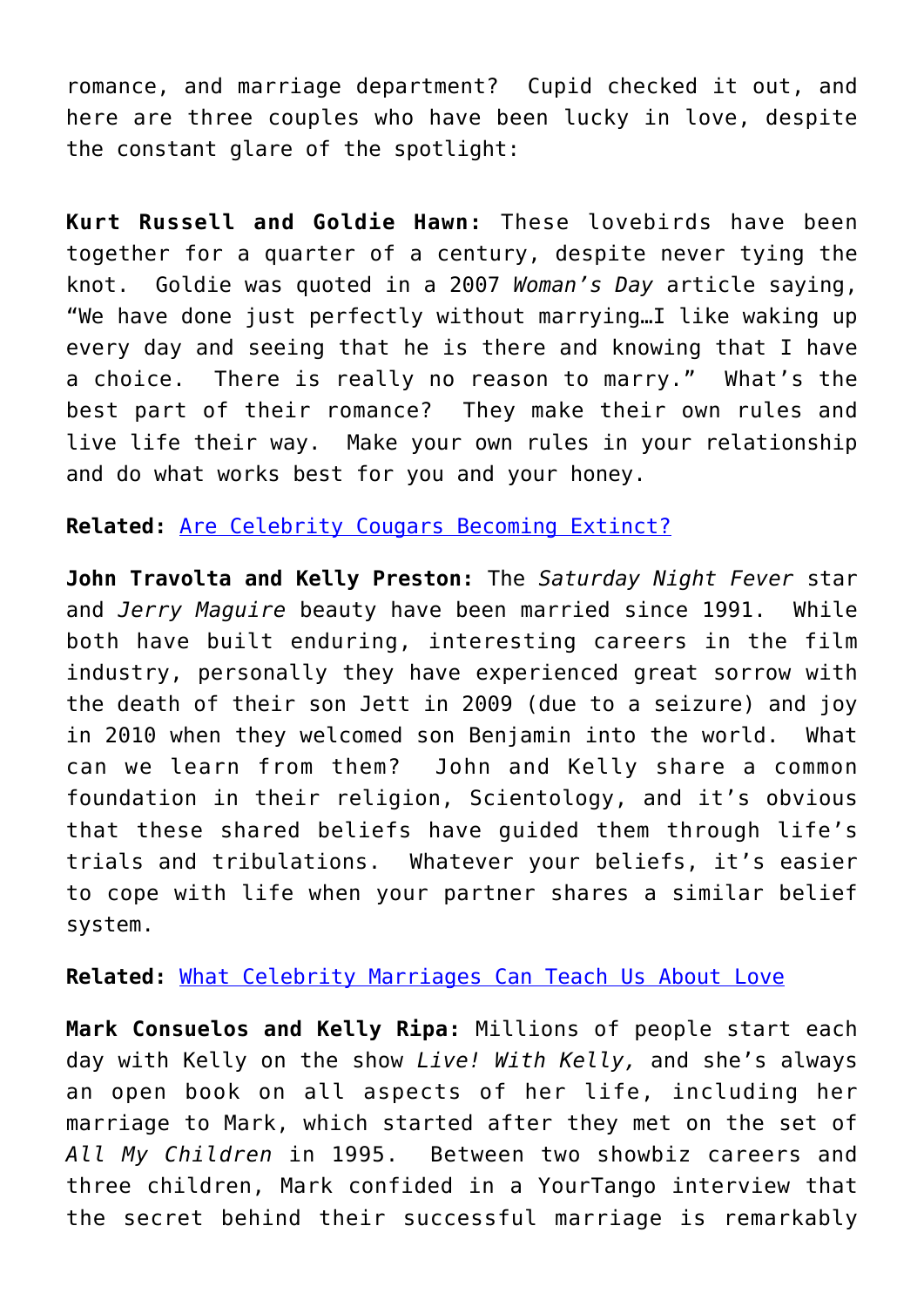romance, and marriage department? Cupid checked it out, and here are three couples who have been lucky in love, despite the constant glare of the spotlight:

**Kurt Russell and Goldie Hawn:** These lovebirds have been together for a quarter of a century, despite never tying the knot. Goldie was quoted in a 2007 *Woman's Day* article saying, "We have done just perfectly without marrying…I like waking up every day and seeing that he is there and knowing that I have a choice. There is really no reason to marry." What's the best part of their romance? They make their own rules and live life their way. Make your own rules in your relationship and do what works best for you and your honey.

**Related:** [Are Celebrity Cougars Becoming Extinct?](http://cupidspulse.com/celebrity-cougars-extinct-demi-moore/)

**John Travolta and Kelly Preston:** The *Saturday Night Fever* star and *Jerry Maguire* beauty have been married since 1991. While both have built enduring, interesting careers in the film industry, personally they have experienced great sorrow with the death of their son Jett in 2009 (due to a seizure) and joy in 2010 when they welcomed son Benjamin into the world. What can we learn from them? John and Kelly share a common foundation in their religion, Scientology, and it's obvious that these shared beliefs have guided them through life's trials and tribulations. Whatever your beliefs, it's easier to cope with life when your partner shares a similar belief system.

**Related:** [What Celebrity Marriages Can Teach Us About Love](http://cupidspulse.com/what-celebrity-marriages-can-teach-us-about-love/)

**Mark Consuelos and Kelly Ripa:** Millions of people start each day with Kelly on the show *Live! With Kelly,* and she's always an open book on all aspects of her life, including her marriage to Mark, which started after they met on the set of *All My Children* in 1995. Between two showbiz careers and three children, Mark confided in a YourTango interview that the secret behind their successful marriage is remarkably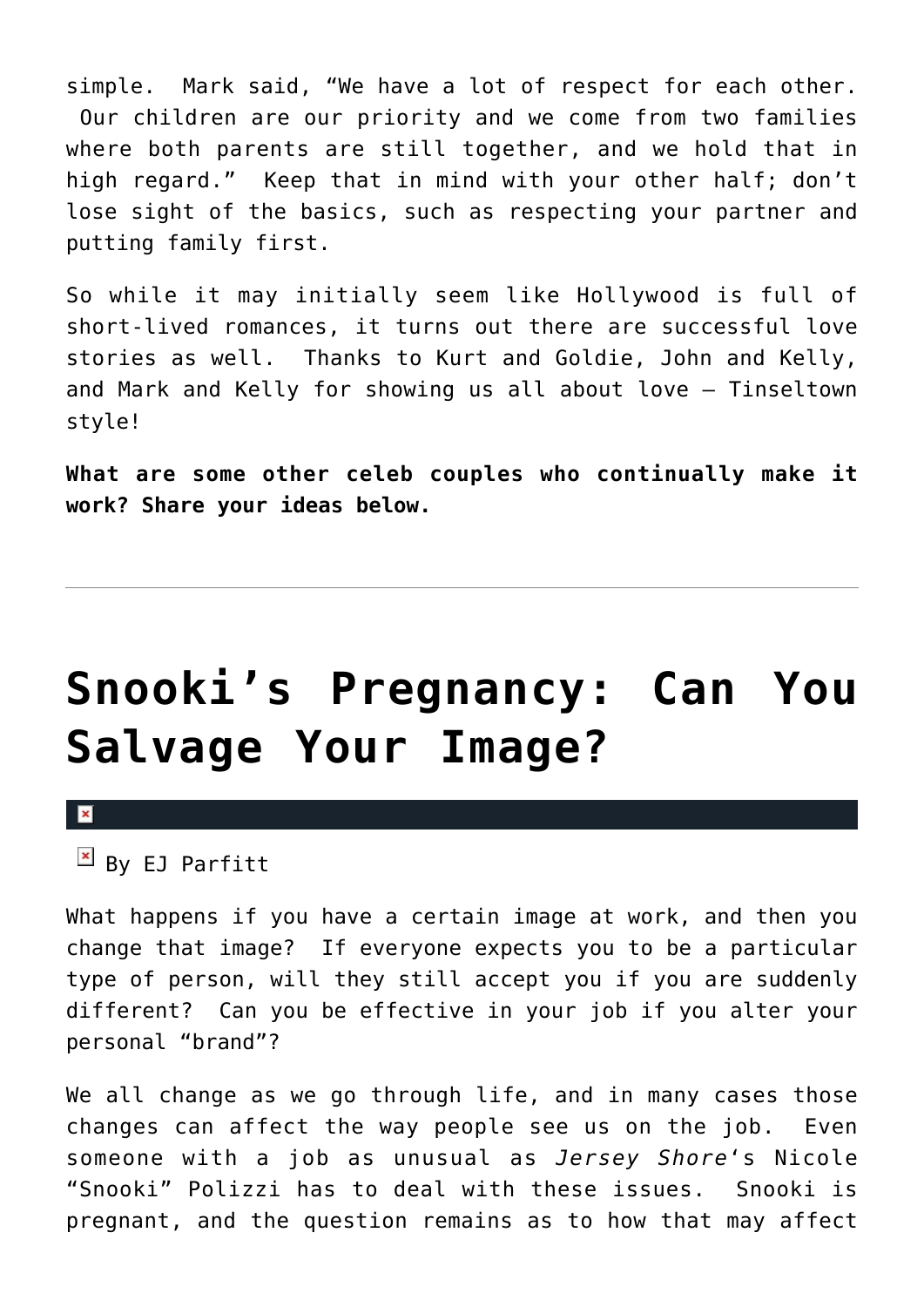simple. Mark said, "We have a lot of respect for each other. Our children are our priority and we come from two families where both parents are still together, and we hold that in high regard." Keep that in mind with your other half; don't lose sight of the basics, such as respecting your partner and putting family first.

So while it may initially seem like Hollywood is full of short-lived romances, it turns out there are successful love stories as well. Thanks to Kurt and Goldie, John and Kelly, and Mark and Kelly for showing us all about love – Tinseltown style!

**What are some other celeb couples who continually make it work? Share your ideas below.**

## **[Snooki's Pregnancy: Can You](https://cupidspulse.com/29177/snooki-pregnancy-salvage-image-career/) [Salvage Your Image?](https://cupidspulse.com/29177/snooki-pregnancy-salvage-image-career/)**

 $\vert \mathbf{x} \vert$ 

 $By$  EJ Parfitt

What happens if you have a certain image at work, and then you change that image? If everyone expects you to be a particular type of person, will they still accept you if you are suddenly different? Can you be effective in your job if you alter your personal "brand"?

We all change as we go through life, and in many cases those changes can affect the way people see us on the job. Even someone with a job as unusual as *Jersey Shore*'s Nicole "Snooki" Polizzi has to deal with these issues. Snooki is pregnant, and the question remains as to how that may affect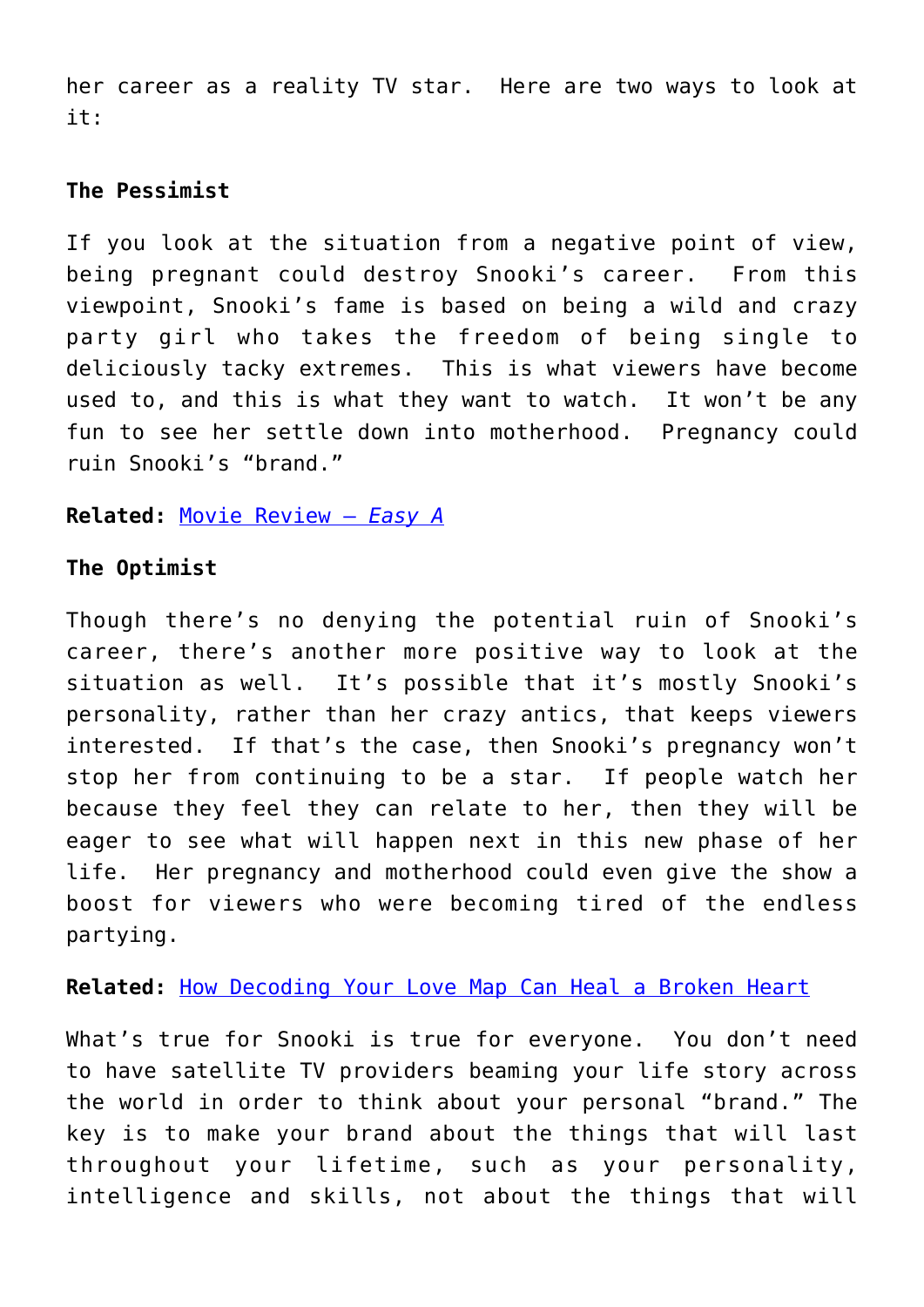her career as a reality TV star. Here are two ways to look at it:

### **The Pessimist**

If you look at the situation from a negative point of view, being pregnant could destroy Snooki's career. From this viewpoint, Snooki's fame is based on being a wild and crazy party girl who takes the freedom of being single to deliciously tacky extremes. This is what viewers have become used to, and this is what they want to watch. It won't be any fun to see her settle down into motherhood. Pregnancy could ruin Snooki's "brand."

### **Related:** [Movie Review –](http://cupidspulse.com/movie-review-easy-a/) *[Easy A](http://cupidspulse.com/movie-review-easy-a/)*

### **The Optimist**

Though there's no denying the potential ruin of Snooki's career, there's another more positive way to look at the situation as well. It's possible that it's mostly Snooki's personality, rather than her crazy antics, that keeps viewers interested. If that's the case, then Snooki's pregnancy won't stop her from continuing to be a star. If people watch her because they feel they can relate to her, then they will be eager to see what will happen next in this new phase of her life. Her pregnancy and motherhood could even give the show a boost for viewers who were becoming tired of the endless partying.

### **Related:** [How Decoding Your Love Map Can Heal a Broken Heart](http://cupidspulse.com/decoding-love-map-heal-broken-heart-rachel-sussman/)

What's true for Snooki is true for everyone. You don't need to have satellite TV providers beaming your life story across the world in order to think about your personal "brand." The key is to make your brand about the things that will last throughout your lifetime, such as your personality, intelligence and skills, not about the things that will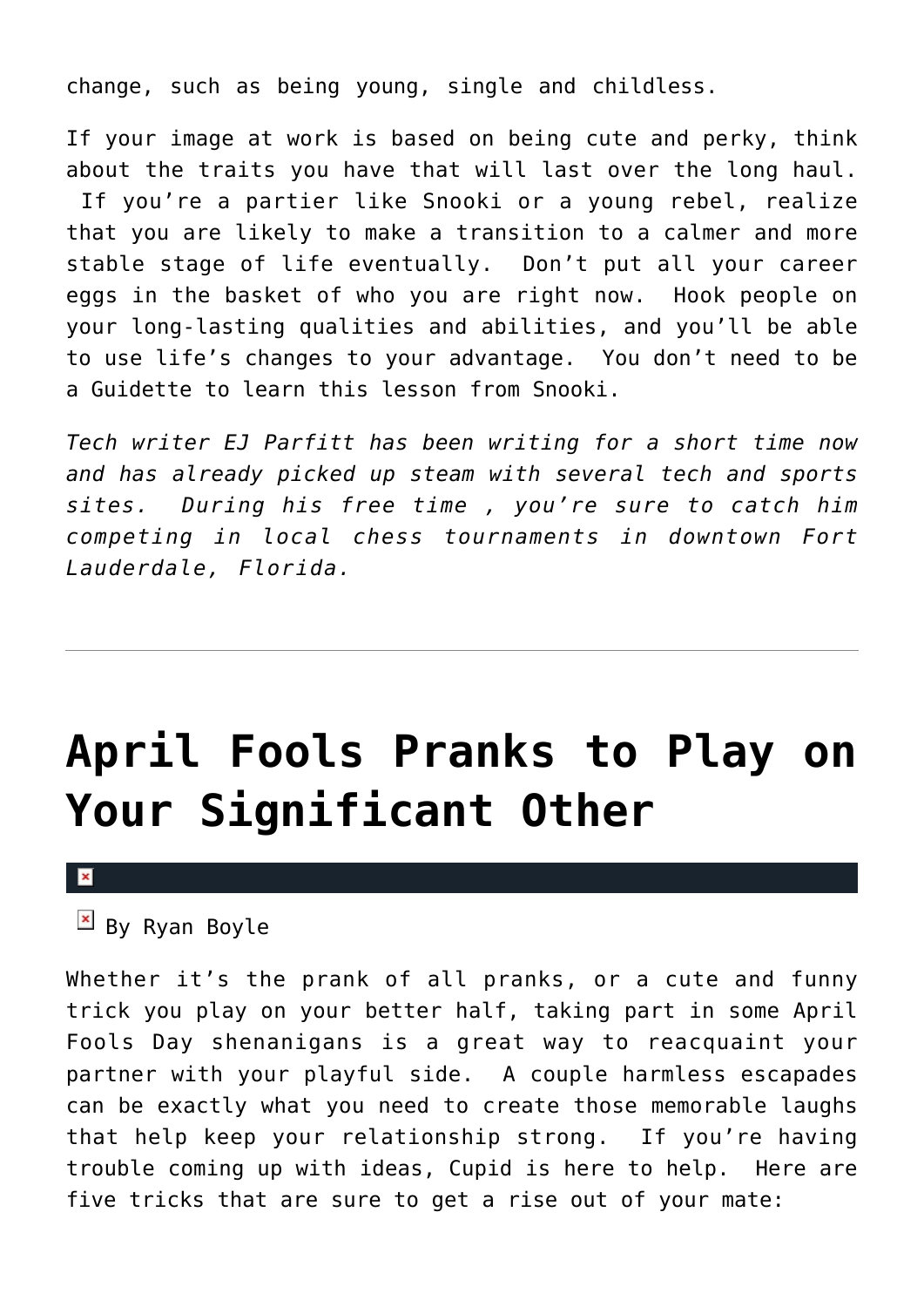change, such as being young, single and childless.

If your image at work is based on being cute and perky, think about the traits you have that will last over the long haul. If you're a partier like Snooki or a young rebel, realize that you are likely to make a transition to a calmer and more stable stage of life eventually. Don't put all your career eggs in the basket of who you are right now. Hook people on your long-lasting qualities and abilities, and you'll be able to use life's changes to your advantage. You don't need to be a Guidette to learn this lesson from Snooki.

*Tech writer EJ Parfitt has been writing for a short time now and has already picked up steam with several tech and sports sites. During his free time , you're sure to catch him competing in local chess tournaments in downtown Fort Lauderdale, Florida.* 

# **[April Fools Pranks to Play on](https://cupidspulse.com/29084/april-fools-pranks-significant-other/) [Your Significant Other](https://cupidspulse.com/29084/april-fools-pranks-significant-other/)**

 $\overline{B}$  By Ryan Boyle

Whether it's the prank of all pranks, or a cute and funny trick you play on your better half, taking part in some April Fools Day shenanigans is a great way to reacquaint your partner with your playful side. A couple harmless escapades can be exactly what you need to create those memorable laughs that help keep your relationship strong. If you're having trouble coming up with ideas, Cupid is here to help. Here are five tricks that are sure to get a rise out of your mate: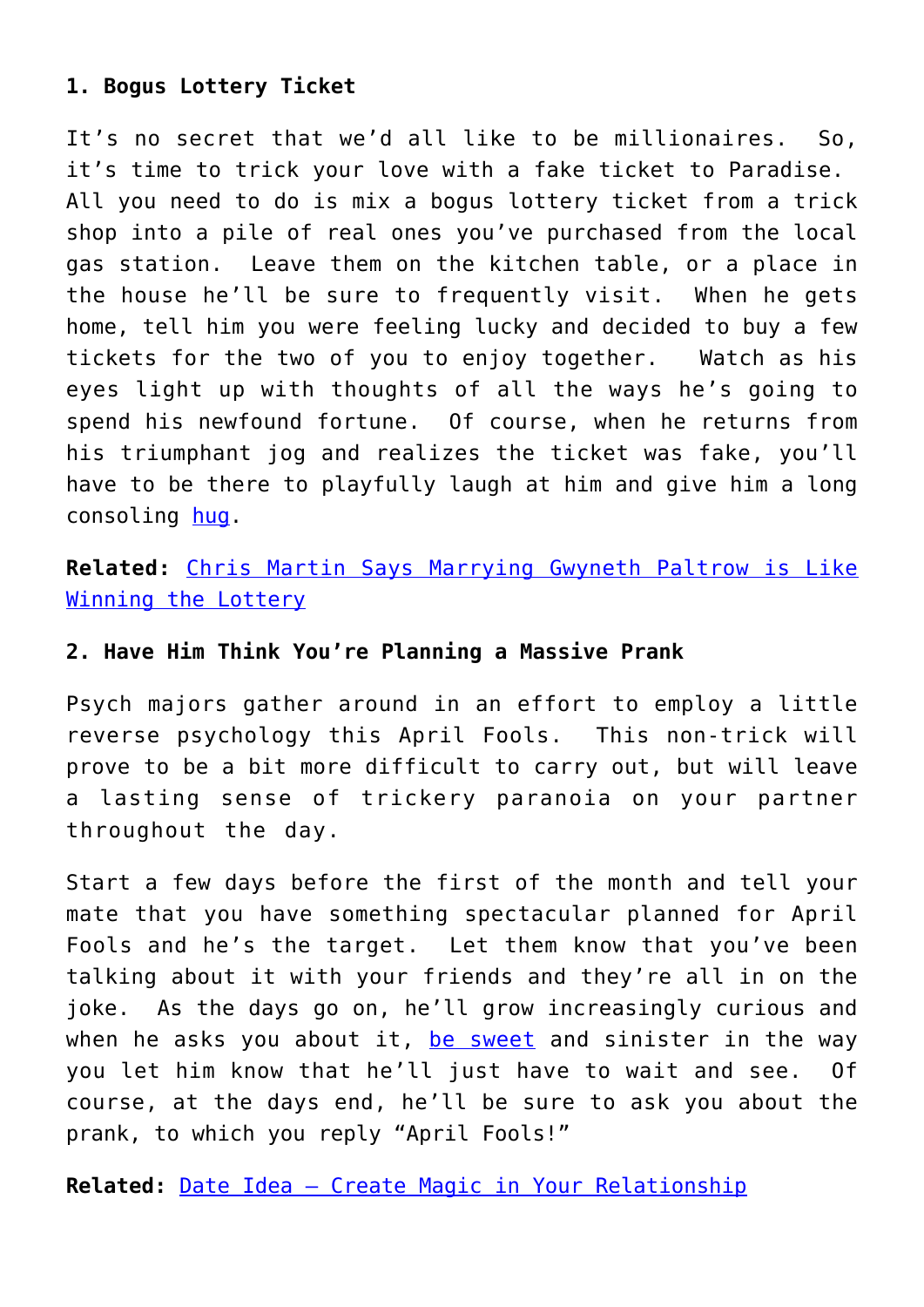### **1. Bogus Lottery Ticket**

It's no secret that we'd all like to be millionaires. So, it's time to trick your love with a fake ticket to Paradise. All you need to do is mix a bogus lottery ticket from a trick shop into a pile of real ones you've purchased from the local gas station. Leave them on the kitchen table, or a place in the house he'll be sure to frequently visit. When he gets home, tell him you were feeling lucky and decided to buy a few tickets for the two of you to enjoy together. Watch as his eyes light up with thoughts of all the ways he's going to spend his newfound fortune. Of course, when he returns from his triumphant jog and realizes the ticket was fake, you'll have to be there to playfully laugh at him and give him a long consoling [hug](http://cupidspulse.com/kristen-bell-dax-shepherd-pda-park/).

**Related:** [Chris Martin Says Marrying Gwyneth Paltrow is Like](http://cupidspulse.com/coldplay-frontman-chris-martin-talks-wife-gwyneth-paltrow-glee-iron-man-for-first-time/) [Winning the Lottery](http://cupidspulse.com/coldplay-frontman-chris-martin-talks-wife-gwyneth-paltrow-glee-iron-man-for-first-time/)

### **2. Have Him Think You're Planning a Massive Prank**

Psych majors gather around in an effort to employ a little reverse psychology this April Fools. This non-trick will prove to be a bit more difficult to carry out, but will leave a lasting sense of trickery paranoia on your partner throughout the day.

Start a few days before the first of the month and tell your mate that you have something spectacular planned for April Fools and he's the target. Let them know that you've been talking about it with your friends and they're all in on the joke. As the days go on, he'll grow increasingly curious and when he asks you about it, [be sweet](http://cupidspulse.com/valentines-day-outfit-sweet-style/) and sinister in the way you let him know that he'll just have to wait and see. Of course, at the days end, he'll be sure to ask you about the prank, to which you reply "April Fools!"

**Related:** [Date Idea – Create Magic in Your Relationship](http://cupidspulse.com/weekend-date-idea-put-some-magic-relationship/)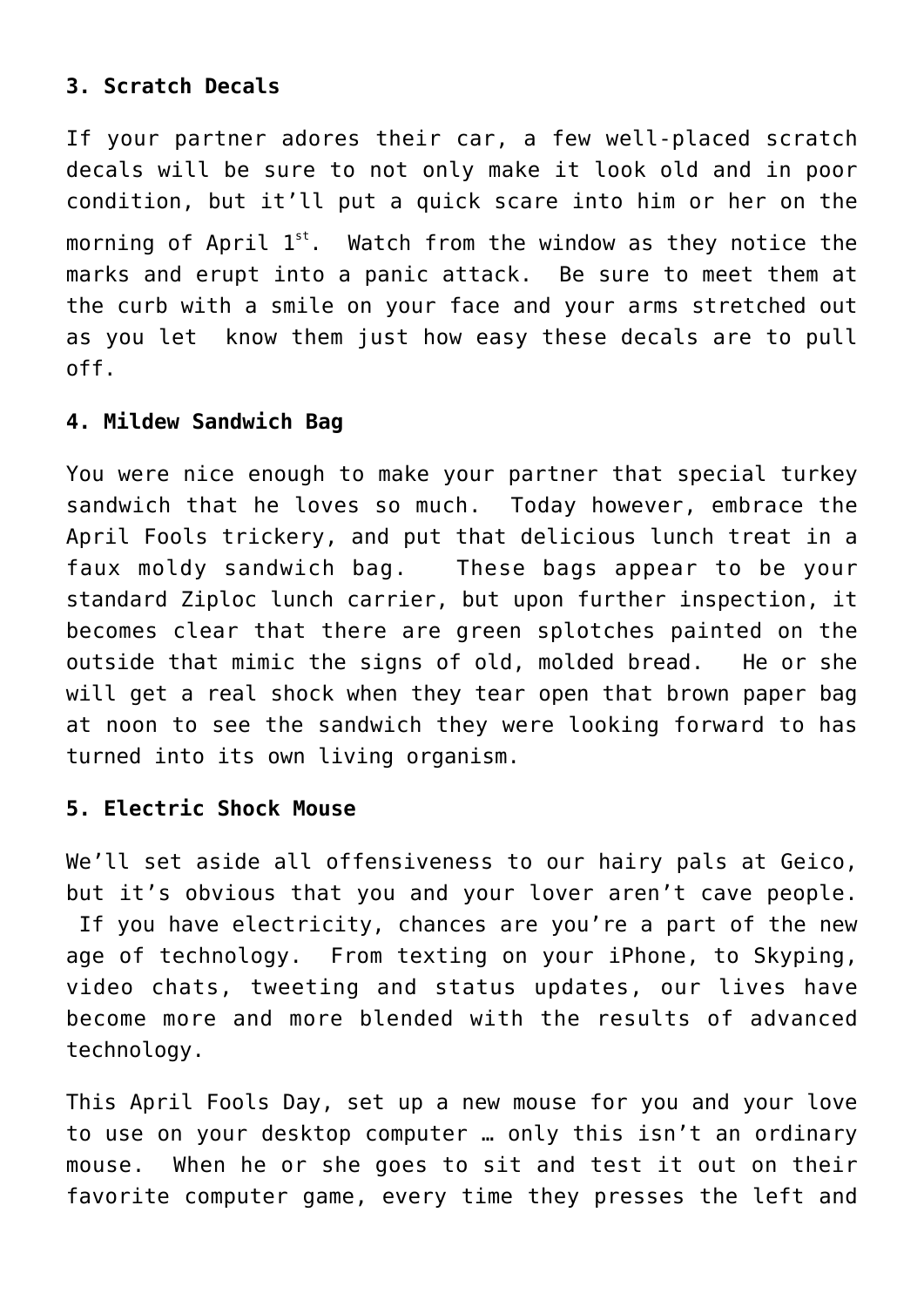### **3. Scratch Decals**

If your partner adores their car, a few well-placed scratch decals will be sure to not only make it look old and in poor condition, but it'll put a quick scare into him or her on the morning of April  $1^{st}$ . Watch from the window as they notice the marks and erupt into a panic attack. Be sure to meet them at the curb with a smile on your face and your arms stretched out as you let know them just how easy these decals are to pull off.

### **4. Mildew Sandwich Bag**

You were nice enough to make your partner that special turkey sandwich that he loves so much.Today however, embrace the April Fools trickery, and put that delicious lunch treat in a faux moldy sandwich bag. These bags appear to be your standard Ziploc lunch carrier, but upon further inspection, it becomes clear that there are green splotches painted on the outside that mimic the signs of old, molded bread. He or she will get a real shock when they tear open that brown paper bag at noon to see the sandwich they were looking forward to has turned into its own living organism.

### **5. Electric Shock Mouse**

We'll set aside all offensiveness to our hairy pals at Geico, but it's obvious that you and your lover aren't cave people. If you have electricity, chances are you're a part of the new age of technology. From texting on your iPhone, to Skyping, video chats, tweeting and status updates, our lives have become more and more blended with the results of advanced technology.

This April Fools Day, set up a new mouse for you and your love to use on your desktop computer … only this isn't an ordinary mouse. When he or she goes to sit and test it out on their favorite computer game, every time they presses the left and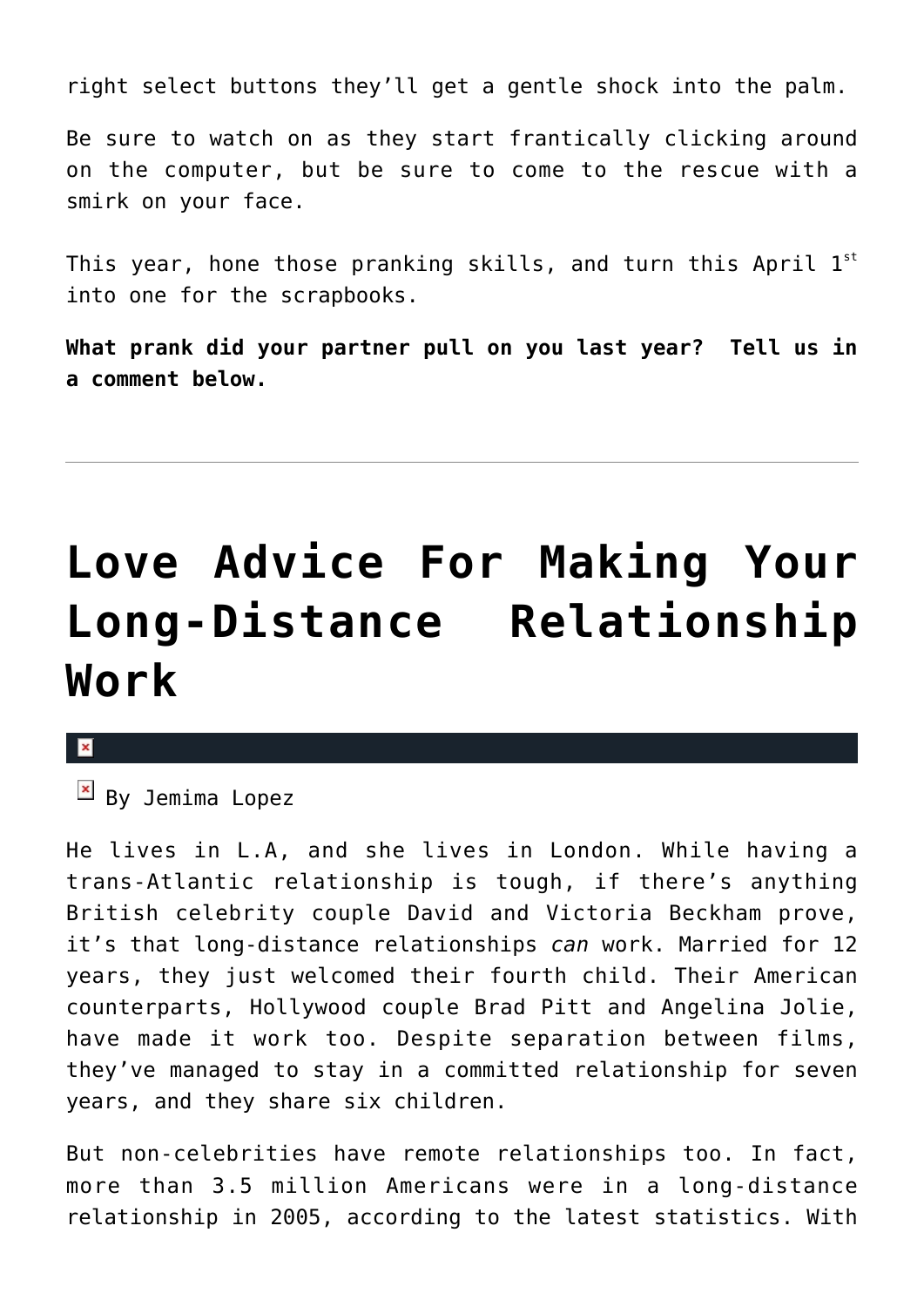right select buttons they'll get a gentle shock into the palm.

Be sure to watch on as they start frantically clicking around on the computer, but be sure to come to the rescue with a smirk on your face.

This year, hone those pranking skills, and turn this April  $1^{st}$ into one for the scrapbooks.

**What prank did your partner pull on you last year? Tell us in a comment below.**

# **[Love Advice For Making Your](https://cupidspulse.com/29045/ways-make-long-distance-relationship-work/) [Long-Distance Relationship](https://cupidspulse.com/29045/ways-make-long-distance-relationship-work/) [Work](https://cupidspulse.com/29045/ways-make-long-distance-relationship-work/)**

### $\pmb{\times}$

 $\boxed{\times}$  By Jemima Lopez

He lives in L.A, and she lives in London. While having a trans-Atlantic relationship is tough, if there's anything British celebrity couple David and Victoria Beckham prove, it's that long-distance relationships *can* work. Married for 12 years, they just welcomed their fourth child. Their American counterparts, Hollywood couple Brad Pitt and Angelina Jolie, have made it work too. Despite separation between films, they've managed to stay in a committed relationship for seven years, and they share six children.

But non-celebrities have remote relationships too. In fact, more than 3.5 million Americans were in a long-distance relationship in 2005, according to the latest statistics. With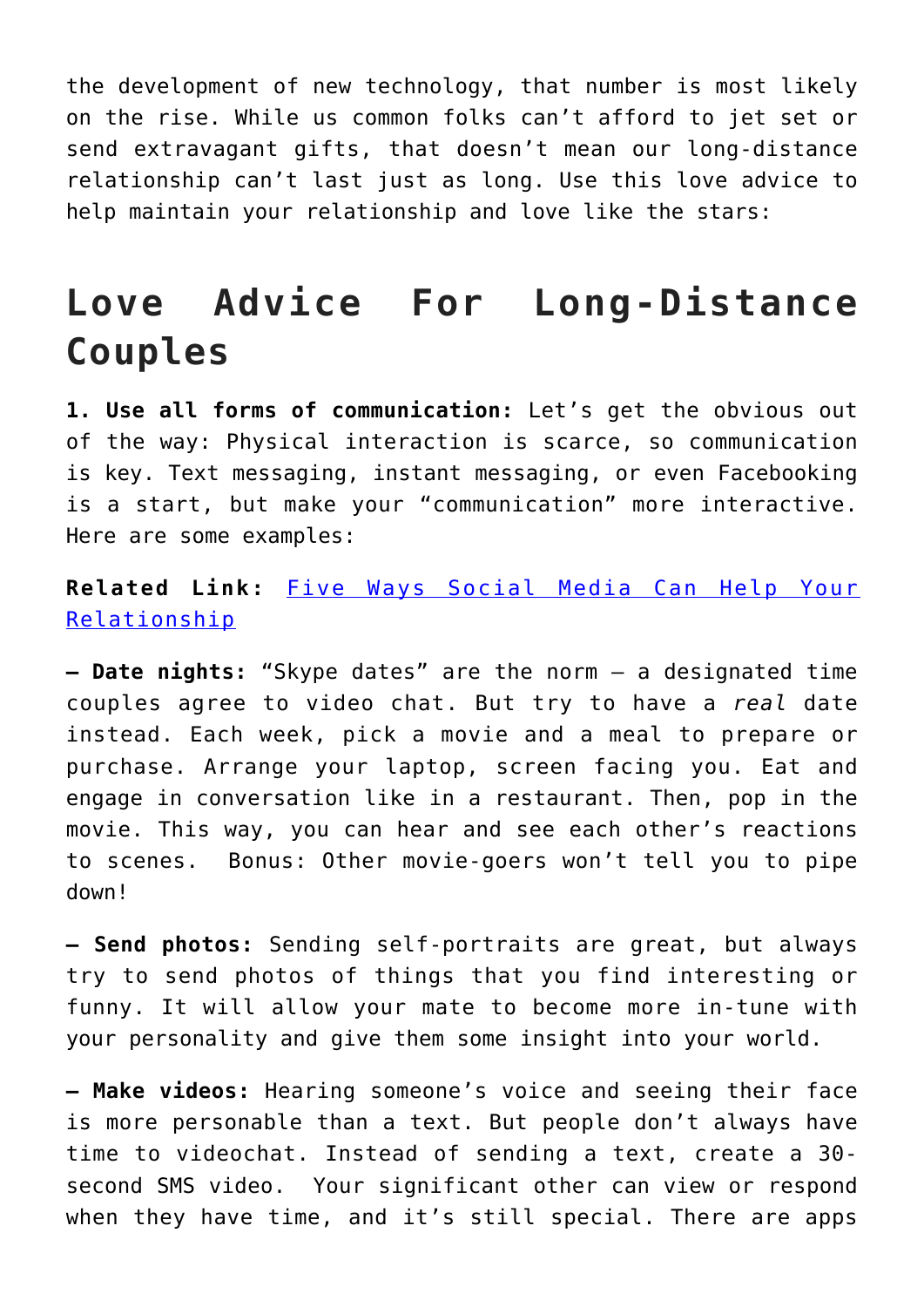the development of new technology, that number is most likely on the rise. While us common folks can't afford to jet set or send extravagant gifts, that doesn't mean our long-distance relationship can't last just as long. Use this love advice to help maintain your relationship and love like the stars:

### **Love Advice For Long-Distance Couples**

**1. Use all forms of communication:** Let's get the obvious out of the way: Physical interaction is scarce, so communication is key. Text messaging, instant messaging, or even Facebooking is a start, but make your "communication" more interactive. Here are some examples:

### **Related Link:** [Five Ways Social Media Can Help Your](http://cupidspulse.com/five-ways-social-media-help-relationship-facebook-twitter-myspace-dating-advice/) [Relationship](http://cupidspulse.com/five-ways-social-media-help-relationship-facebook-twitter-myspace-dating-advice/)

**– Date nights:** "Skype dates" are the norm — a designated time couples agree to video chat. But try to have a *real* date instead. Each week, pick a movie and a meal to prepare or purchase. Arrange your laptop, screen facing you. Eat and engage in conversation like in a restaurant. Then, pop in the movie. This way, you can hear and see each other's reactions to scenes. Bonus: Other movie-goers won't tell you to pipe down!

**– Send photos:** Sending self-portraits are great, but always try to send photos of things that you find interesting or funny. It will allow your mate to become more in-tune with your personality and give them some insight into your world.

**– Make videos:** Hearing someone's voice and seeing their face is more personable than a text. But people don't always have time to videochat. Instead of sending a text, create a 30 second SMS video. Your significant other can view or respond when they have time, and it's still special. There are apps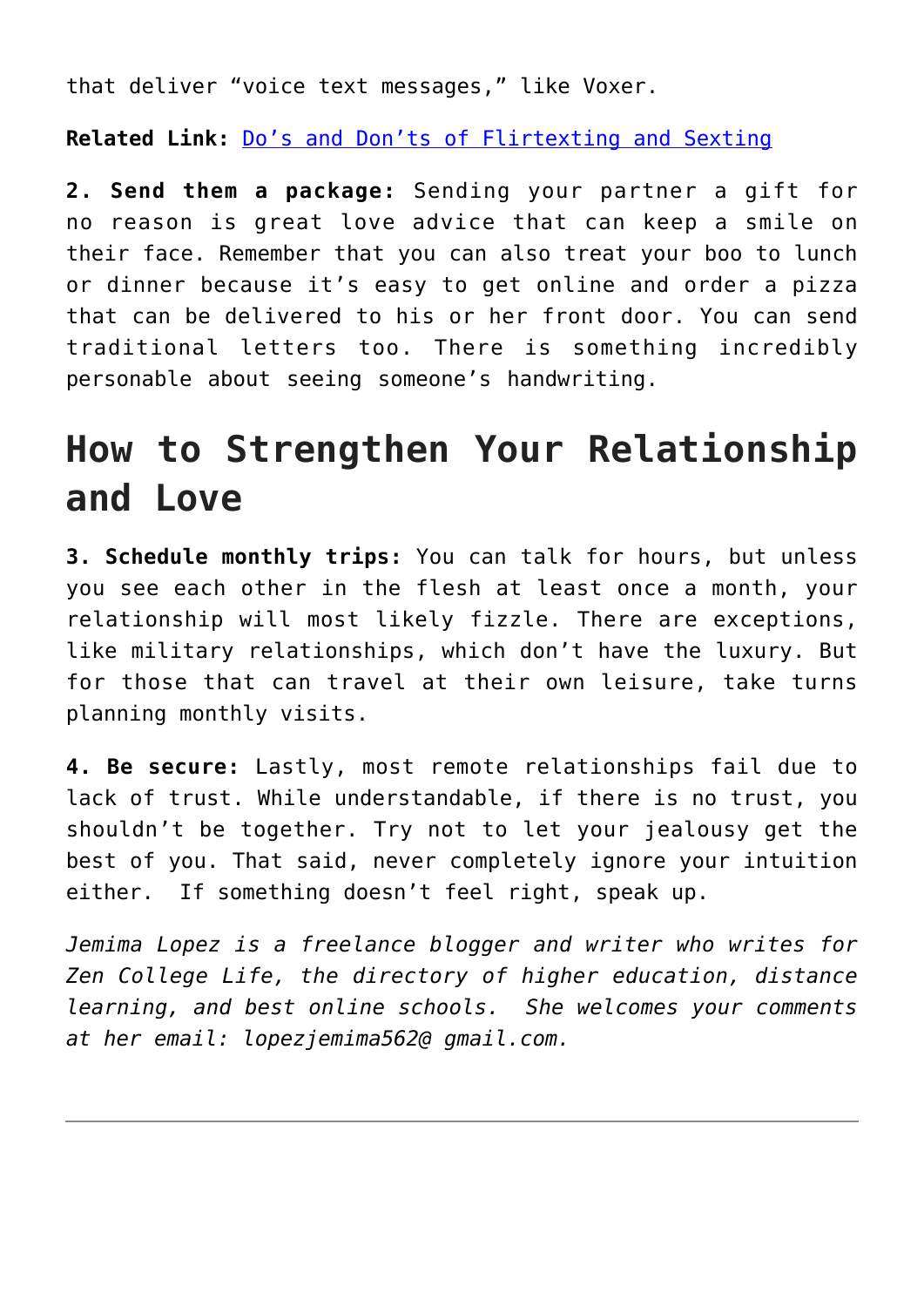that deliver "voice text messages," like Voxer.

**Related Link:** [Do's and Don'ts of Flirtexting and Sexting](http://cupidspulse.com/dos-and-donts-of-flirtexting-and-sexting/)

**2. Send them a package:** Sending your partner a gift for no reason is great love advice that can keep a smile on their face. Remember that you can also treat your boo to lunch or dinner because it's easy to get online and order a pizza that can be delivered to his or her front door. You can send traditional letters too. There is something incredibly personable about seeing someone's handwriting.

## **How to Strengthen Your Relationship and Love**

**3. Schedule monthly trips:** You can talk for hours, but unless you see each other in the flesh at least once a month, your relationship will most likely fizzle. There are exceptions, like military relationships, which don't have the luxury. But for those that can travel at their own leisure, take turns planning monthly visits.

**4. Be secure:** Lastly, most remote relationships fail due to lack of trust. While understandable, if there is no trust, you shouldn't be together. Try not to let your jealousy get the best of you. That said, never completely ignore your intuition either. If something doesn't feel right, speak up.

*Jemima Lopez is a freelance blogger and writer who writes for Zen College Life, the directory of higher education, distance learning, and best online schools. She welcomes your comments at her email: lopezjemima562@ gmail.com.*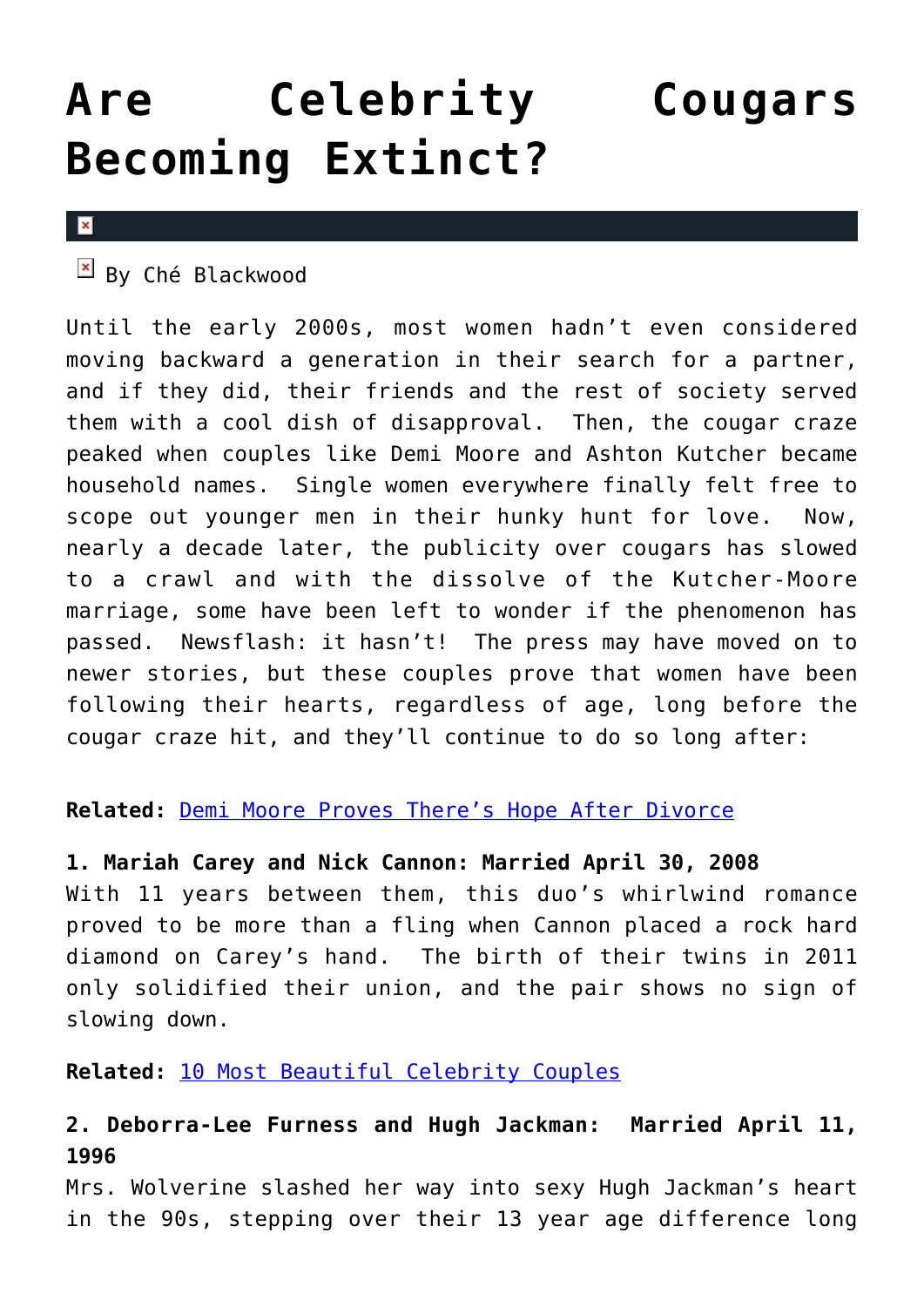# **[Are Celebrity Cougars](https://cupidspulse.com/29026/celebrity-cougars-extinct-demi-moore/) [Becoming Extinct?](https://cupidspulse.com/29026/celebrity-cougars-extinct-demi-moore/)**

#### $\mathbf x$

 $\mathbb{E}$  By Ché Blackwood

Until the early 2000s, most women hadn't even considered moving backward a generation in their search for a partner, and if they did, their friends and the rest of society served them with a cool dish of disapproval. Then, the cougar craze peaked when couples like Demi Moore and Ashton Kutcher became household names. Single women everywhere finally felt free to scope out younger men in their hunky hunt for love. Now, nearly a decade later, the publicity over cougars has slowed to a crawl and with the dissolve of the Kutcher-Moore marriage, some have been left to wonder if the phenomenon has passed. Newsflash: it hasn't! The press may have moved on to newer stories, but these couples prove that women have been following their hearts, regardless of age, long before the cougar craze hit, and they'll continue to do so long after:

### **Related:** [Demi Moore Proves There's Hope After Divorce](http://cupidspulse.com/demi-moore-proves-hope-after-divorce-ashton-kutcher-bruce-willis/)

### **1. Mariah Carey and Nick Cannon: Married April 30, 2008**

With 11 years between them, this duo's whirlwind romance proved to be more than a fling when Cannon placed a rock hard diamond on Carey's hand. The birth of their twins in 2011 only solidified their union, and the pair shows no sign of slowing down.

**Related:** [10 Most Beautiful Celebrity Couples](http://cupidspulse.com/ten-most-beautiful-celebrity-couples/)

### **2. Deborra-Lee Furness and Hugh Jackman: Married April 11, 1996**

Mrs. Wolverine slashed her way into sexy Hugh Jackman's heart in the 90s, stepping over their 13 year age difference long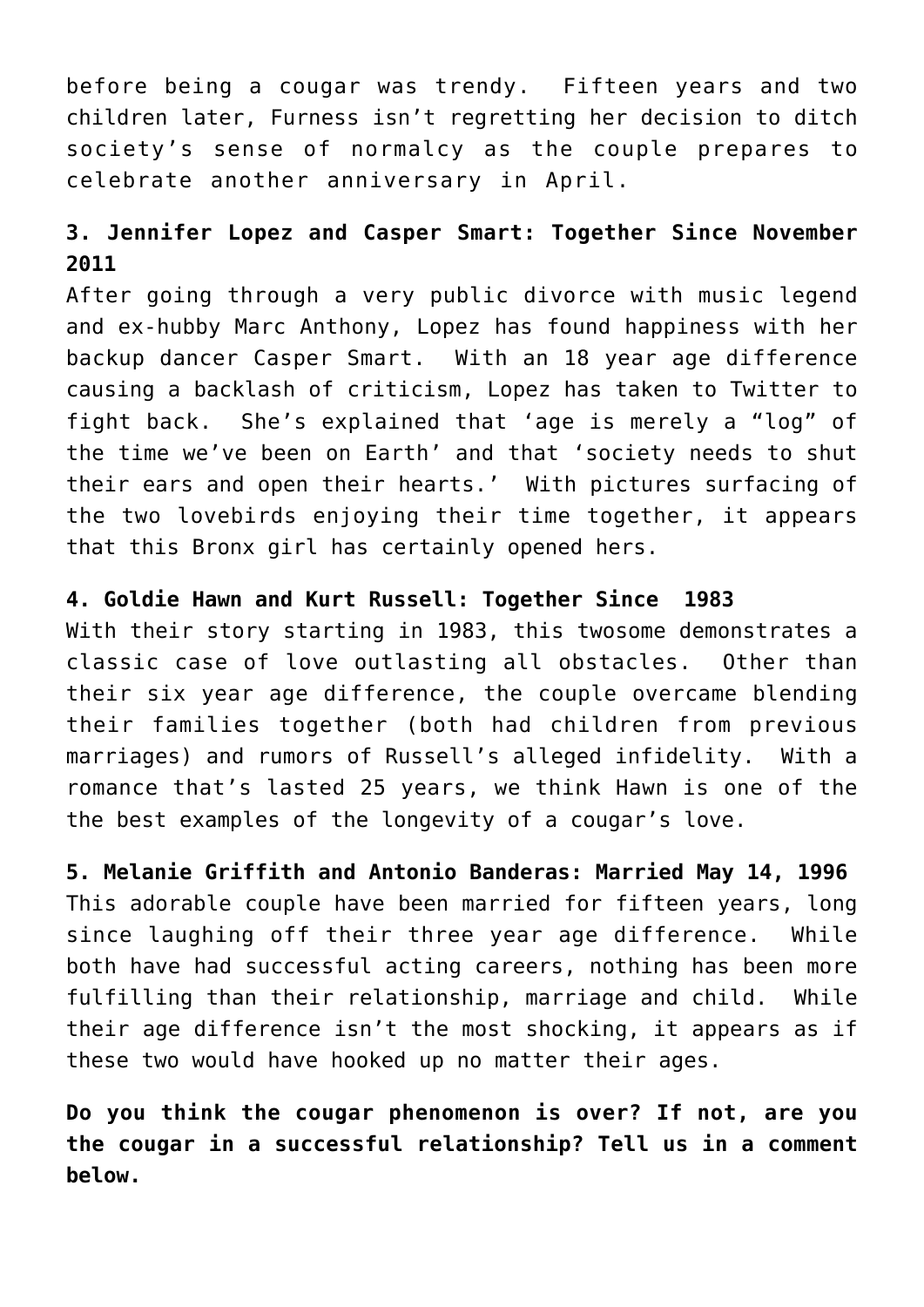before being a cougar was trendy. Fifteen years and two children later, Furness isn't regretting her decision to ditch society's sense of normalcy as the couple prepares to celebrate another anniversary in April.

### **3. Jennifer Lopez and Casper Smart: Together Since November 2011**

After going through a very public divorce with music legend and ex-hubby Marc Anthony, Lopez has found happiness with her backup dancer Casper Smart. With an 18 year age difference causing a backlash of criticism, Lopez has taken to Twitter to fight back. She's explained that 'age is merely a "log" of the time we've been on Earth' and that 'society needs to shut their ears and open their hearts.' With pictures surfacing of the two lovebirds enjoying their time together, it appears that this Bronx girl has certainly opened hers.

### **4. Goldie Hawn and Kurt Russell: Together Since 1983**

With their story starting in 1983, this twosome demonstrates a classic case of love outlasting all obstacles. Other than their six year age difference, the couple overcame blending their families together (both had children from previous marriages) and rumors of Russell's alleged infidelity. With a romance that's lasted 25 years, we think Hawn is one of the the best examples of the longevity of a cougar's love.

**5. Melanie Griffith and Antonio Banderas: Married May 14, 1996** This adorable couple have been married for fifteen years, long since laughing off their three year age difference. While both have had successful acting careers, nothing has been more fulfilling than their relationship, marriage and child. While their age difference isn't the most shocking, it appears as if these two would have hooked up no matter their ages.

**Do you think the cougar phenomenon is over? If not, are you the cougar in a successful relationship? Tell us in a comment below.**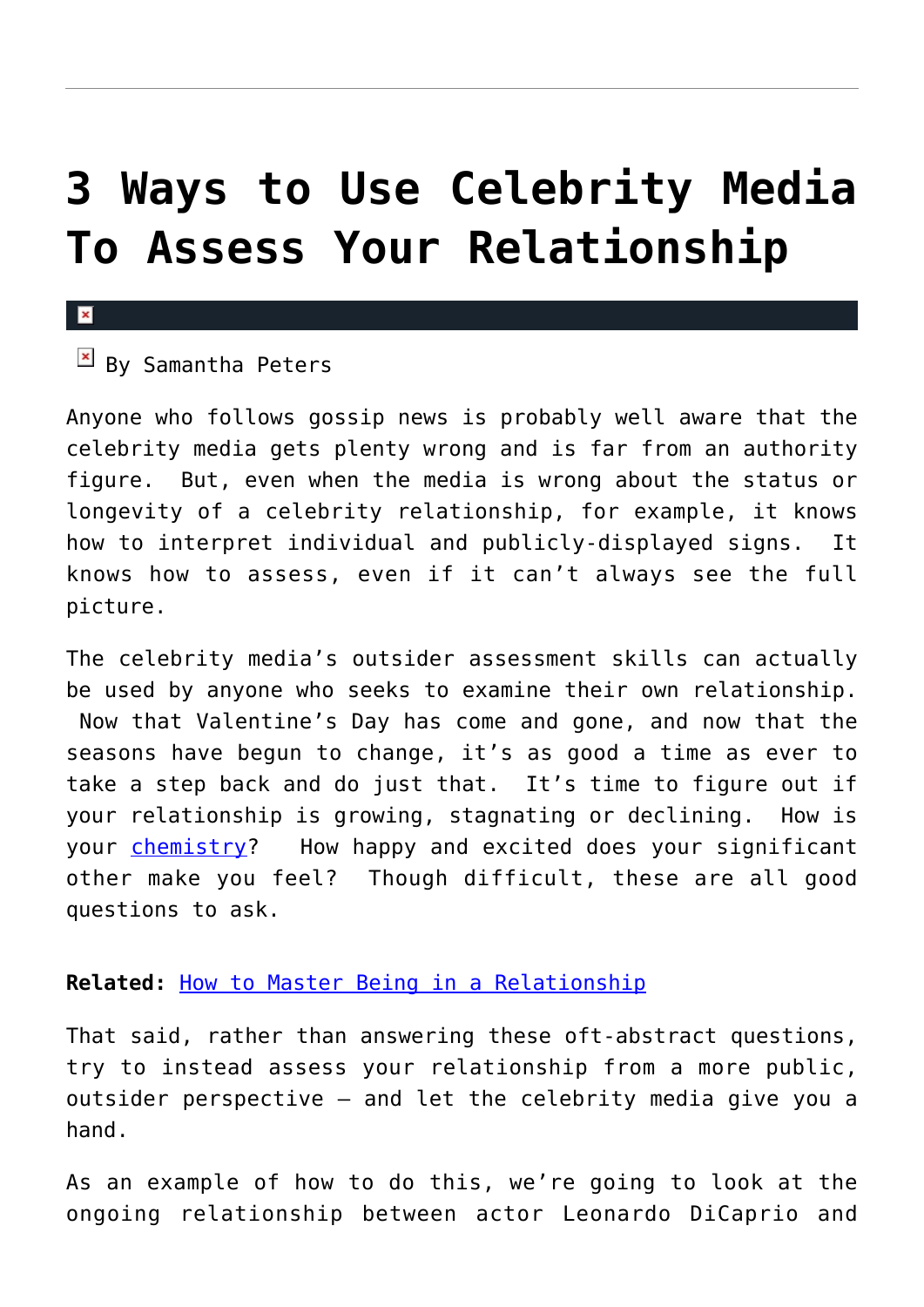## **[3 Ways to Use Celebrity Media](https://cupidspulse.com/28960/use-celebrity-media-assess-relationship/) [To Assess Your Relationship](https://cupidspulse.com/28960/use-celebrity-media-assess-relationship/)**

### $\mathbf x$

### $\overline{B}$  By Samantha Peters

Anyone who follows gossip news is probably well aware that the celebrity media gets plenty wrong and is far from an authority figure. But, even when the media is wrong about the status or longevity of a celebrity relationship, for example, it knows how to interpret individual and publicly-displayed signs. It knows how to assess, even if it can't always see the full picture.

The celebrity media's outsider assessment skills can actually be used by anyone who seeks to examine their own relationship. Now that Valentine's Day has come and gone, and now that the seasons have begun to change, it's as good a time as ever to take a step back and do just that. It's time to figure out if your relationship is growing, stagnating or declining. How is your [chemistry](http://cupidspulse.com/howaboutwe-com-dating-site/)? How happy and excited does your significant other make you feel? Though difficult, these are all good questions to ask.

### **Related:** [How to Master Being in a Relationship](http://cupidspulse.com/how-master-being-relationship-nan-obrien-guest-emotionally-available-dating-advice/)

That said, rather than answering these oft-abstract questions, try to instead assess your relationship from a more public, outsider perspective — and let the celebrity media give you a hand.

As an example of how to do this, we're going to look at the ongoing relationship between actor Leonardo DiCaprio and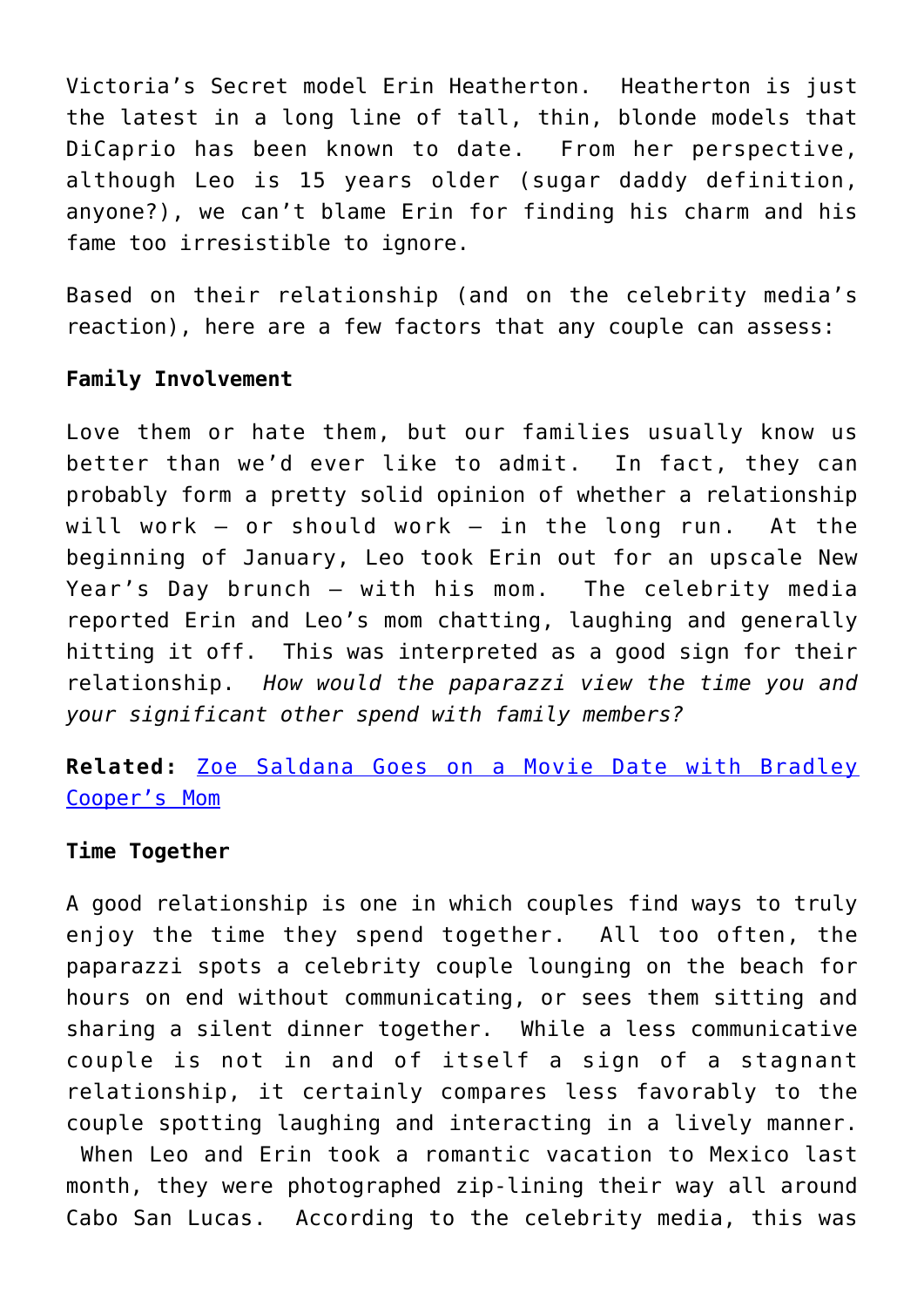Victoria's Secret model Erin Heatherton. Heatherton is just the latest in a long line of tall, thin, blonde models that DiCaprio has been known to date. From her perspective, although Leo is 15 years older (sugar daddy definition, anyone?), we can't blame Erin for finding his charm and his fame too irresistible to ignore.

Based on their relationship (and on the celebrity media's reaction), here are a few factors that any couple can assess:

### **Family Involvement**

Love them or hate them, but our families usually know us better than we'd ever like to admit. In fact, they can probably form a pretty solid opinion of whether a relationship will work — or should work — in the long run. At the beginning of January, Leo took Erin out for an upscale New Year's Day brunch — with his mom. The celebrity media reported Erin and Leo's mom chatting, laughing and generally hitting it off. This was interpreted as a good sign for their relationship. *How would the paparazzi view the time you and your significant other spend with family members?*

### **Related:** [Zoe Saldana Goes on a Movie Date with Bradley](http://cupidspulse.com/zoe-saldana-goes-on-movie-date-with-beau-bradley-coopers-mom/) [Cooper's Mom](http://cupidspulse.com/zoe-saldana-goes-on-movie-date-with-beau-bradley-coopers-mom/)

### **Time Together**

A good relationship is one in which couples find ways to truly enjoy the time they spend together. All too often, the paparazzi spots a celebrity couple lounging on the beach for hours on end without communicating, or sees them sitting and sharing a silent dinner together. While a less communicative couple is not in and of itself a sign of a stagnant relationship, it certainly compares less favorably to the couple spotting laughing and interacting in a lively manner. When Leo and Erin took a romantic vacation to Mexico last month, they were photographed zip-lining their way all around Cabo San Lucas. According to the celebrity media, this was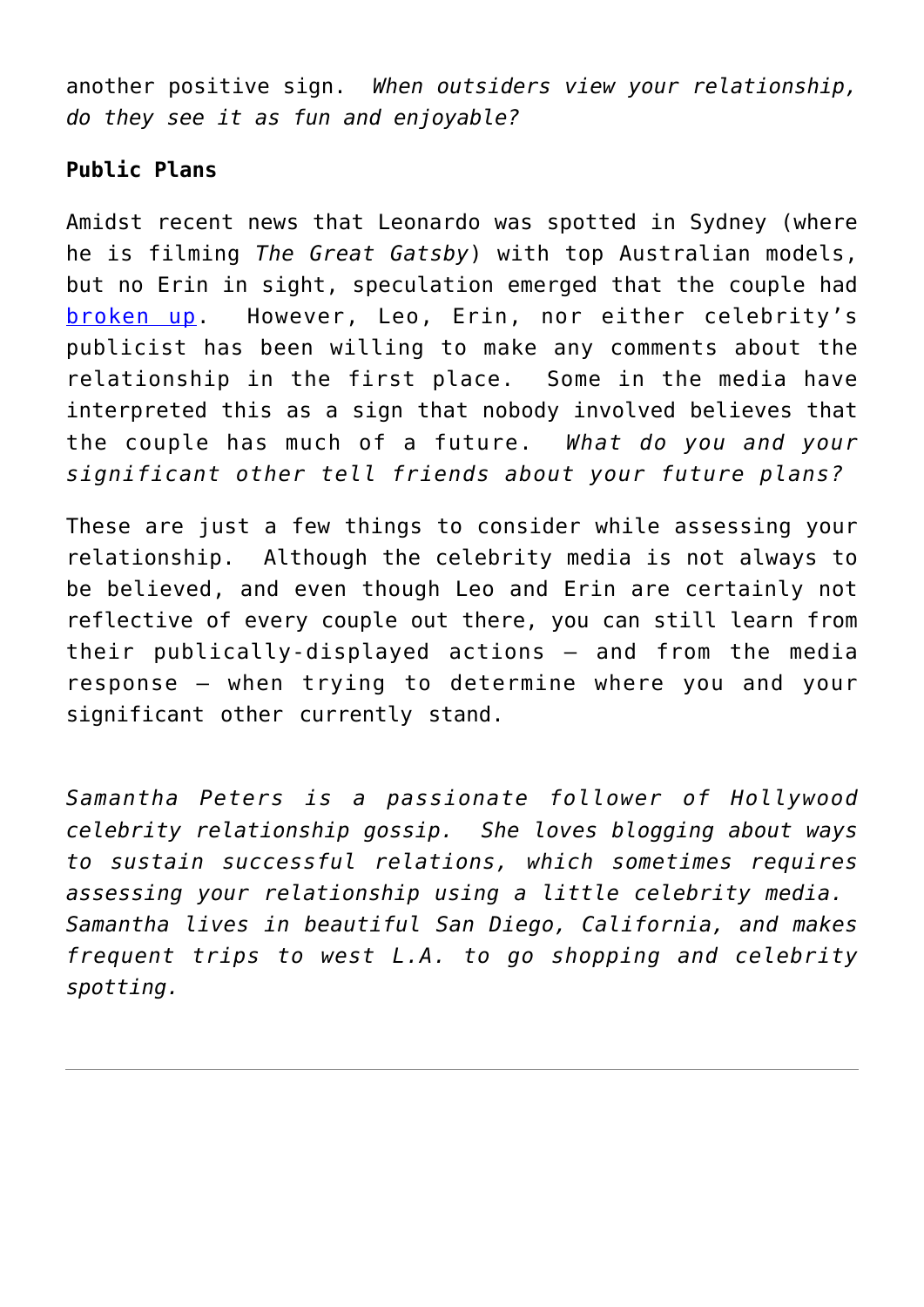another positive sign. *When outsiders view your relationship, do they see it as fun and enjoyable?*

### **Public Plans**

Amidst recent news that Leonardo was spotted in Sydney (where he is filming *The Great Gatsby*) with top Australian models, but no Erin in sight, speculation emerged that the couple had [broken up.](http://cupidspulse.com/heidi-klum-seal-protects-kids-public-split/) However, Leo, Erin, nor either celebrity's publicist has been willing to make any comments about the relationship in the first place. Some in the media have interpreted this as a sign that nobody involved believes that the couple has much of a future. *What do you and your significant other tell friends about your future plans?*

These are just a few things to consider while assessing your relationship. Although the celebrity media is not always to be believed, and even though Leo and Erin are certainly not reflective of every couple out there, you can still learn from their publically-displayed actions — and from the media response — when trying to determine where you and your significant other currently stand.

*Samantha Peters is a passionate follower of Hollywood celebrity relationship gossip. She loves blogging about ways to sustain successful relations, which sometimes requires assessing your relationship using a little celebrity media. Samantha lives in beautiful San Diego, California, and makes frequent trips to west L.A. to go shopping and celebrity spotting.*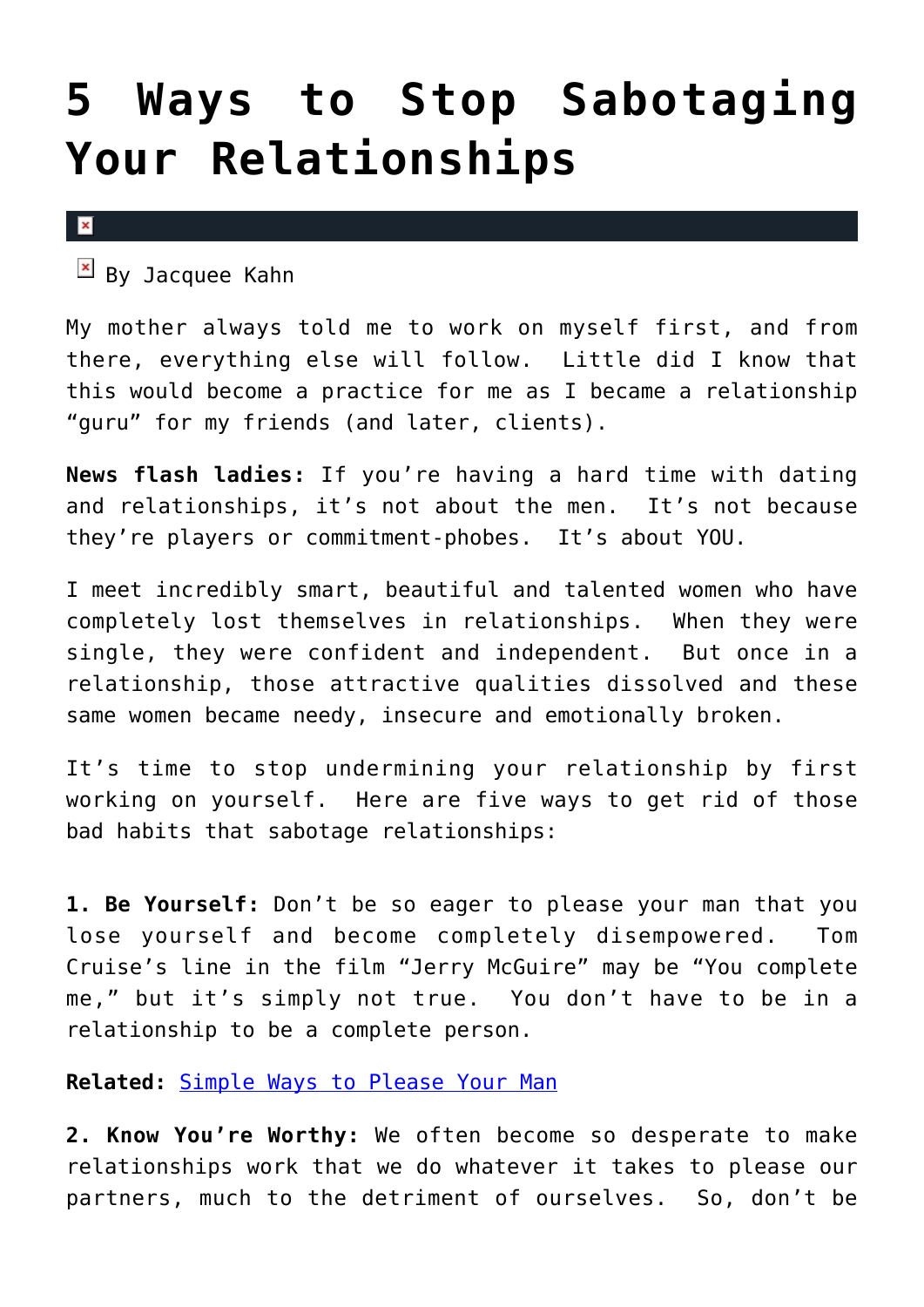## **[5 Ways to Stop Sabotaging](https://cupidspulse.com/28742/5-tips-advic-bad-habits-sabotage-relationships-dating-advice/) [Your Relationships](https://cupidspulse.com/28742/5-tips-advic-bad-habits-sabotage-relationships-dating-advice/)**

 $\pmb{\times}$ 

 $\mathbb{E}$  By Jacquee Kahn

My mother always told me to work on myself first, and from there, everything else will follow. Little did I know that this would become a practice for me as I became a relationship "guru" for my friends (and later, clients).

**News flash ladies:** If you're having a hard time with dating and relationships, it's not about the men. It's not because they're players or commitment-phobes. It's about YOU.

I meet incredibly smart, beautiful and talented women who have completely lost themselves in relationships. When they were single, they were confident and independent. But once in a relationship, those attractive qualities dissolved and these same women became needy, insecure and emotionally broken.

It's time to stop undermining your relationship by first working on yourself. Here are five ways to get rid of those bad habits that sabotage relationships:

**1. Be Yourself:** Don't be so eager to please your man that you lose yourself and become completely disempowered. Tom Cruise's line in the film "Jerry McGuire" may be "You complete me," but it's simply not true. You don't have to be in a relationship to be a complete person.

**Related:** [Simple Ways to Please Your Man](http://cupidspulse.com/coupling-simplicity-man-how-to-make-man-happy/)

**2. Know You're Worthy:** We often become so desperate to make relationships work that we do whatever it takes to please our partners, much to the detriment of ourselves. So, don't be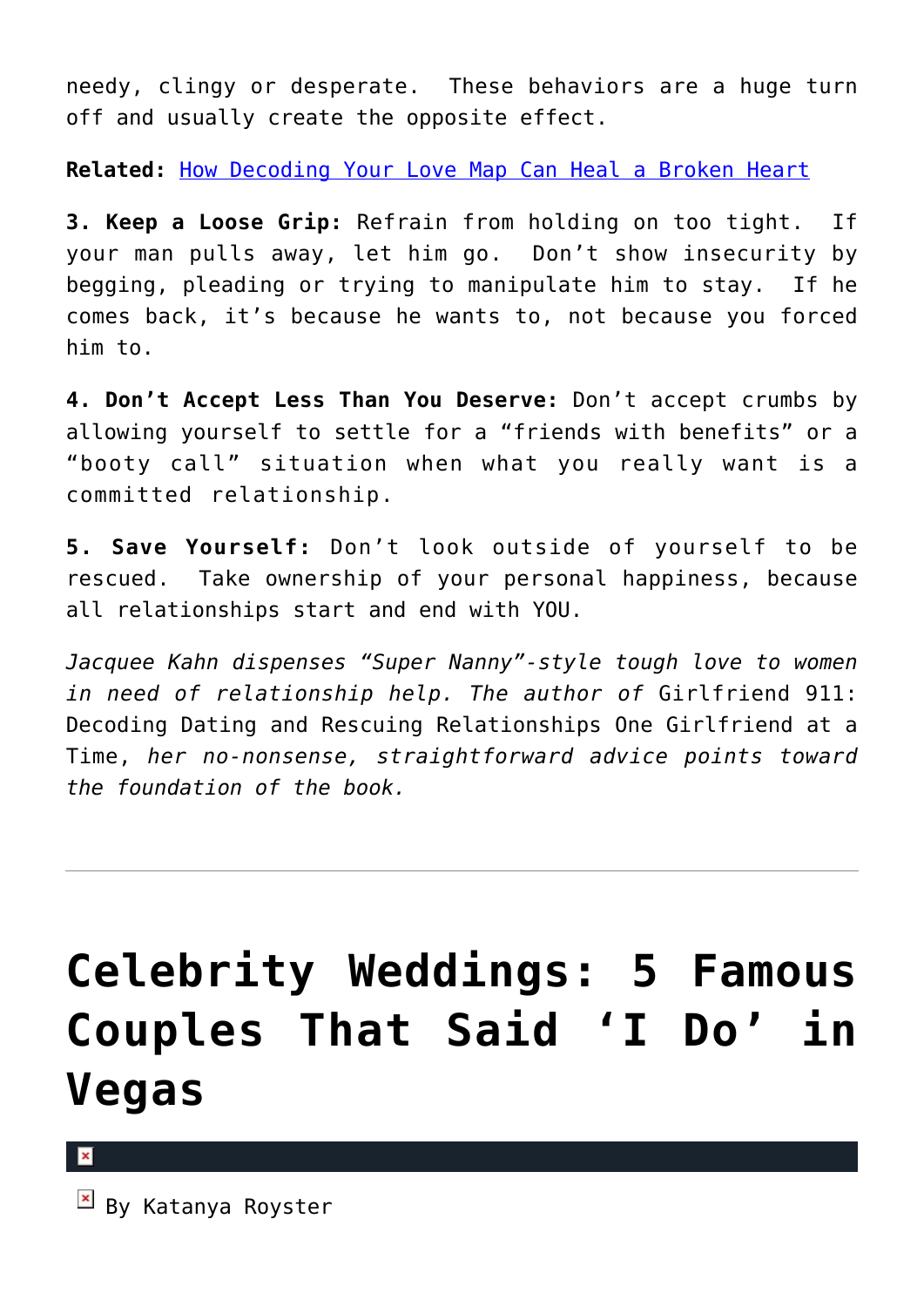needy, clingy or desperate. These behaviors are a huge turn off and usually create the opposite effect.

**Related:** [How Decoding Your Love Map Can Heal a Broken Heart](http://cupidspulse.com/decoding-love-map-heal-broken-heart-rachel-sussman/)

**3. Keep a Loose Grip:** Refrain from holding on too tight. If your man pulls away, let him go. Don't show insecurity by begging, pleading or trying to manipulate him to stay. If he comes back, it's because he wants to, not because you forced him to.

**4. Don't Accept Less Than You Deserve:** Don't accept crumbs by allowing yourself to settle for a "friends with benefits" or a "booty call" situation when what you really want is a committed relationship.

**5. Save Yourself:** Don't look outside of yourself to be rescued. Take ownership of your personal happiness, because all relationships start and end with YOU.

*Jacquee Kahn dispenses "Super Nanny"-style tough love to women in need of relationship help. The author of* Girlfriend 911: Decoding Dating and Rescuing Relationships One Girlfriend at a Time, *her no-nonsense, straightforward advice points toward the foundation of the book.*

# **[Celebrity Weddings: 5 Famous](https://cupidspulse.com/27431/celebrity-couples-married-vegas-sin-city/) [Couples That Said 'I Do' in](https://cupidspulse.com/27431/celebrity-couples-married-vegas-sin-city/) [Vegas](https://cupidspulse.com/27431/celebrity-couples-married-vegas-sin-city/)**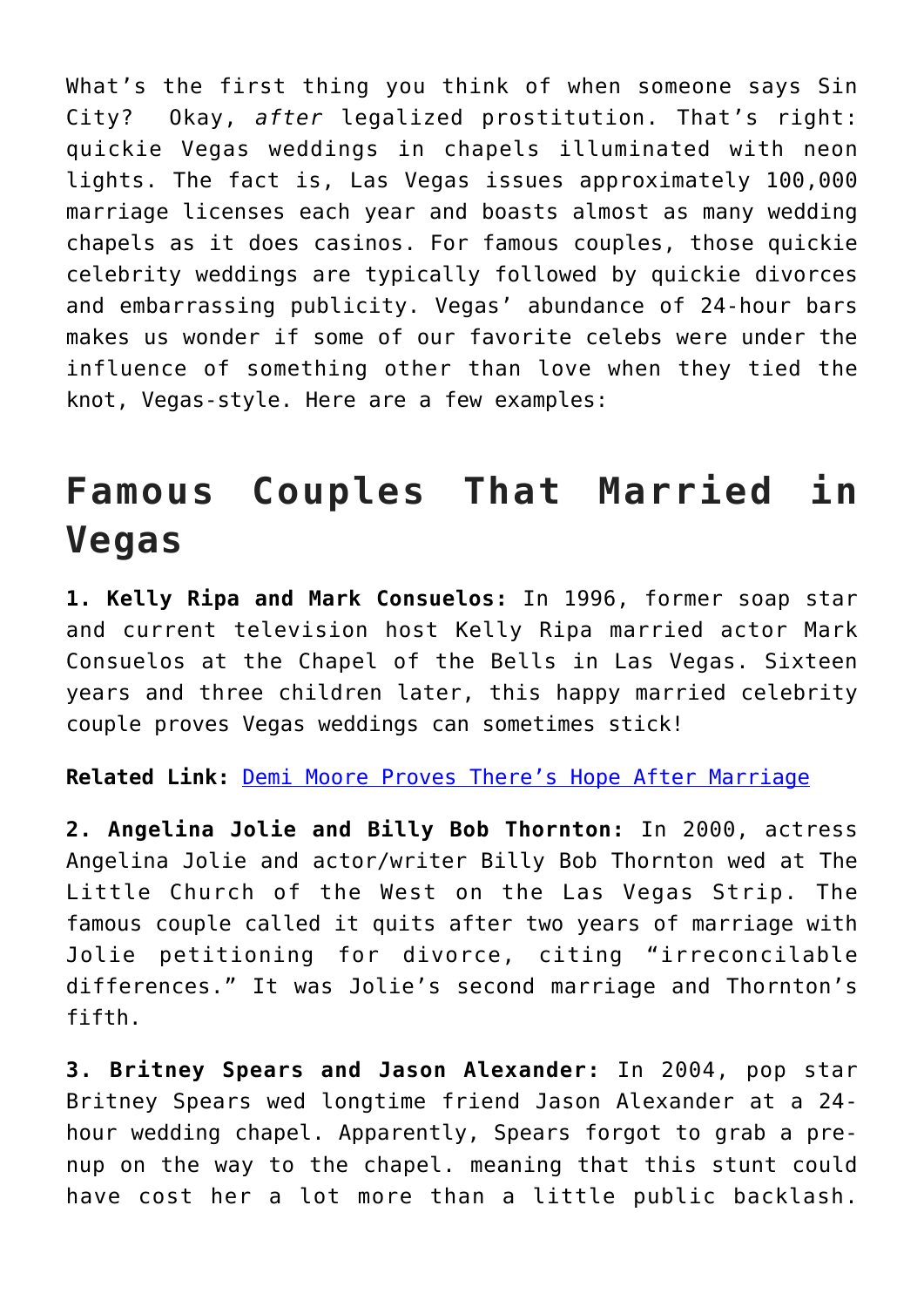What's the first thing you think of when someone says Sin City? Okay, *after* legalized prostitution. That's right: quickie Vegas weddings in chapels illuminated with neon lights. The fact is, Las Vegas issues approximately 100,000 marriage licenses each year and boasts almost as many wedding chapels as it does casinos. For famous couples, those quickie celebrity weddings are typically followed by quickie divorces and embarrassing publicity. Vegas' abundance of 24-hour bars makes us wonder if some of our favorite celebs were under the influence of something other than love when they tied the knot, Vegas-style. Here are a few examples:

## **Famous Couples That Married in Vegas**

**1. Kelly Ripa and Mark Consuelos:** In 1996, former soap star and current television host Kelly Ripa married actor Mark Consuelos at the Chapel of the Bells in Las Vegas. Sixteen years and three children later, this happy married celebrity couple proves Vegas weddings can sometimes stick!

**Related Link:** [Demi Moore Proves There's Hope After Marriage](http://cupidspulse.com/demi-moore-proves-hope-after-divorce-ashton-kutcher-bruce-willis/)

**2. Angelina Jolie and Billy Bob Thornton:** In 2000, actress Angelina Jolie and actor/writer Billy Bob Thornton wed at The Little Church of the West on the Las Vegas Strip. The famous couple called it quits after two years of marriage with Jolie petitioning for divorce, citing "irreconcilable differences." It was Jolie's second marriage and Thornton's fifth.

**3. Britney Spears and Jason Alexander:** In 2004, pop star Britney Spears wed longtime friend Jason Alexander at a 24 hour wedding chapel. Apparently, Spears forgot to grab a prenup on the way to the chapel. meaning that this stunt could have cost her a lot more than a little public backlash.